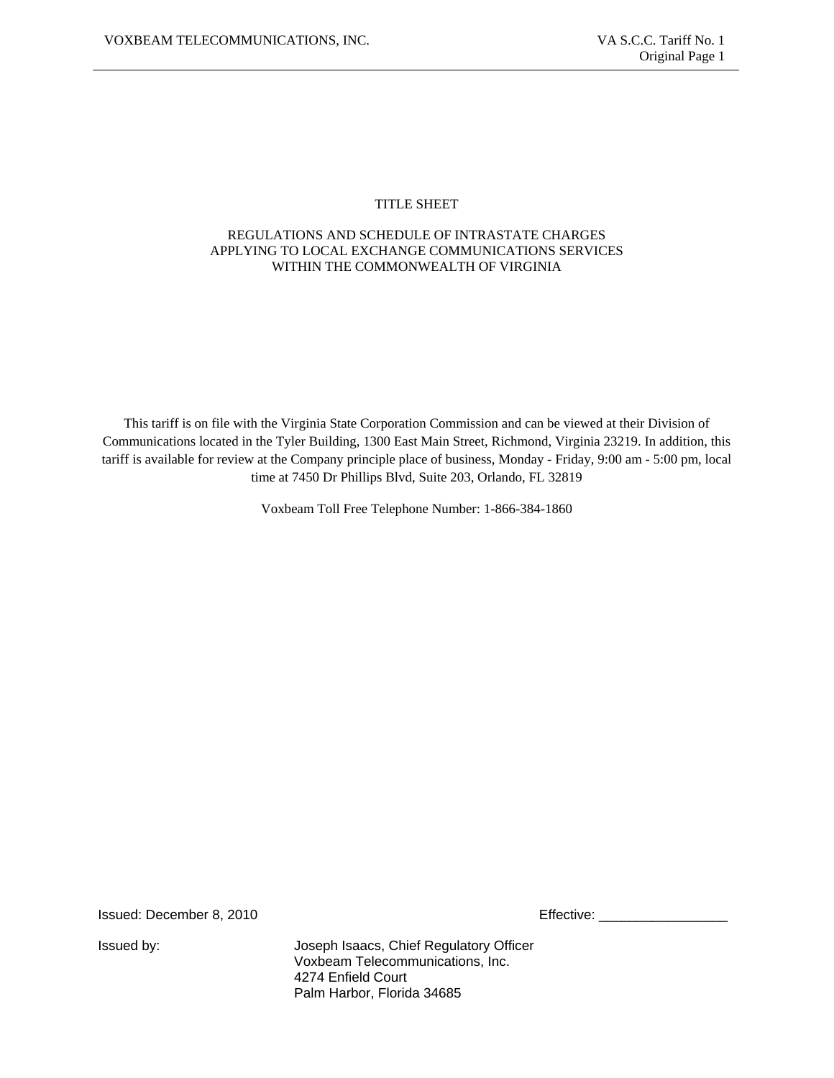# TITLE SHEET

# REGULATIONS AND SCHEDULE OF INTRASTATE CHARGES APPLYING TO LOCAL EXCHANGE COMMUNICATIONS SERVICES WITHIN THE COMMONWEALTH OF VIRGINIA

This tariff is on file with the Virginia State Corporation Commission and can be viewed at their Division of Communications located in the Tyler Building, 1300 East Main Street, Richmond, Virginia 23219. In addition, this tariff is available for review at the Company principle place of business, Monday - Friday, 9:00 am - 5:00 pm, local time at 7450 Dr Phillips Blvd, Suite 203, Orlando, FL 32819

Voxbeam Toll Free Telephone Number: 1-866-384-1860

Issued: December 8, 2010 **Effective: Effective: Effective: Effective: Effective: Effective: Effective: Effective: Effective: Effective: Effective: Effective: Effective: Effective: Effective: E** 

Issued by: Joseph Isaacs, Chief Regulatory Officer Voxbeam Telecommunications, Inc. 4274 Enfield Court Palm Harbor, Florida 34685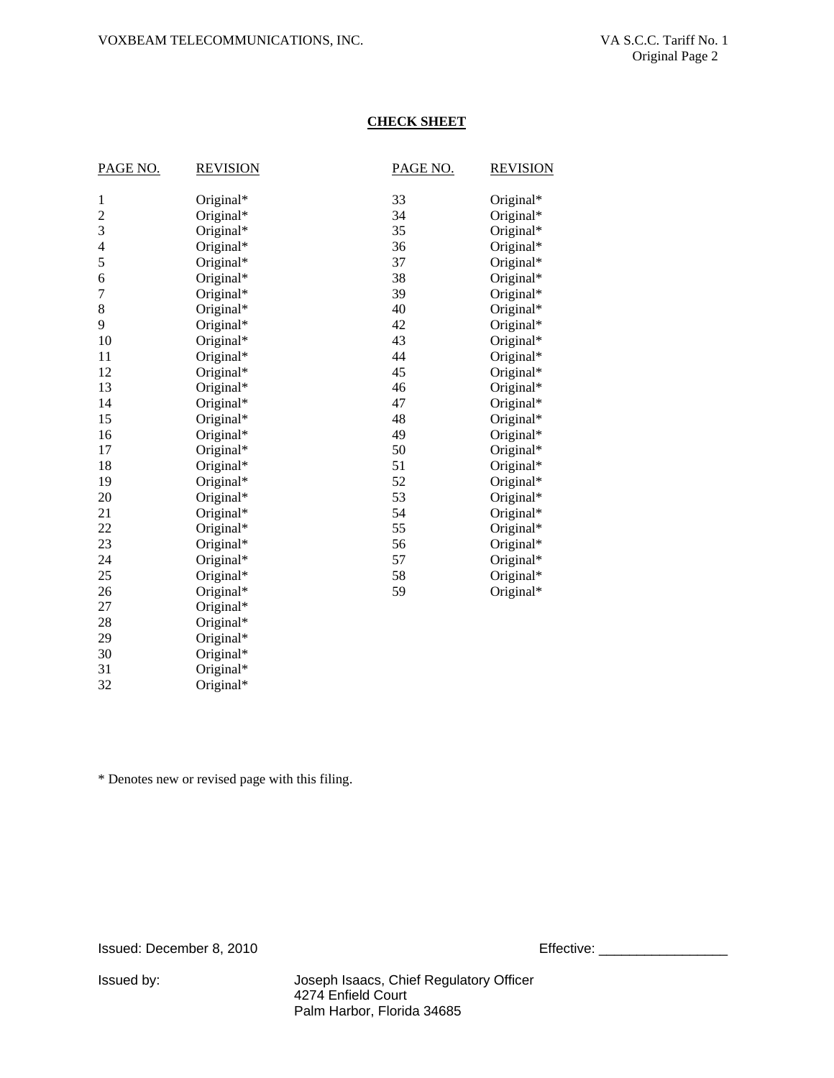# **CHECK SHEET**

| PAGE NO.       | <b>REVISION</b> | PAGE NO. | <b>REVISION</b> |
|----------------|-----------------|----------|-----------------|
| 1              | Original*       | 33       | Original*       |
| $\overline{c}$ | Original*       | 34       | Original*       |
| 3              | Original*       | 35       | Original*       |
| 4              | Original*       | 36       | Original*       |
| 5              | Original*       | 37       | Original*       |
| 6              | Original*       | 38       | Original*       |
| 7              | Original*       | 39       | Original*       |
| 8              | Original*       | 40       | Original*       |
| 9              | Original*       | 42       | Original*       |
| 10             | Original*       | 43       | Original*       |
| 11             | Original*       | 44       | Original*       |
| 12             | Original*       | 45       | Original*       |
| 13             | Original*       | 46       | Original*       |
| 14             | Original*       | 47       | Original*       |
| 15             | Original*       | 48       | Original*       |
| 16             | Original*       | 49       | Original*       |
| 17             | Original*       | 50       | Original*       |
| 18             | Original*       | 51       | Original*       |
| 19             | Original*       | 52       | Original*       |
| 20             | Original*       | 53       | Original*       |
| 21             | Original*       | 54       | Original*       |
| 22             | Original*       | 55       | Original*       |
| 23             | Original*       | 56       | Original*       |
| 24             | Original*       | 57       | Original*       |
| 25             | Original*       | 58       | Original*       |
| 26             | Original*       | 59       | Original*       |
| 27             | Original*       |          |                 |
| 28             | Original*       |          |                 |
| 29             | Original*       |          |                 |
| 30             | Original*       |          |                 |
| 21             | $O$ riginal*    |          |                 |

31 Original\*<br>32 Original\* Original\*

\* Denotes new or revised page with this filing.

Issued: December 8, 2010 **Effective:** Effective: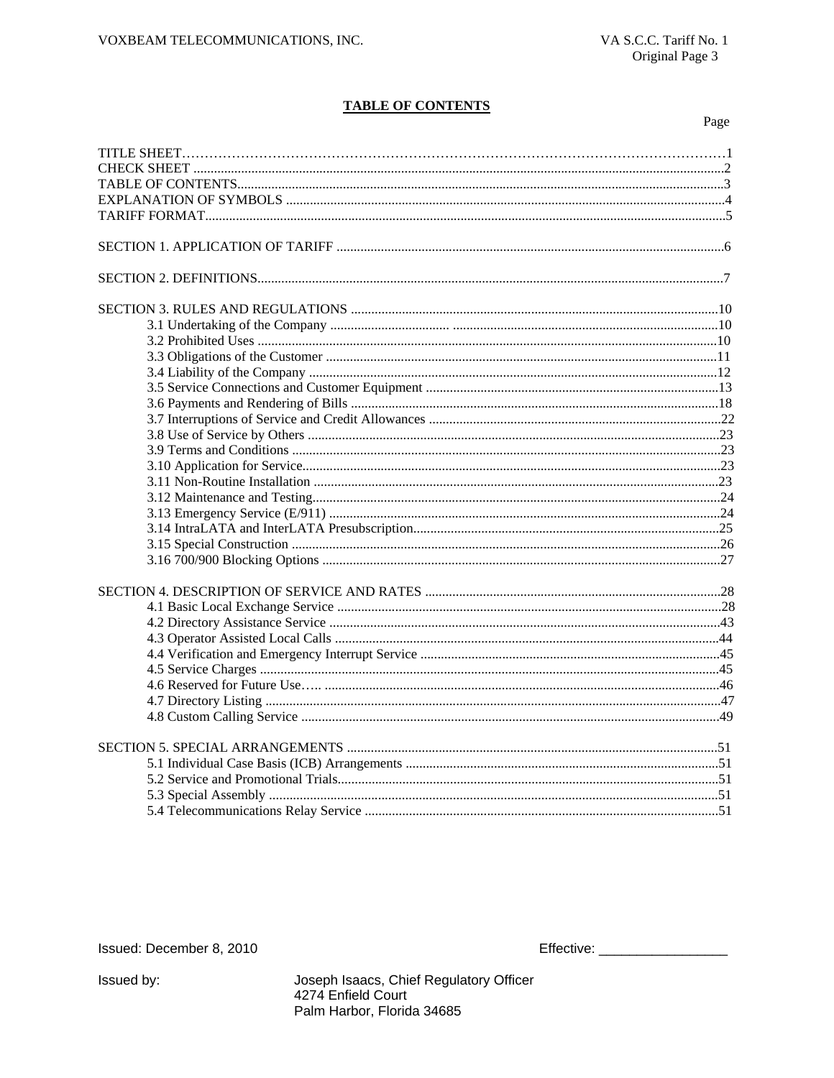# **TABLE OF CONTENTS**

Page

Issued: December 8, 2010

Joseph Isaacs, Chief Regulatory Officer 4274 Enfield Court Palm Harbor, Florida 34685

Issued by: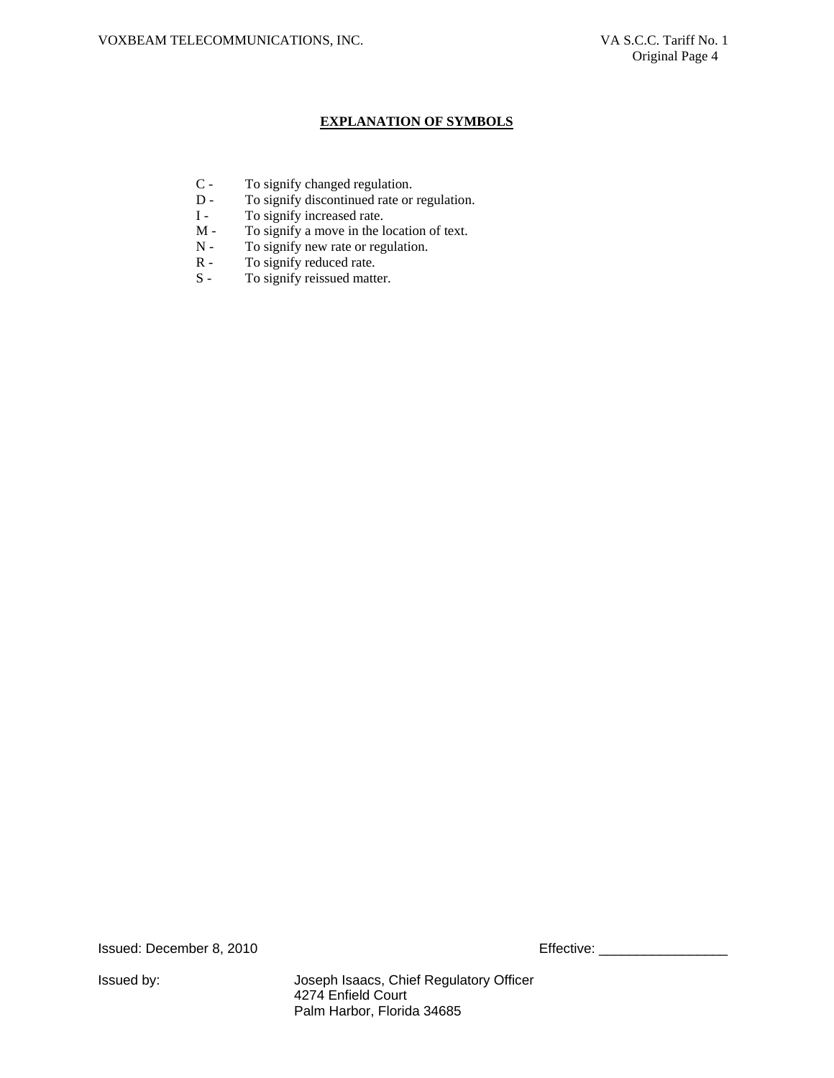### **EXPLANATION OF SYMBOLS**

- C To signify changed regulation.<br>D To signify discontinued rate or
- To signify discontinued rate or regulation.
- I To signify increased rate.
- M To signify a move in the location of text.<br>N To signify new rate or regulation.
- To signify new rate or regulation.
- R To signify reduced rate.<br>S To signify reissued matter
- To signify reissued matter.

Issued: December 8, 2010 **Effective:** 2010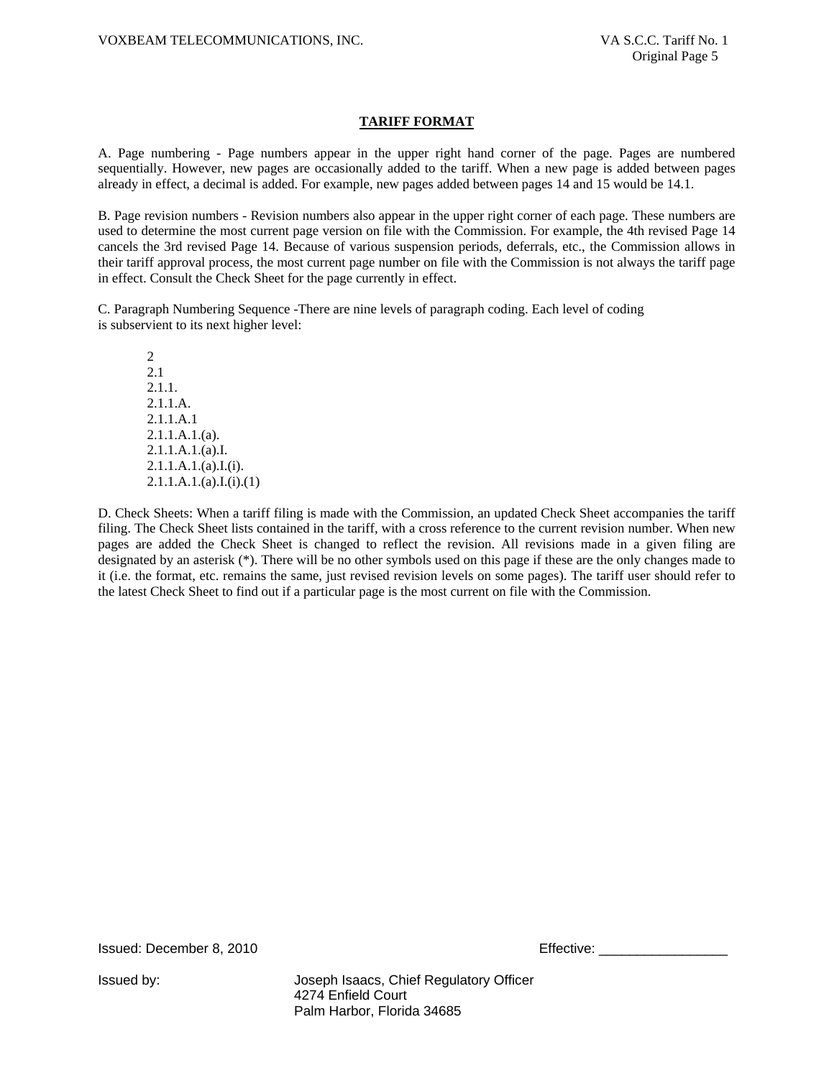### **TARIFF FORMAT**

A. Page numbering - Page numbers appear in the upper right hand corner of the page. Pages are numbered sequentially. However, new pages are occasionally added to the tariff. When a new page is added between pages already in effect, a decimal is added. For example, new pages added between pages 14 and 15 would be 14.1.

B. Page revision numbers - Revision numbers also appear in the upper right corner of each page. These numbers are used to determine the most current page version on file with the Commission. For example, the 4th revised Page 14 cancels the 3rd revised Page 14. Because of various suspension periods, deferrals, etc., the Commission allows in their tariff approval process, the most current page number on file with the Commission is not always the tariff page in effect. Consult the Check Sheet for the page currently in effect.

C. Paragraph Numbering Sequence -There are nine levels of paragraph coding. Each level of coding is subservient to its next higher level:

2 2.1 2.1.1. 2.1.1.A. 2.1.1.A.1 2.1.1.A.1.(a). 2.1.1.A.1.(a).I.  $2.1.1.A.1.(a).I.(i).$  $2.1.1.A.1.(a).I.(i).(1)$ 

D. Check Sheets: When a tariff filing is made with the Commission, an updated Check Sheet accompanies the tariff filing. The Check Sheet lists contained in the tariff, with a cross reference to the current revision number. When new pages are added the Check Sheet is changed to reflect the revision. All revisions made in a given filing are designated by an asterisk (\*). There will be no other symbols used on this page if these are the only changes made to it (i.e. the format, etc. remains the same, just revised revision levels on some pages). The tariff user should refer to the latest Check Sheet to find out if a particular page is the most current on file with the Commission.

Issued: December 8, 2010 **Effective: Effective:** \_\_\_\_\_\_\_\_\_\_\_\_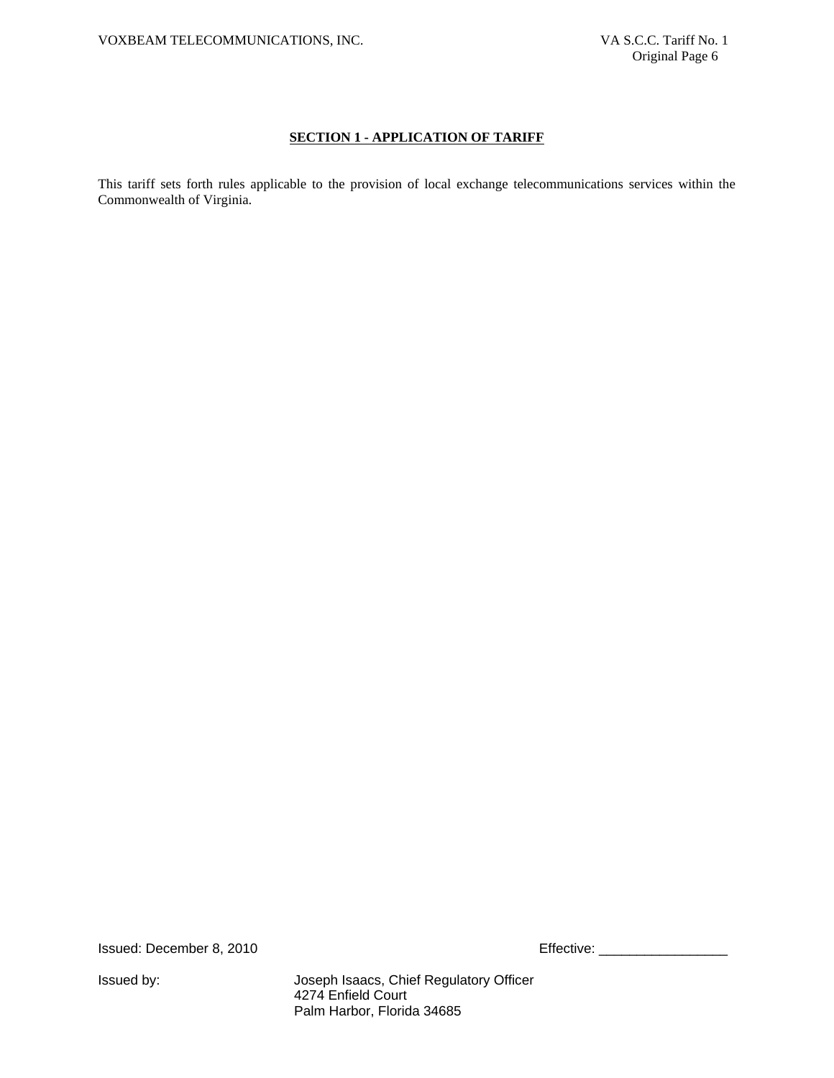# **SECTION 1 - APPLICATION OF TARIFF**

This tariff sets forth rules applicable to the provision of local exchange telecommunications services within the Commonwealth of Virginia.

Issued: December 8, 2010 **Effective:** Effective: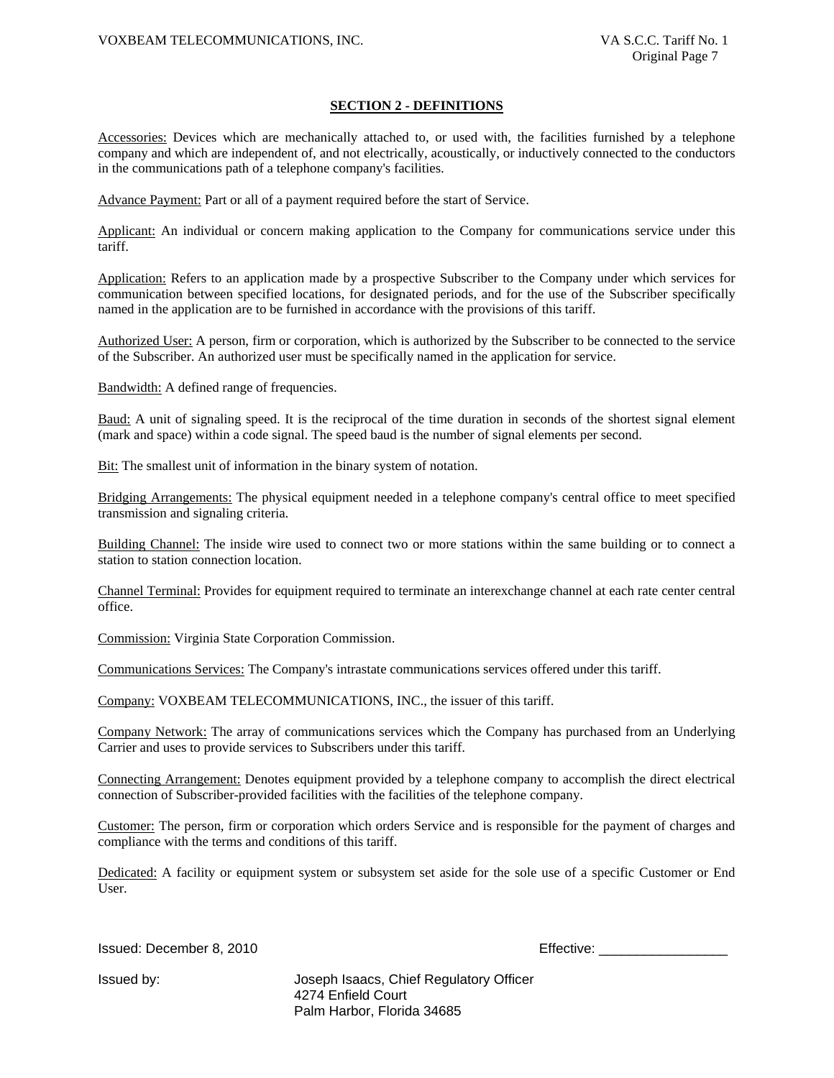#### **SECTION 2 - DEFINITIONS**

Accessories: Devices which are mechanically attached to, or used with, the facilities furnished by a telephone company and which are independent of, and not electrically, acoustically, or inductively connected to the conductors in the communications path of a telephone company's facilities.

Advance Payment: Part or all of a payment required before the start of Service.

Applicant: An individual or concern making application to the Company for communications service under this tariff.

Application: Refers to an application made by a prospective Subscriber to the Company under which services for communication between specified locations, for designated periods, and for the use of the Subscriber specifically named in the application are to be furnished in accordance with the provisions of this tariff.

Authorized User: A person, firm or corporation, which is authorized by the Subscriber to be connected to the service of the Subscriber. An authorized user must be specifically named in the application for service.

Bandwidth: A defined range of frequencies.

Baud: A unit of signaling speed. It is the reciprocal of the time duration in seconds of the shortest signal element (mark and space) within a code signal. The speed baud is the number of signal elements per second.

Bit: The smallest unit of information in the binary system of notation.

Bridging Arrangements: The physical equipment needed in a telephone company's central office to meet specified transmission and signaling criteria.

Building Channel: The inside wire used to connect two or more stations within the same building or to connect a station to station connection location.

Channel Terminal: Provides for equipment required to terminate an interexchange channel at each rate center central office.

Commission: Virginia State Corporation Commission.

Communications Services: The Company's intrastate communications services offered under this tariff.

Company: VOXBEAM TELECOMMUNICATIONS, INC., the issuer of this tariff.

Company Network: The array of communications services which the Company has purchased from an Underlying Carrier and uses to provide services to Subscribers under this tariff.

Connecting Arrangement: Denotes equipment provided by a telephone company to accomplish the direct electrical connection of Subscriber-provided facilities with the facilities of the telephone company.

Customer: The person, firm or corporation which orders Service and is responsible for the payment of charges and compliance with the terms and conditions of this tariff.

Dedicated: A facility or equipment system or subsystem set aside for the sole use of a specific Customer or End User.

Issued: December 8, 2010 Effective: \_\_\_\_\_\_\_\_\_\_\_\_\_\_\_\_\_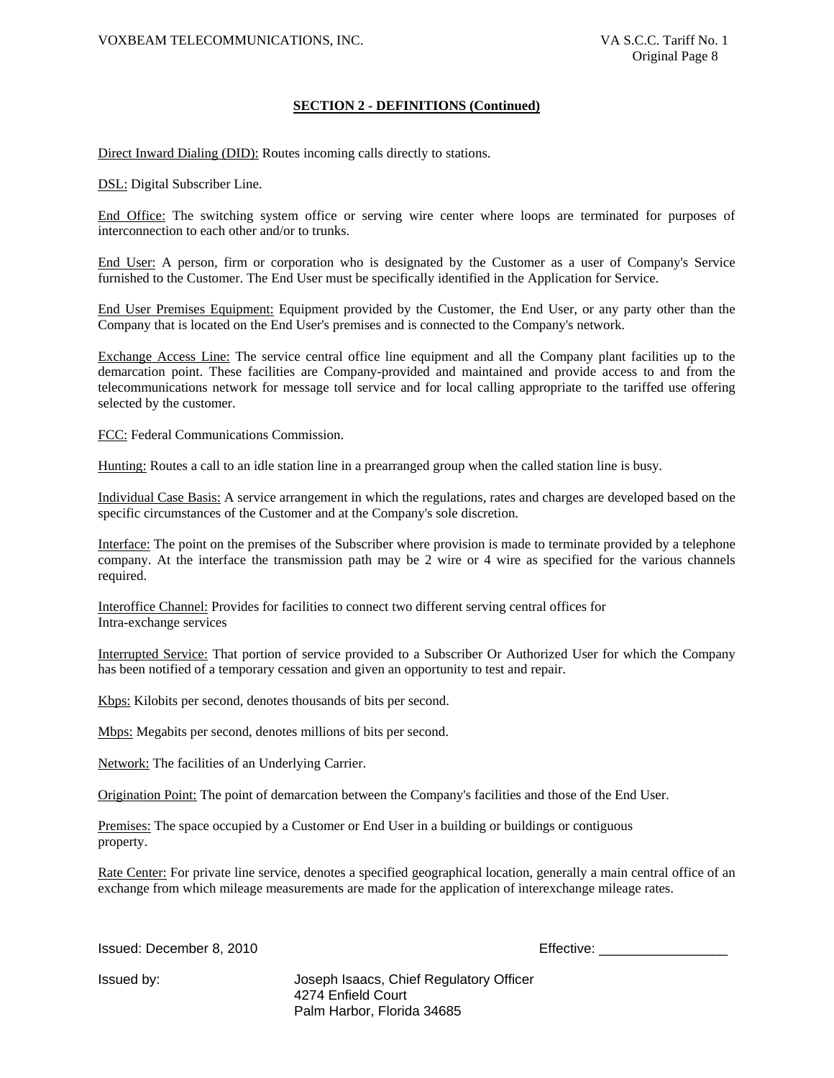#### **SECTION 2 - DEFINITIONS (Continued)**

Direct Inward Dialing (DID): Routes incoming calls directly to stations.

DSL: Digital Subscriber Line.

End Office: The switching system office or serving wire center where loops are terminated for purposes of interconnection to each other and/or to trunks.

End User: A person, firm or corporation who is designated by the Customer as a user of Company's Service furnished to the Customer. The End User must be specifically identified in the Application for Service.

End User Premises Equipment: Equipment provided by the Customer, the End User, or any party other than the Company that is located on the End User's premises and is connected to the Company's network.

Exchange Access Line: The service central office line equipment and all the Company plant facilities up to the demarcation point. These facilities are Company-provided and maintained and provide access to and from the telecommunications network for message toll service and for local calling appropriate to the tariffed use offering selected by the customer.

FCC: Federal Communications Commission.

Hunting: Routes a call to an idle station line in a prearranged group when the called station line is busy.

Individual Case Basis: A service arrangement in which the regulations, rates and charges are developed based on the specific circumstances of the Customer and at the Company's sole discretion.

Interface: The point on the premises of the Subscriber where provision is made to terminate provided by a telephone company. At the interface the transmission path may be 2 wire or 4 wire as specified for the various channels required.

Interoffice Channel: Provides for facilities to connect two different serving central offices for Intra-exchange services

Interrupted Service: That portion of service provided to a Subscriber Or Authorized User for which the Company has been notified of a temporary cessation and given an opportunity to test and repair.

Kbps: Kilobits per second, denotes thousands of bits per second.

Mbps: Megabits per second, denotes millions of bits per second.

Network: The facilities of an Underlying Carrier.

Origination Point: The point of demarcation between the Company's facilities and those of the End User.

Premises: The space occupied by a Customer or End User in a building or buildings or contiguous property.

Rate Center: For private line service, denotes a specified geographical location, generally a main central office of an exchange from which mileage measurements are made for the application of interexchange mileage rates.

Issued: December 8, 2010 **Effective:** Effective: \_\_\_\_\_\_\_\_\_\_\_\_\_\_\_\_\_\_\_\_\_\_\_\_\_\_\_\_\_\_\_\_\_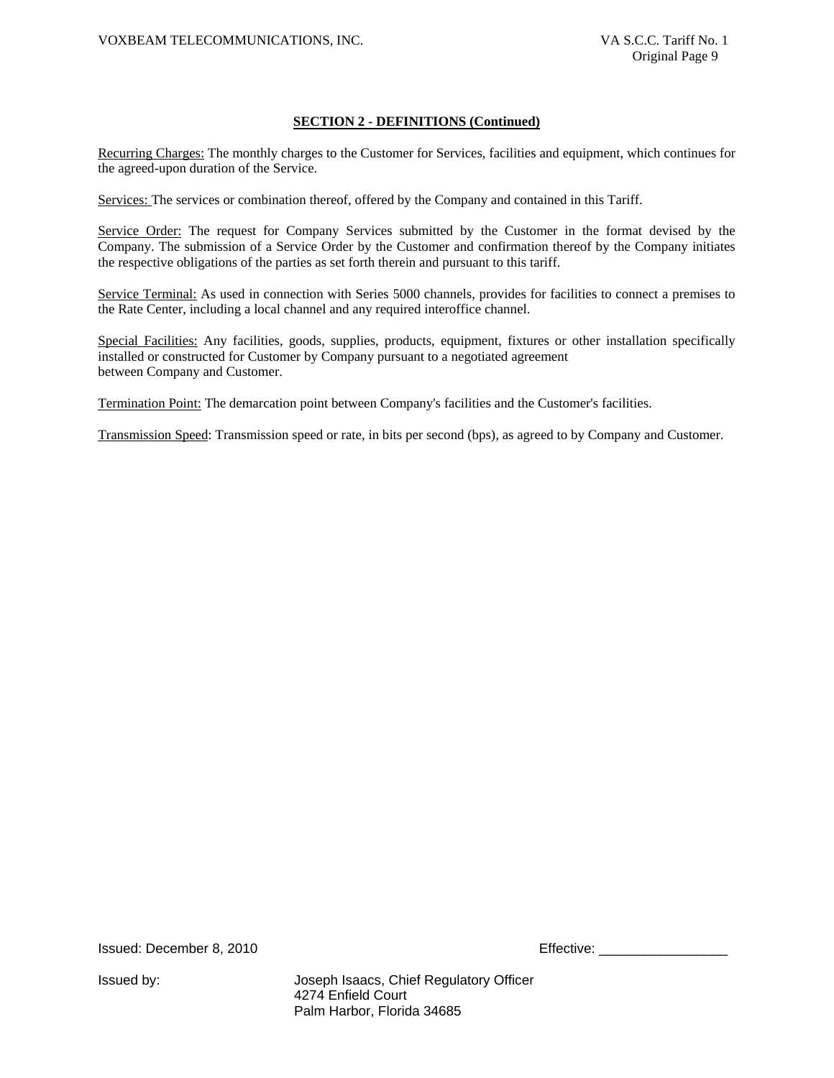### **SECTION 2 - DEFINITIONS (Continued)**

Recurring Charges: The monthly charges to the Customer for Services, facilities and equipment, which continues for the agreed-upon duration of the Service.

Services: The services or combination thereof, offered by the Company and contained in this Tariff.

Service Order: The request for Company Services submitted by the Customer in the format devised by the Company. The submission of a Service Order by the Customer and confirmation thereof by the Company initiates the respective obligations of the parties as set forth therein and pursuant to this tariff.

Service Terminal: As used in connection with Series 5000 channels, provides for facilities to connect a premises to the Rate Center, including a local channel and any required interoffice channel.

Special Facilities: Any facilities, goods, supplies, products, equipment, fixtures or other installation specifically installed or constructed for Customer by Company pursuant to a negotiated agreement between Company and Customer.

Termination Point: The demarcation point between Company's facilities and the Customer's facilities.

Transmission Speed: Transmission speed or rate, in bits per second (bps), as agreed to by Company and Customer.

Issued: December 8, 2010 **Effective: Effective**: <u>\_\_\_\_\_\_\_\_\_\_\_\_</u>\_\_\_\_\_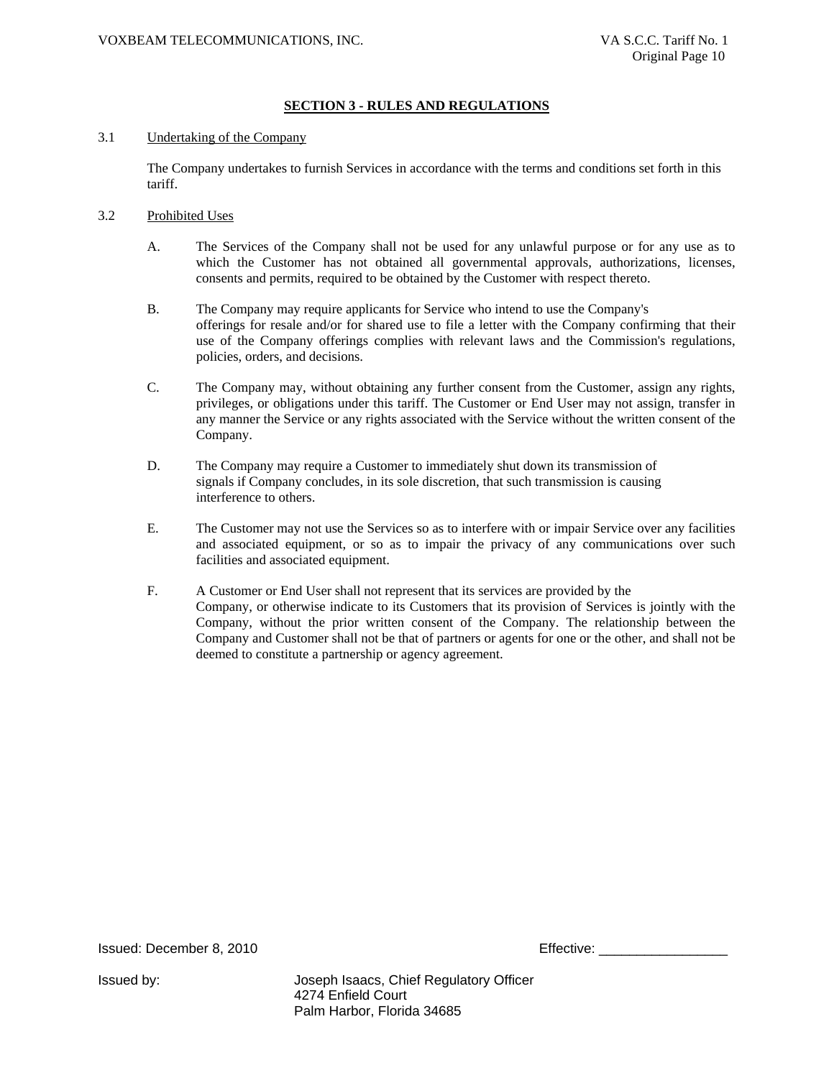# **SECTION 3 - RULES AND REGULATIONS**

#### 3.1 Undertaking of the Company

The Company undertakes to furnish Services in accordance with the terms and conditions set forth in this tariff.

- 3.2 Prohibited Uses
	- A. The Services of the Company shall not be used for any unlawful purpose or for any use as to which the Customer has not obtained all governmental approvals, authorizations, licenses, consents and permits, required to be obtained by the Customer with respect thereto.
	- B. The Company may require applicants for Service who intend to use the Company's offerings for resale and/or for shared use to file a letter with the Company confirming that their use of the Company offerings complies with relevant laws and the Commission's regulations, policies, orders, and decisions.
	- C. The Company may, without obtaining any further consent from the Customer, assign any rights, privileges, or obligations under this tariff. The Customer or End User may not assign, transfer in any manner the Service or any rights associated with the Service without the written consent of the Company.
	- D. The Company may require a Customer to immediately shut down its transmission of signals if Company concludes, in its sole discretion, that such transmission is causing interference to others.
	- E. The Customer may not use the Services so as to interfere with or impair Service over any facilities and associated equipment, or so as to impair the privacy of any communications over such facilities and associated equipment.
	- F. A Customer or End User shall not represent that its services are provided by the Company, or otherwise indicate to its Customers that its provision of Services is jointly with the Company, without the prior written consent of the Company. The relationship between the Company and Customer shall not be that of partners or agents for one or the other, and shall not be deemed to constitute a partnership or agency agreement.

Issued: December 8, 2010 Effective: \_\_\_\_\_\_\_\_\_\_\_\_\_\_\_\_\_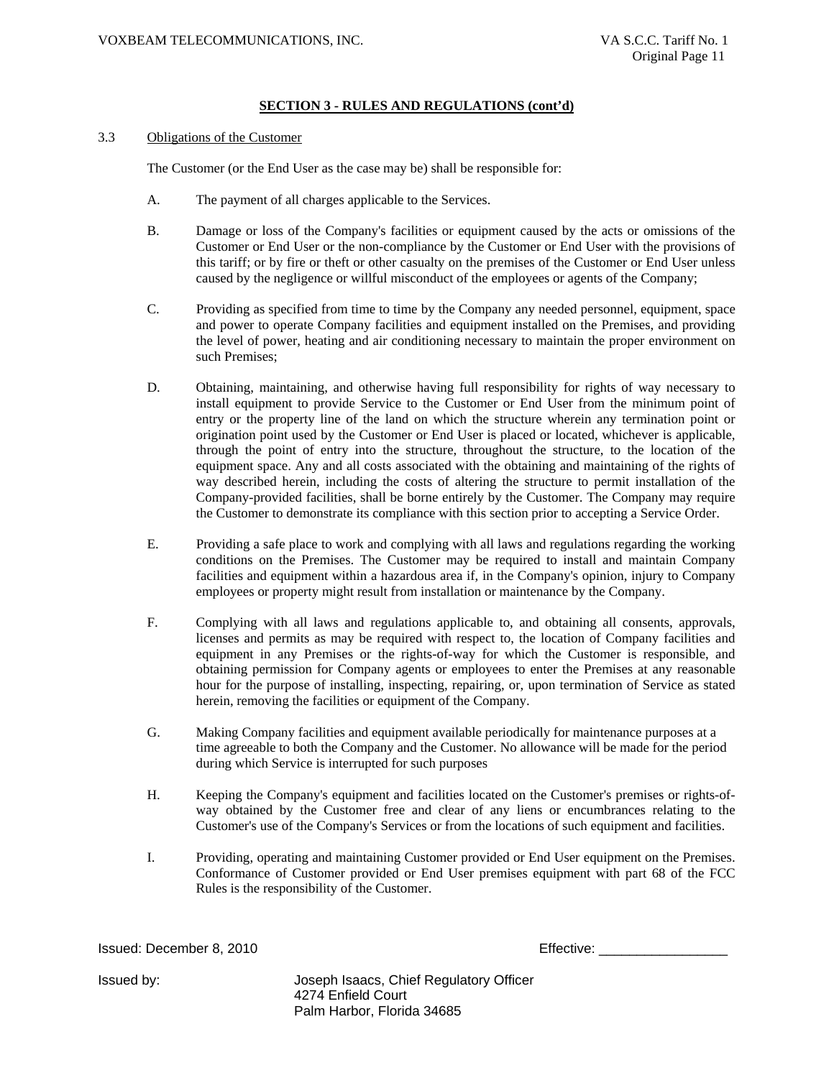#### 3.3 Obligations of the Customer

The Customer (or the End User as the case may be) shall be responsible for:

- A. The payment of all charges applicable to the Services.
- B. Damage or loss of the Company's facilities or equipment caused by the acts or omissions of the Customer or End User or the non-compliance by the Customer or End User with the provisions of this tariff; or by fire or theft or other casualty on the premises of the Customer or End User unless caused by the negligence or willful misconduct of the employees or agents of the Company;
- C. Providing as specified from time to time by the Company any needed personnel, equipment, space and power to operate Company facilities and equipment installed on the Premises, and providing the level of power, heating and air conditioning necessary to maintain the proper environment on such Premises;
- D. Obtaining, maintaining, and otherwise having full responsibility for rights of way necessary to install equipment to provide Service to the Customer or End User from the minimum point of entry or the property line of the land on which the structure wherein any termination point or origination point used by the Customer or End User is placed or located, whichever is applicable, through the point of entry into the structure, throughout the structure, to the location of the equipment space. Any and all costs associated with the obtaining and maintaining of the rights of way described herein, including the costs of altering the structure to permit installation of the Company-provided facilities, shall be borne entirely by the Customer. The Company may require the Customer to demonstrate its compliance with this section prior to accepting a Service Order.
- E. Providing a safe place to work and complying with all laws and regulations regarding the working conditions on the Premises. The Customer may be required to install and maintain Company facilities and equipment within a hazardous area if, in the Company's opinion, injury to Company employees or property might result from installation or maintenance by the Company.
- F. Complying with all laws and regulations applicable to, and obtaining all consents, approvals, licenses and permits as may be required with respect to, the location of Company facilities and equipment in any Premises or the rights-of-way for which the Customer is responsible, and obtaining permission for Company agents or employees to enter the Premises at any reasonable hour for the purpose of installing, inspecting, repairing, or, upon termination of Service as stated herein, removing the facilities or equipment of the Company.
- G. Making Company facilities and equipment available periodically for maintenance purposes at a time agreeable to both the Company and the Customer. No allowance will be made for the period during which Service is interrupted for such purposes
- H. Keeping the Company's equipment and facilities located on the Customer's premises or rights-ofway obtained by the Customer free and clear of any liens or encumbrances relating to the Customer's use of the Company's Services or from the locations of such equipment and facilities.
- I. Providing, operating and maintaining Customer provided or End User equipment on the Premises. Conformance of Customer provided or End User premises equipment with part 68 of the FCC Rules is the responsibility of the Customer.

**Issued: December 8, 2010 Effective: Effective: Effective: Effective: Effective: Effective: Effective: Effective: Effective: Effective: Effective: Effective: Effective: Effective: Effective:**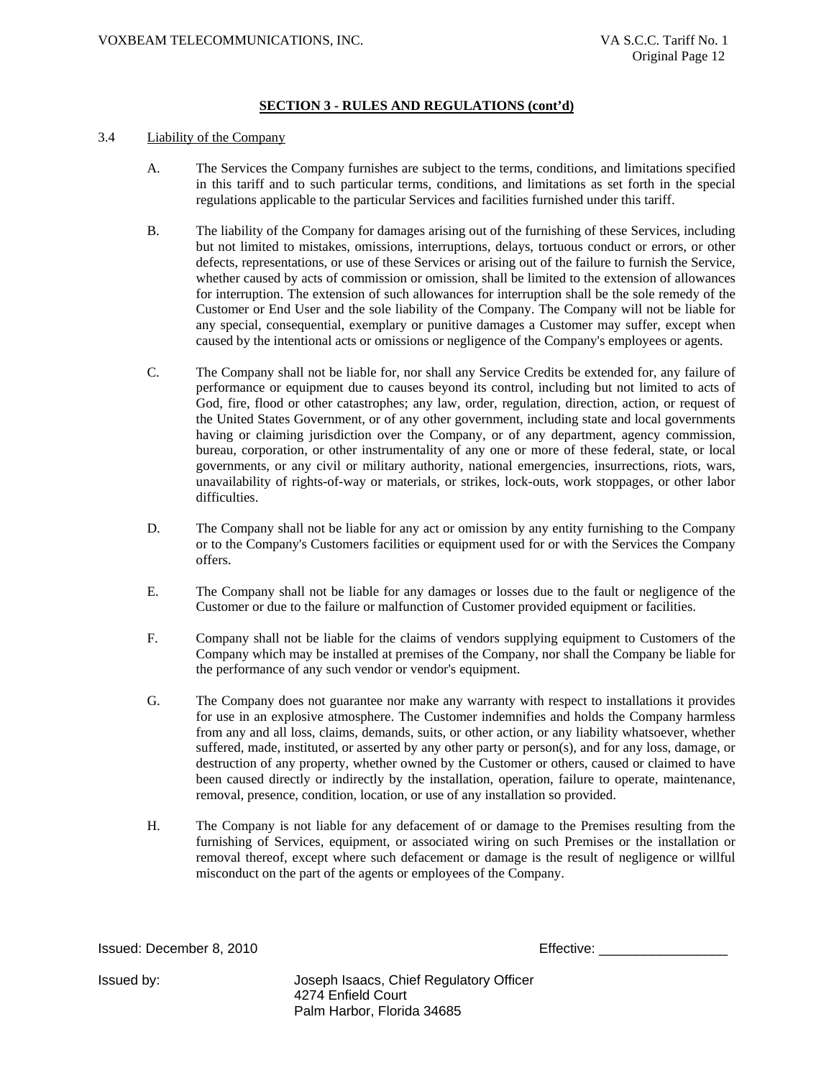#### 3.4 Liability of the Company

- A. The Services the Company furnishes are subject to the terms, conditions, and limitations specified in this tariff and to such particular terms, conditions, and limitations as set forth in the special regulations applicable to the particular Services and facilities furnished under this tariff.
- B. The liability of the Company for damages arising out of the furnishing of these Services, including but not limited to mistakes, omissions, interruptions, delays, tortuous conduct or errors, or other defects, representations, or use of these Services or arising out of the failure to furnish the Service, whether caused by acts of commission or omission, shall be limited to the extension of allowances for interruption. The extension of such allowances for interruption shall be the sole remedy of the Customer or End User and the sole liability of the Company. The Company will not be liable for any special, consequential, exemplary or punitive damages a Customer may suffer, except when caused by the intentional acts or omissions or negligence of the Company's employees or agents.
- C. The Company shall not be liable for, nor shall any Service Credits be extended for, any failure of performance or equipment due to causes beyond its control, including but not limited to acts of God, fire, flood or other catastrophes; any law, order, regulation, direction, action, or request of the United States Government, or of any other government, including state and local governments having or claiming jurisdiction over the Company, or of any department, agency commission, bureau, corporation, or other instrumentality of any one or more of these federal, state, or local governments, or any civil or military authority, national emergencies, insurrections, riots, wars, unavailability of rights-of-way or materials, or strikes, lock-outs, work stoppages, or other labor difficulties.
- D. The Company shall not be liable for any act or omission by any entity furnishing to the Company or to the Company's Customers facilities or equipment used for or with the Services the Company offers.
- E. The Company shall not be liable for any damages or losses due to the fault or negligence of the Customer or due to the failure or malfunction of Customer provided equipment or facilities.
- F. Company shall not be liable for the claims of vendors supplying equipment to Customers of the Company which may be installed at premises of the Company, nor shall the Company be liable for the performance of any such vendor or vendor's equipment.
- G. The Company does not guarantee nor make any warranty with respect to installations it provides for use in an explosive atmosphere. The Customer indemnifies and holds the Company harmless from any and all loss, claims, demands, suits, or other action, or any liability whatsoever, whether suffered, made, instituted, or asserted by any other party or person(s), and for any loss, damage, or destruction of any property, whether owned by the Customer or others, caused or claimed to have been caused directly or indirectly by the installation, operation, failure to operate, maintenance, removal, presence, condition, location, or use of any installation so provided.
- H. The Company is not liable for any defacement of or damage to the Premises resulting from the furnishing of Services, equipment, or associated wiring on such Premises or the installation or removal thereof, except where such defacement or damage is the result of negligence or willful misconduct on the part of the agents or employees of the Company.

Issued: December 8, 2010 Effective: \_\_\_\_\_\_\_\_\_\_\_\_\_\_\_\_\_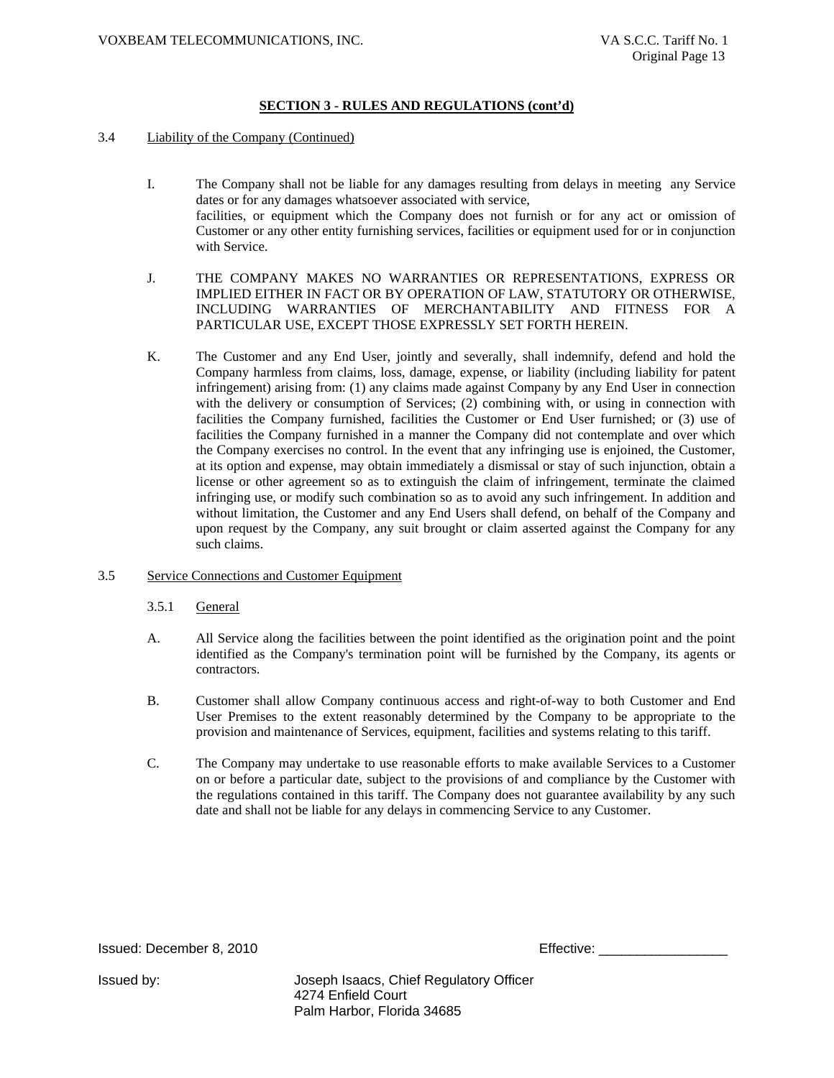#### 3.4 Liability of the Company (Continued)

- I. The Company shall not be liable for any damages resulting from delays in meeting any Service dates or for any damages whatsoever associated with service, facilities, or equipment which the Company does not furnish or for any act or omission of Customer or any other entity furnishing services, facilities or equipment used for or in conjunction with Service.
- J. THE COMPANY MAKES NO WARRANTIES OR REPRESENTATIONS, EXPRESS OR IMPLIED EITHER IN FACT OR BY OPERATION OF LAW, STATUTORY OR OTHERWISE, INCLUDING WARRANTIES OF MERCHANTABILITY AND FITNESS FOR A PARTICULAR USE, EXCEPT THOSE EXPRESSLY SET FORTH HEREIN.
- K. The Customer and any End User, jointly and severally, shall indemnify, defend and hold the Company harmless from claims, loss, damage, expense, or liability (including liability for patent infringement) arising from: (1) any claims made against Company by any End User in connection with the delivery or consumption of Services; (2) combining with, or using in connection with facilities the Company furnished, facilities the Customer or End User furnished; or (3) use of facilities the Company furnished in a manner the Company did not contemplate and over which the Company exercises no control. In the event that any infringing use is enjoined, the Customer, at its option and expense, may obtain immediately a dismissal or stay of such injunction, obtain a license or other agreement so as to extinguish the claim of infringement, terminate the claimed infringing use, or modify such combination so as to avoid any such infringement. In addition and without limitation, the Customer and any End Users shall defend, on behalf of the Company and upon request by the Company, any suit brought or claim asserted against the Company for any such claims.
- 3.5 Service Connections and Customer Equipment
	- 3.5.1 General
	- A. All Service along the facilities between the point identified as the origination point and the point identified as the Company's termination point will be furnished by the Company, its agents or contractors.
	- B. Customer shall allow Company continuous access and right-of-way to both Customer and End User Premises to the extent reasonably determined by the Company to be appropriate to the provision and maintenance of Services, equipment, facilities and systems relating to this tariff.
	- C. The Company may undertake to use reasonable efforts to make available Services to a Customer on or before a particular date, subject to the provisions of and compliance by the Customer with the regulations contained in this tariff. The Company does not guarantee availability by any such date and shall not be liable for any delays in commencing Service to any Customer.

Issued: December 8, 2010 Effective: \_\_\_\_\_\_\_\_\_\_\_\_\_\_\_\_\_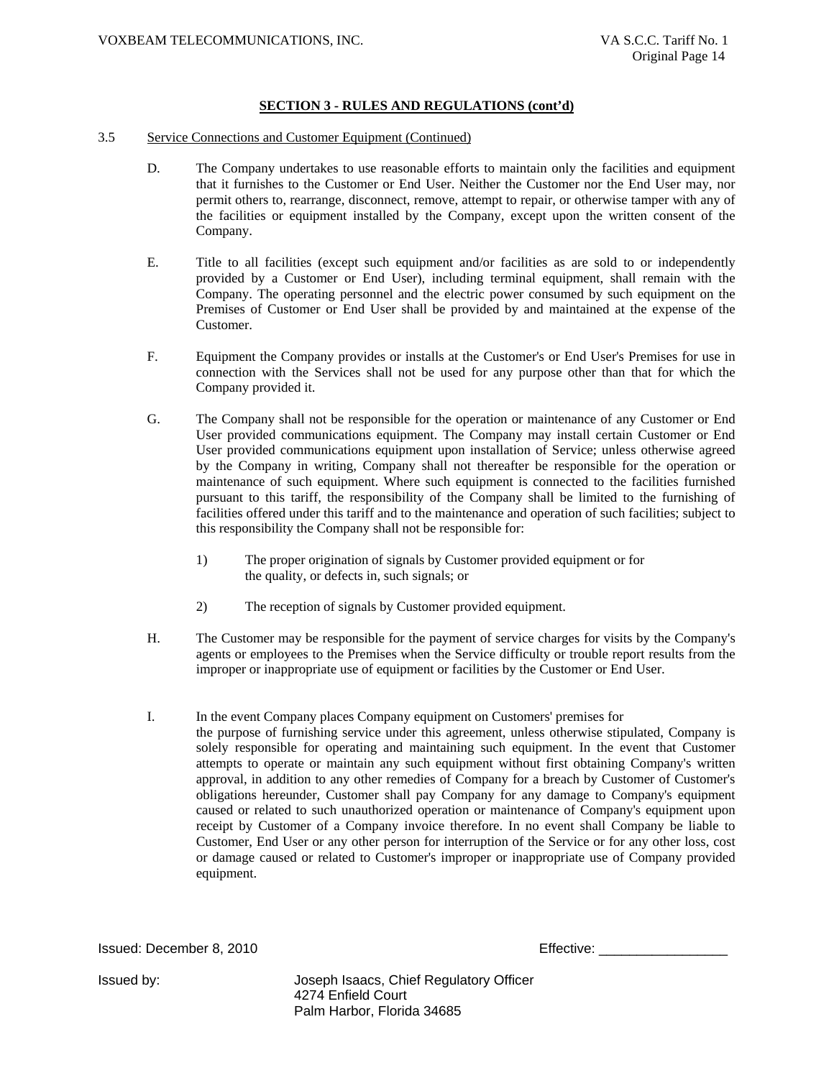#### 3.5 Service Connections and Customer Equipment (Continued)

- D. The Company undertakes to use reasonable efforts to maintain only the facilities and equipment that it furnishes to the Customer or End User. Neither the Customer nor the End User may, nor permit others to, rearrange, disconnect, remove, attempt to repair, or otherwise tamper with any of the facilities or equipment installed by the Company, except upon the written consent of the Company.
- E. Title to all facilities (except such equipment and/or facilities as are sold to or independently provided by a Customer or End User), including terminal equipment, shall remain with the Company. The operating personnel and the electric power consumed by such equipment on the Premises of Customer or End User shall be provided by and maintained at the expense of the Customer.
- F. Equipment the Company provides or installs at the Customer's or End User's Premises for use in connection with the Services shall not be used for any purpose other than that for which the Company provided it.
- G. The Company shall not be responsible for the operation or maintenance of any Customer or End User provided communications equipment. The Company may install certain Customer or End User provided communications equipment upon installation of Service; unless otherwise agreed by the Company in writing, Company shall not thereafter be responsible for the operation or maintenance of such equipment. Where such equipment is connected to the facilities furnished pursuant to this tariff, the responsibility of the Company shall be limited to the furnishing of facilities offered under this tariff and to the maintenance and operation of such facilities; subject to this responsibility the Company shall not be responsible for:
	- 1) The proper origination of signals by Customer provided equipment or for the quality, or defects in, such signals; or
	- 2) The reception of signals by Customer provided equipment.
- H. The Customer may be responsible for the payment of service charges for visits by the Company's agents or employees to the Premises when the Service difficulty or trouble report results from the improper or inappropriate use of equipment or facilities by the Customer or End User.
- I. In the event Company places Company equipment on Customers' premises for

the purpose of furnishing service under this agreement, unless otherwise stipulated, Company is solely responsible for operating and maintaining such equipment. In the event that Customer attempts to operate or maintain any such equipment without first obtaining Company's written approval, in addition to any other remedies of Company for a breach by Customer of Customer's obligations hereunder, Customer shall pay Company for any damage to Company's equipment caused or related to such unauthorized operation or maintenance of Company's equipment upon receipt by Customer of a Company invoice therefore. In no event shall Company be liable to Customer, End User or any other person for interruption of the Service or for any other loss, cost or damage caused or related to Customer's improper or inappropriate use of Company provided equipment.

Issued: December 8, 2010

| Effective: |
|------------|
|------------|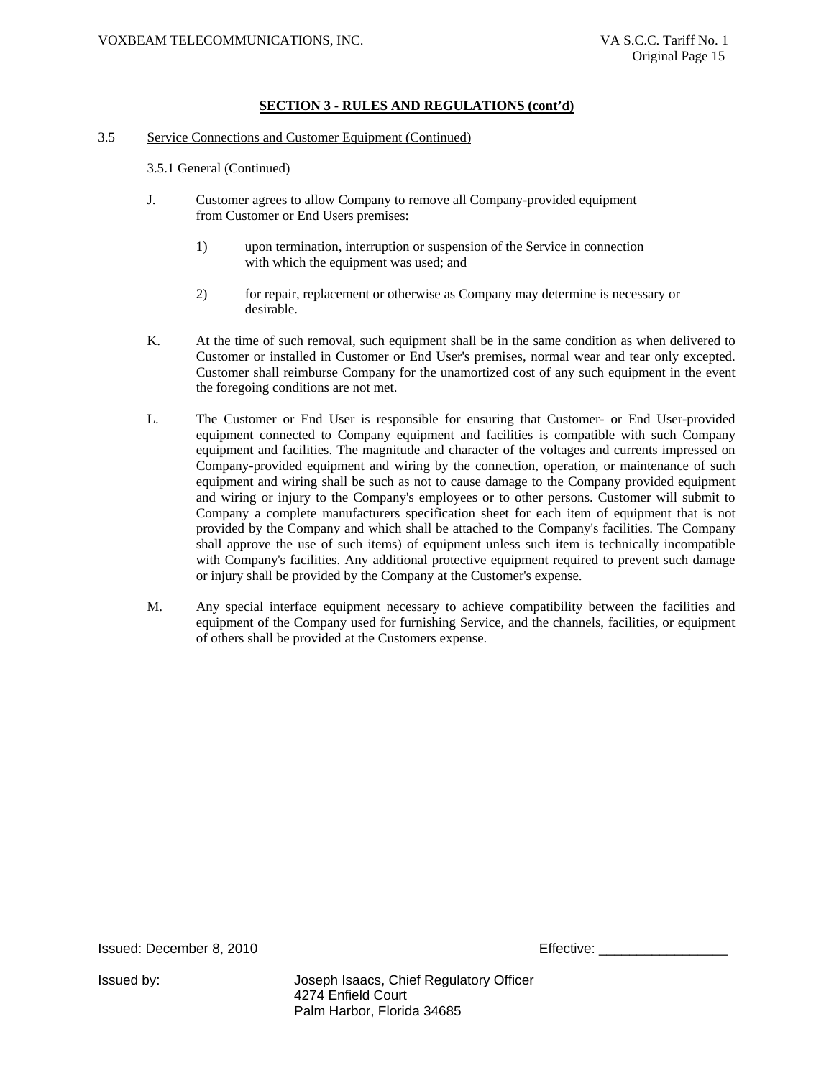#### 3.5 Service Connections and Customer Equipment (Continued)

#### 3.5.1 General (Continued)

- J. Customer agrees to allow Company to remove all Company-provided equipment from Customer or End Users premises:
	- 1) upon termination, interruption or suspension of the Service in connection with which the equipment was used; and
	- 2) for repair, replacement or otherwise as Company may determine is necessary or desirable.
- K. At the time of such removal, such equipment shall be in the same condition as when delivered to Customer or installed in Customer or End User's premises, normal wear and tear only excepted. Customer shall reimburse Company for the unamortized cost of any such equipment in the event the foregoing conditions are not met.
- L. The Customer or End User is responsible for ensuring that Customer- or End User-provided equipment connected to Company equipment and facilities is compatible with such Company equipment and facilities. The magnitude and character of the voltages and currents impressed on Company-provided equipment and wiring by the connection, operation, or maintenance of such equipment and wiring shall be such as not to cause damage to the Company provided equipment and wiring or injury to the Company's employees or to other persons. Customer will submit to Company a complete manufacturers specification sheet for each item of equipment that is not provided by the Company and which shall be attached to the Company's facilities. The Company shall approve the use of such items) of equipment unless such item is technically incompatible with Company's facilities. Any additional protective equipment required to prevent such damage or injury shall be provided by the Company at the Customer's expense.
- M. Any special interface equipment necessary to achieve compatibility between the facilities and equipment of the Company used for furnishing Service, and the channels, facilities, or equipment of others shall be provided at the Customers expense.

Issued: December 8, 2010 Effective: \_\_\_\_\_\_\_\_\_\_\_\_\_\_\_\_\_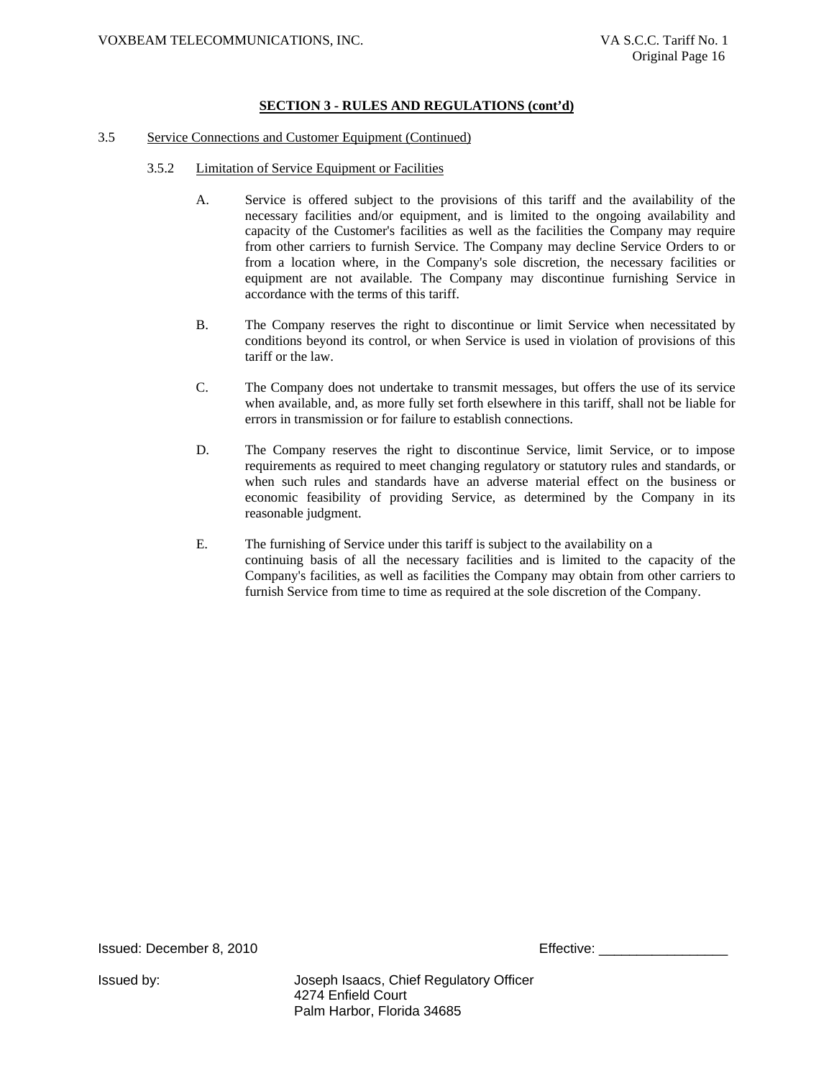#### 3.5 Service Connections and Customer Equipment (Continued)

- 3.5.2 Limitation of Service Equipment or Facilities
	- A. Service is offered subject to the provisions of this tariff and the availability of the necessary facilities and/or equipment, and is limited to the ongoing availability and capacity of the Customer's facilities as well as the facilities the Company may require from other carriers to furnish Service. The Company may decline Service Orders to or from a location where, in the Company's sole discretion, the necessary facilities or equipment are not available. The Company may discontinue furnishing Service in accordance with the terms of this tariff.
	- B. The Company reserves the right to discontinue or limit Service when necessitated by conditions beyond its control, or when Service is used in violation of provisions of this tariff or the law.
	- C. The Company does not undertake to transmit messages, but offers the use of its service when available, and, as more fully set forth elsewhere in this tariff, shall not be liable for errors in transmission or for failure to establish connections.
	- D. The Company reserves the right to discontinue Service, limit Service, or to impose requirements as required to meet changing regulatory or statutory rules and standards, or when such rules and standards have an adverse material effect on the business or economic feasibility of providing Service, as determined by the Company in its reasonable judgment.
	- E. The furnishing of Service under this tariff is subject to the availability on a continuing basis of all the necessary facilities and is limited to the capacity of the Company's facilities, as well as facilities the Company may obtain from other carriers to furnish Service from time to time as required at the sole discretion of the Company.

Issued: December 8, 2010 Effective: \_\_\_\_\_\_\_\_\_\_\_\_\_\_\_\_\_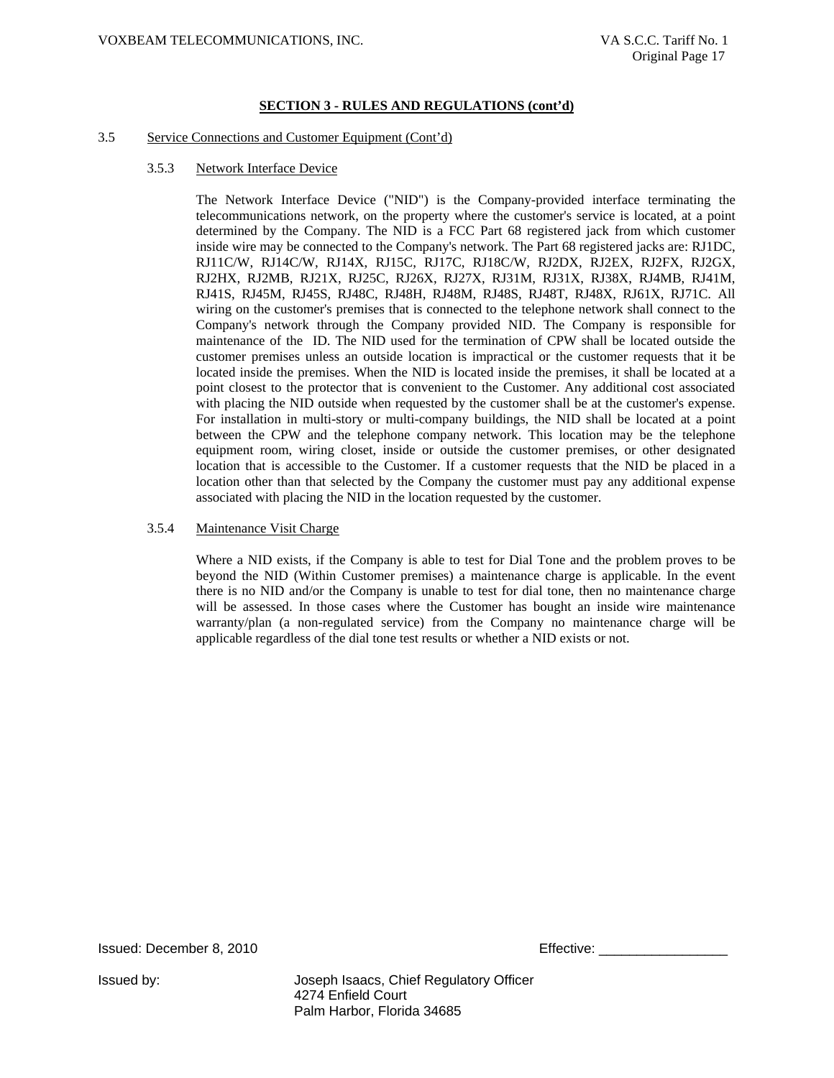#### 3.5 Service Connections and Customer Equipment (Cont'd)

3.5.3 Network Interface Device

The Network Interface Device ("NID") is the Company-provided interface terminating the telecommunications network, on the property where the customer's service is located, at a point determined by the Company. The NID is a FCC Part 68 registered jack from which customer inside wire may be connected to the Company's network. The Part 68 registered jacks are: RJ1DC, RJ11C/W, RJ14C/W, RJ14X, RJ15C, RJ17C, RJ18C/W, RJ2DX, RJ2EX, RJ2FX, RJ2GX, RJ2HX, RJ2MB, RJ21X, RJ25C, RJ26X, RJ27X, RJ31M, RJ31X, RJ38X, RJ4MB, RJ41M, RJ41S, RJ45M, RJ45S, RJ48C, RJ48H, RJ48M, RJ48S, RJ48T, RJ48X, RJ61X, RJ71C. All wiring on the customer's premises that is connected to the telephone network shall connect to the Company's network through the Company provided NID. The Company is responsible for maintenance of the ID. The NID used for the termination of CPW shall be located outside the customer premises unless an outside location is impractical or the customer requests that it be located inside the premises. When the NID is located inside the premises, it shall be located at a point closest to the protector that is convenient to the Customer. Any additional cost associated with placing the NID outside when requested by the customer shall be at the customer's expense. For installation in multi-story or multi-company buildings, the NID shall be located at a point between the CPW and the telephone company network. This location may be the telephone equipment room, wiring closet, inside or outside the customer premises, or other designated location that is accessible to the Customer. If a customer requests that the NID be placed in a location other than that selected by the Company the customer must pay any additional expense associated with placing the NID in the location requested by the customer.

#### 3.5.4 Maintenance Visit Charge

Where a NID exists, if the Company is able to test for Dial Tone and the problem proves to be beyond the NID (Within Customer premises) a maintenance charge is applicable. In the event there is no NID and/or the Company is unable to test for dial tone, then no maintenance charge will be assessed. In those cases where the Customer has bought an inside wire maintenance warranty/plan (a non-regulated service) from the Company no maintenance charge will be applicable regardless of the dial tone test results or whether a NID exists or not.

Issued: December 8, 2010 **Effective: Effective:**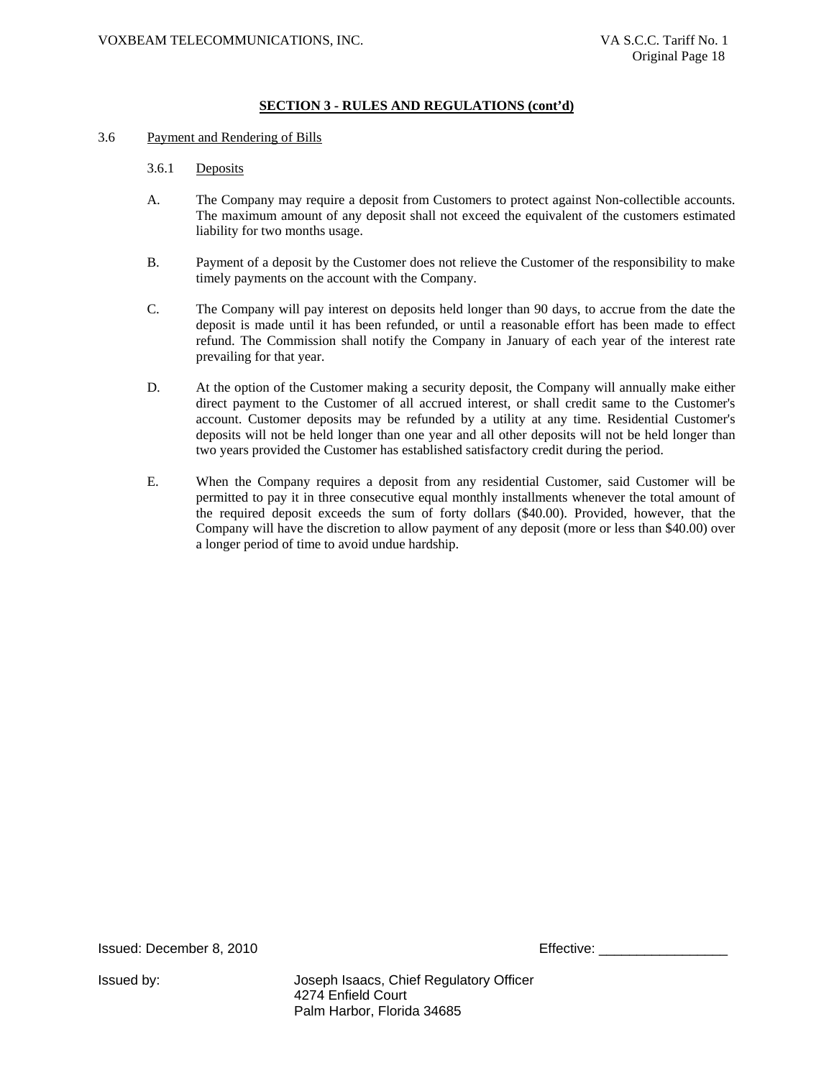#### 3.6 Payment and Rendering of Bills

#### 3.6.1 Deposits

- A. The Company may require a deposit from Customers to protect against Non-collectible accounts. The maximum amount of any deposit shall not exceed the equivalent of the customers estimated liability for two months usage.
- B. Payment of a deposit by the Customer does not relieve the Customer of the responsibility to make timely payments on the account with the Company.
- C. The Company will pay interest on deposits held longer than 90 days, to accrue from the date the deposit is made until it has been refunded, or until a reasonable effort has been made to effect refund. The Commission shall notify the Company in January of each year of the interest rate prevailing for that year.
- D. At the option of the Customer making a security deposit, the Company will annually make either direct payment to the Customer of all accrued interest, or shall credit same to the Customer's account. Customer deposits may be refunded by a utility at any time. Residential Customer's deposits will not be held longer than one year and all other deposits will not be held longer than two years provided the Customer has established satisfactory credit during the period.
- E. When the Company requires a deposit from any residential Customer, said Customer will be permitted to pay it in three consecutive equal monthly installments whenever the total amount of the required deposit exceeds the sum of forty dollars (\$40.00). Provided, however, that the Company will have the discretion to allow payment of any deposit (more or less than \$40.00) over a longer period of time to avoid undue hardship.

Issued: December 8, 2010 **Effective:**  $\blacksquare$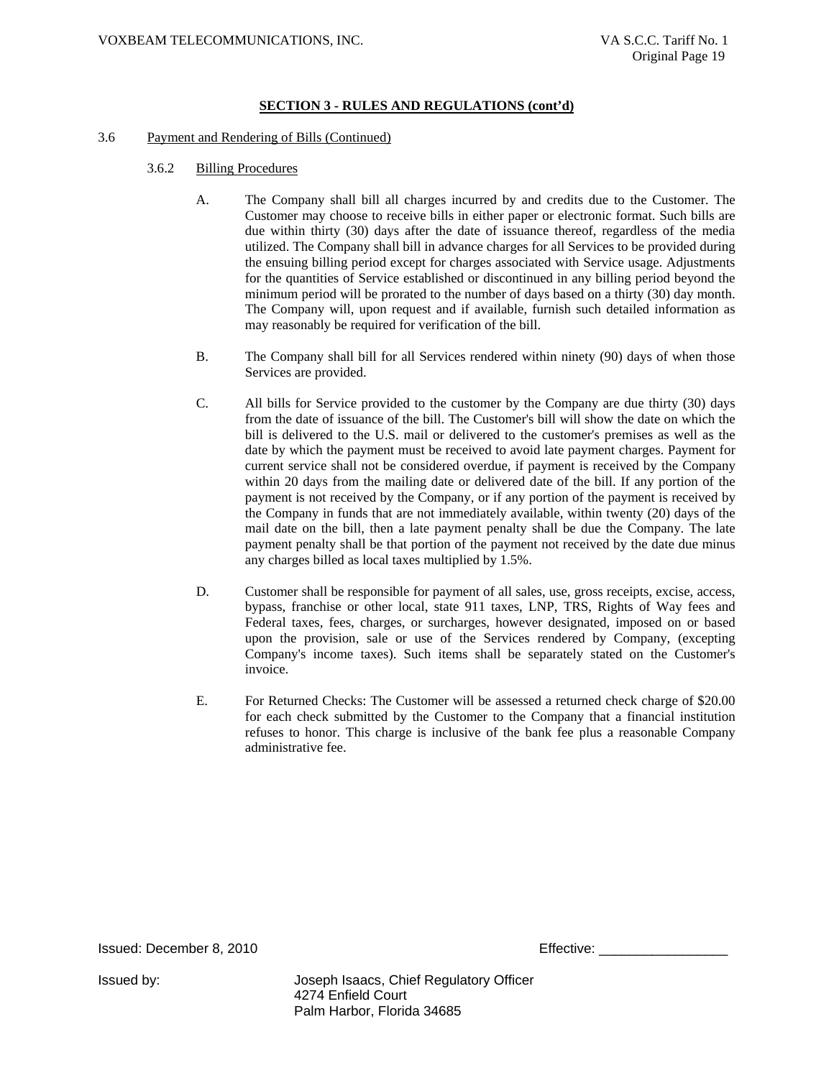#### 3.6 Payment and Rendering of Bills (Continued)

- 3.6.2 Billing Procedures
	- A. The Company shall bill all charges incurred by and credits due to the Customer. The Customer may choose to receive bills in either paper or electronic format. Such bills are due within thirty (30) days after the date of issuance thereof, regardless of the media utilized. The Company shall bill in advance charges for all Services to be provided during the ensuing billing period except for charges associated with Service usage. Adjustments for the quantities of Service established or discontinued in any billing period beyond the minimum period will be prorated to the number of days based on a thirty (30) day month. The Company will, upon request and if available, furnish such detailed information as may reasonably be required for verification of the bill.
	- B. The Company shall bill for all Services rendered within ninety (90) days of when those Services are provided.
	- C. All bills for Service provided to the customer by the Company are due thirty (30) days from the date of issuance of the bill. The Customer's bill will show the date on which the bill is delivered to the U.S. mail or delivered to the customer's premises as well as the date by which the payment must be received to avoid late payment charges. Payment for current service shall not be considered overdue, if payment is received by the Company within 20 days from the mailing date or delivered date of the bill. If any portion of the payment is not received by the Company, or if any portion of the payment is received by the Company in funds that are not immediately available, within twenty (20) days of the mail date on the bill, then a late payment penalty shall be due the Company. The late payment penalty shall be that portion of the payment not received by the date due minus any charges billed as local taxes multiplied by 1.5%.
	- D. Customer shall be responsible for payment of all sales, use, gross receipts, excise, access, bypass, franchise or other local, state 911 taxes, LNP, TRS, Rights of Way fees and Federal taxes, fees, charges, or surcharges, however designated, imposed on or based upon the provision, sale or use of the Services rendered by Company, (excepting Company's income taxes). Such items shall be separately stated on the Customer's invoice.
	- E. For Returned Checks: The Customer will be assessed a returned check charge of \$20.00 for each check submitted by the Customer to the Company that a financial institution refuses to honor. This charge is inclusive of the bank fee plus a reasonable Company administrative fee.

Issued: December 8, 2010 **Effective: Effective:**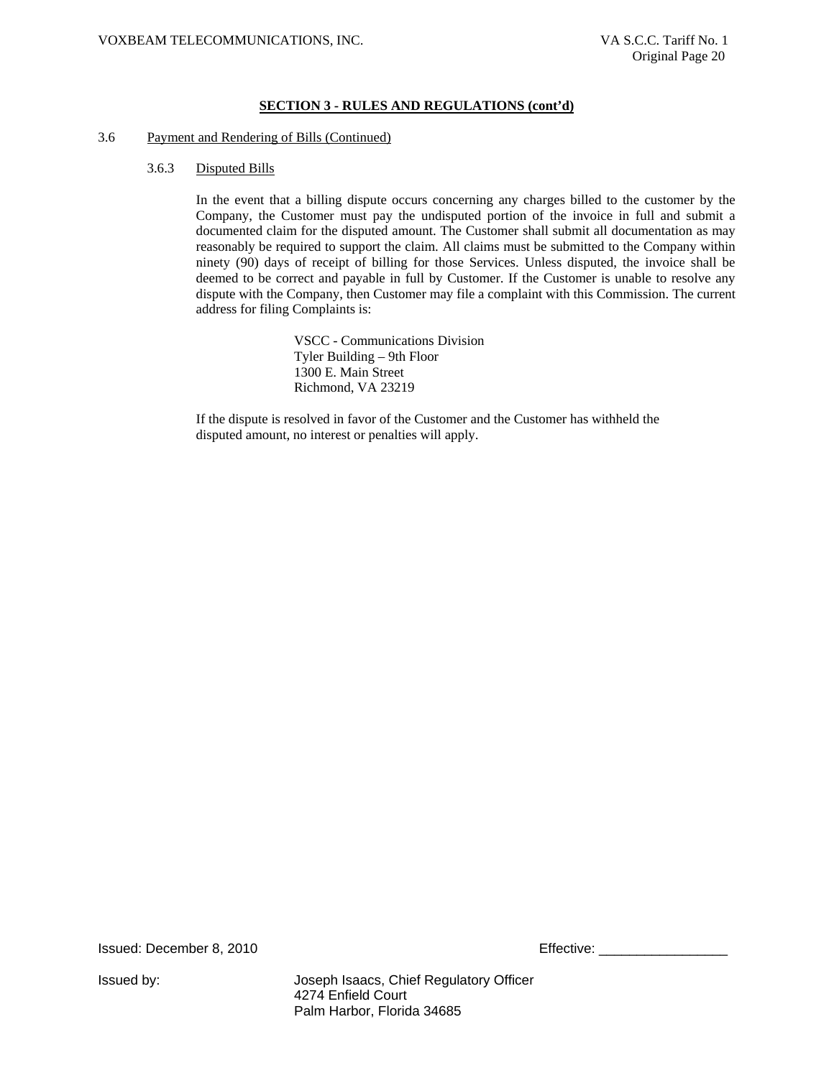#### 3.6 Payment and Rendering of Bills (Continued)

#### 3.6.3 Disputed Bills

In the event that a billing dispute occurs concerning any charges billed to the customer by the Company, the Customer must pay the undisputed portion of the invoice in full and submit a documented claim for the disputed amount. The Customer shall submit all documentation as may reasonably be required to support the claim. All claims must be submitted to the Company within ninety (90) days of receipt of billing for those Services. Unless disputed, the invoice shall be deemed to be correct and payable in full by Customer. If the Customer is unable to resolve any dispute with the Company, then Customer may file a complaint with this Commission. The current address for filing Complaints is:

> VSCC - Communications Division Tyler Building – 9th Floor 1300 E. Main Street Richmond, VA 23219

If the dispute is resolved in favor of the Customer and the Customer has withheld the disputed amount, no interest or penalties will apply.

Issued: December 8, 2010 **Effective: Effective:** \_\_\_\_\_\_\_\_\_\_\_\_\_\_\_\_\_\_\_\_\_\_\_\_\_\_\_\_\_\_\_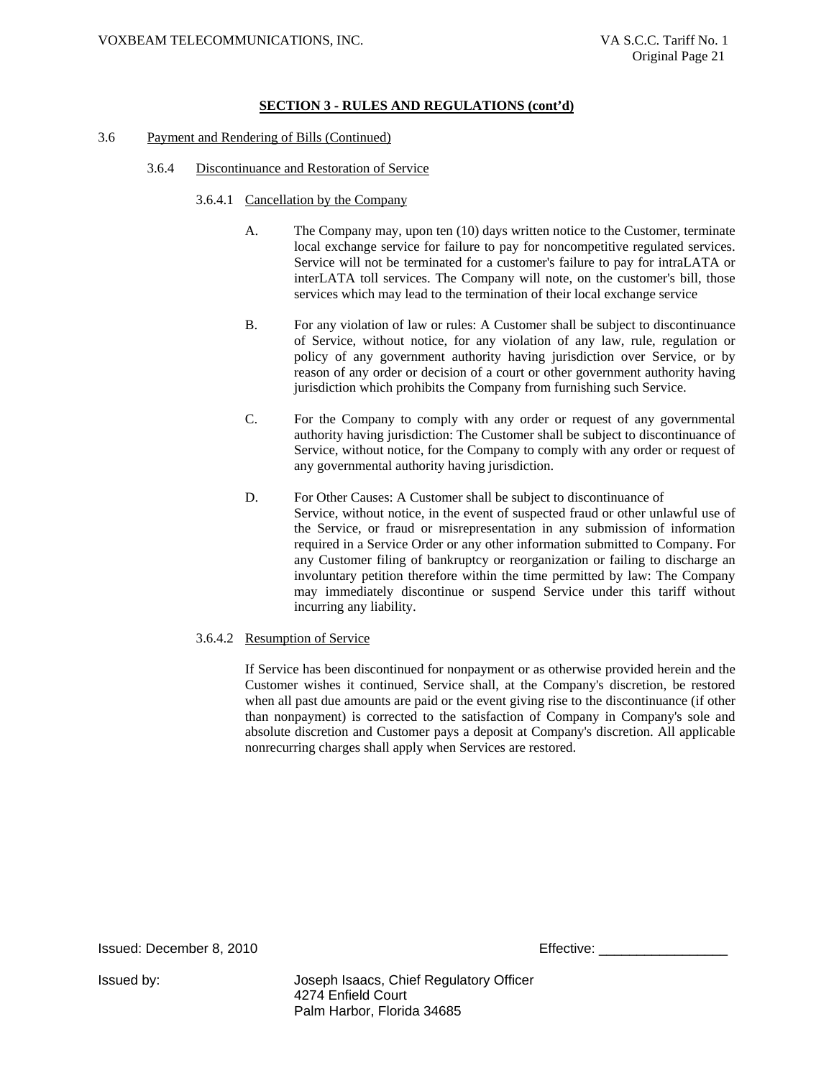- 3.6 Payment and Rendering of Bills (Continued)
	- 3.6.4 Discontinuance and Restoration of Service
		- 3.6.4.1 Cancellation by the Company
			- A. The Company may, upon ten (10) days written notice to the Customer, terminate local exchange service for failure to pay for noncompetitive regulated services. Service will not be terminated for a customer's failure to pay for intraLATA or interLATA toll services. The Company will note, on the customer's bill, those services which may lead to the termination of their local exchange service
			- B. For any violation of law or rules: A Customer shall be subject to discontinuance of Service, without notice, for any violation of any law, rule, regulation or policy of any government authority having jurisdiction over Service, or by reason of any order or decision of a court or other government authority having jurisdiction which prohibits the Company from furnishing such Service.
			- C. For the Company to comply with any order or request of any governmental authority having jurisdiction: The Customer shall be subject to discontinuance of Service, without notice, for the Company to comply with any order or request of any governmental authority having jurisdiction.
			- D. For Other Causes: A Customer shall be subject to discontinuance of Service, without notice, in the event of suspected fraud or other unlawful use of the Service, or fraud or misrepresentation in any submission of information required in a Service Order or any other information submitted to Company. For any Customer filing of bankruptcy or reorganization or failing to discharge an involuntary petition therefore within the time permitted by law: The Company may immediately discontinue or suspend Service under this tariff without incurring any liability.

#### 3.6.4.2 Resumption of Service

If Service has been discontinued for nonpayment or as otherwise provided herein and the Customer wishes it continued, Service shall, at the Company's discretion, be restored when all past due amounts are paid or the event giving rise to the discontinuance (if other than nonpayment) is corrected to the satisfaction of Company in Company's sole and absolute discretion and Customer pays a deposit at Company's discretion. All applicable nonrecurring charges shall apply when Services are restored.

Issued: December 8, 2010 **Effective:**  $\blacksquare$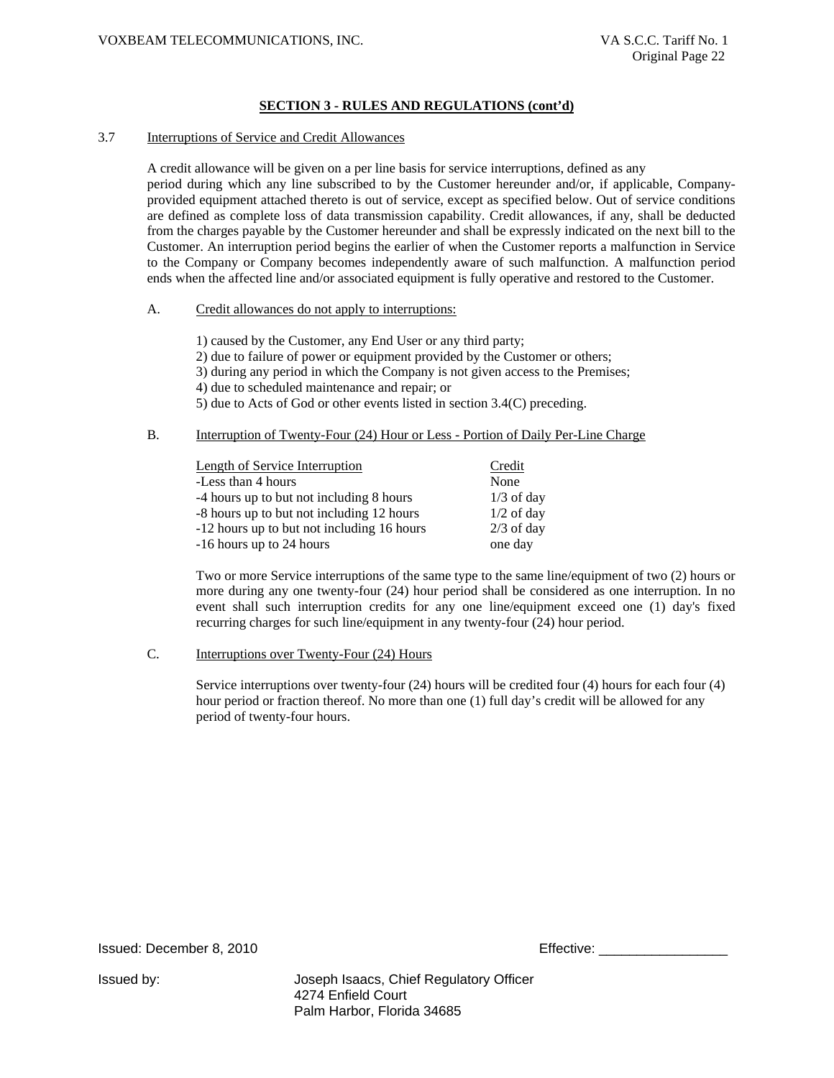#### 3.7 Interruptions of Service and Credit Allowances

A credit allowance will be given on a per line basis for service interruptions, defined as any period during which any line subscribed to by the Customer hereunder and/or, if applicable, Companyprovided equipment attached thereto is out of service, except as specified below. Out of service conditions are defined as complete loss of data transmission capability. Credit allowances, if any, shall be deducted from the charges payable by the Customer hereunder and shall be expressly indicated on the next bill to the Customer. An interruption period begins the earlier of when the Customer reports a malfunction in Service to the Company or Company becomes independently aware of such malfunction. A malfunction period ends when the affected line and/or associated equipment is fully operative and restored to the Customer.

#### A. Credit allowances do not apply to interruptions:

1) caused by the Customer, any End User or any third party;

2) due to failure of power or equipment provided by the Customer or others;

3) during any period in which the Company is not given access to the Premises;

4) due to scheduled maintenance and repair; or

5) due to Acts of God or other events listed in section 3.4(C) preceding.

## B. Interruption of Twenty-Four (24) Hour or Less - Portion of Daily Per-Line Charge

| <b>Length of Service Interruption</b>      | Credit       |
|--------------------------------------------|--------------|
| -Less than 4 hours                         | None         |
| -4 hours up to but not including 8 hours   | $1/3$ of day |
| -8 hours up to but not including 12 hours  | $1/2$ of day |
| -12 hours up to but not including 16 hours | $2/3$ of day |
| -16 hours up to 24 hours                   | one day      |

Two or more Service interruptions of the same type to the same line/equipment of two (2) hours or more during any one twenty-four (24) hour period shall be considered as one interruption. In no event shall such interruption credits for any one line/equipment exceed one (1) day's fixed recurring charges for such line/equipment in any twenty-four (24) hour period.

#### C. Interruptions over Twenty-Four (24) Hours

Service interruptions over twenty-four (24) hours will be credited four (4) hours for each four (4) hour period or fraction thereof. No more than one (1) full day's credit will be allowed for any period of twenty-four hours.

Issued: December 8, 2010 **Effective:**  $\blacksquare$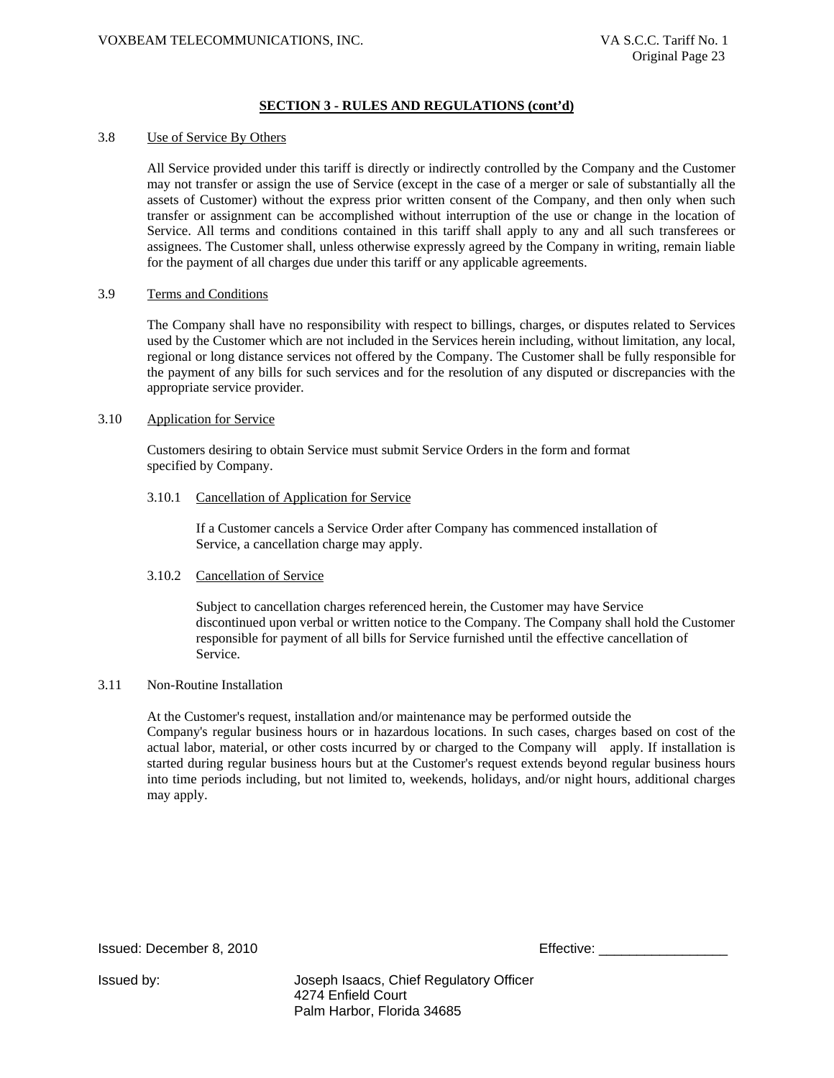#### 3.8 Use of Service By Others

All Service provided under this tariff is directly or indirectly controlled by the Company and the Customer may not transfer or assign the use of Service (except in the case of a merger or sale of substantially all the assets of Customer) without the express prior written consent of the Company, and then only when such transfer or assignment can be accomplished without interruption of the use or change in the location of Service. All terms and conditions contained in this tariff shall apply to any and all such transferees or assignees. The Customer shall, unless otherwise expressly agreed by the Company in writing, remain liable for the payment of all charges due under this tariff or any applicable agreements.

#### 3.9 Terms and Conditions

The Company shall have no responsibility with respect to billings, charges, or disputes related to Services used by the Customer which are not included in the Services herein including, without limitation, any local, regional or long distance services not offered by the Company. The Customer shall be fully responsible for the payment of any bills for such services and for the resolution of any disputed or discrepancies with the appropriate service provider.

#### 3.10 Application for Service

Customers desiring to obtain Service must submit Service Orders in the form and format specified by Company.

#### 3.10.1 Cancellation of Application for Service

If a Customer cancels a Service Order after Company has commenced installation of Service, a cancellation charge may apply.

#### 3.10.2 Cancellation of Service

Subject to cancellation charges referenced herein, the Customer may have Service discontinued upon verbal or written notice to the Company. The Company shall hold the Customer responsible for payment of all bills for Service furnished until the effective cancellation of Service.

#### 3.11 Non-Routine Installation

At the Customer's request, installation and/or maintenance may be performed outside the Company's regular business hours or in hazardous locations. In such cases, charges based on cost of the actual labor, material, or other costs incurred by or charged to the Company will apply. If installation is started during regular business hours but at the Customer's request extends beyond regular business hours into time periods including, but not limited to, weekends, holidays, and/or night hours, additional charges may apply.

Issued: December 8, 2010 **Effective: Effective:** \_\_\_\_\_\_\_\_\_\_\_\_\_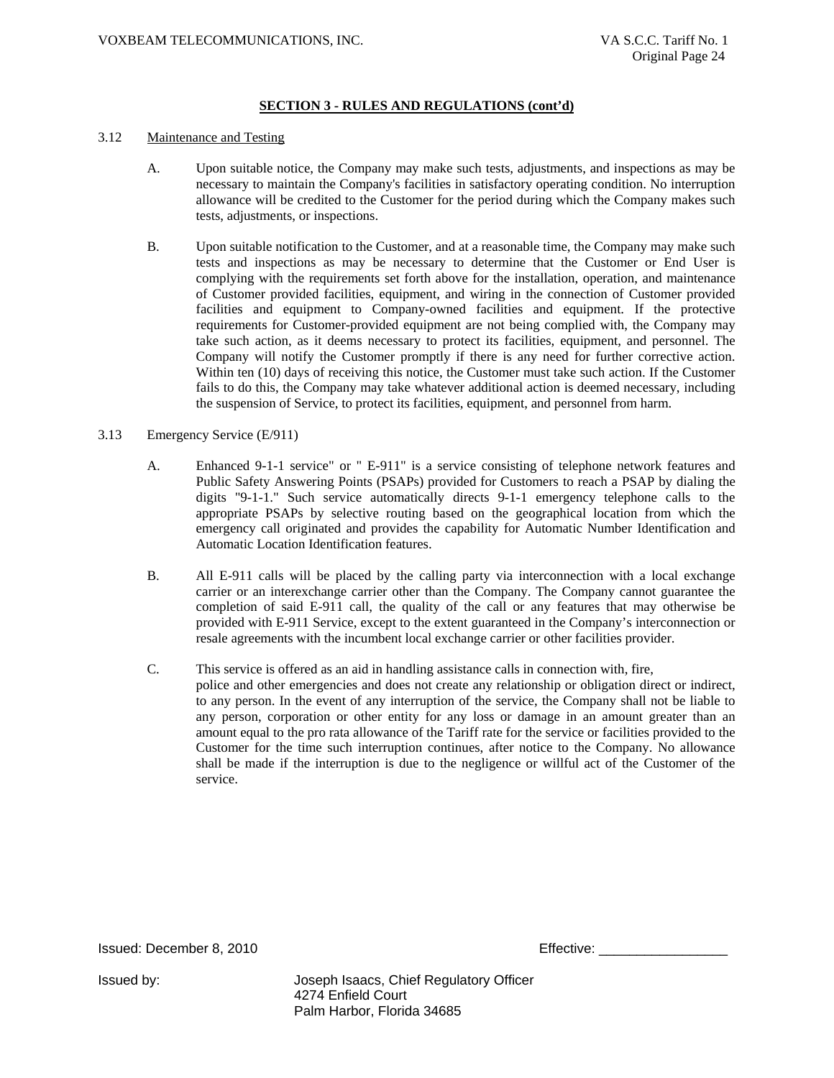#### 3.12 Maintenance and Testing

- A. Upon suitable notice, the Company may make such tests, adjustments, and inspections as may be necessary to maintain the Company's facilities in satisfactory operating condition. No interruption allowance will be credited to the Customer for the period during which the Company makes such tests, adjustments, or inspections.
- B. Upon suitable notification to the Customer, and at a reasonable time, the Company may make such tests and inspections as may be necessary to determine that the Customer or End User is complying with the requirements set forth above for the installation, operation, and maintenance of Customer provided facilities, equipment, and wiring in the connection of Customer provided facilities and equipment to Company-owned facilities and equipment. If the protective requirements for Customer-provided equipment are not being complied with, the Company may take such action, as it deems necessary to protect its facilities, equipment, and personnel. The Company will notify the Customer promptly if there is any need for further corrective action. Within ten (10) days of receiving this notice, the Customer must take such action. If the Customer fails to do this, the Company may take whatever additional action is deemed necessary, including the suspension of Service, to protect its facilities, equipment, and personnel from harm.

#### 3.13 Emergency Service (E/911)

- A. Enhanced 9-1-1 service" or " E-911" is a service consisting of telephone network features and Public Safety Answering Points (PSAPs) provided for Customers to reach a PSAP by dialing the digits "9-1-1." Such service automatically directs 9-1-1 emergency telephone calls to the appropriate PSAPs by selective routing based on the geographical location from which the emergency call originated and provides the capability for Automatic Number Identification and Automatic Location Identification features.
- B. All E-911 calls will be placed by the calling party via interconnection with a local exchange carrier or an interexchange carrier other than the Company. The Company cannot guarantee the completion of said E-911 call, the quality of the call or any features that may otherwise be provided with E-911 Service, except to the extent guaranteed in the Company's interconnection or resale agreements with the incumbent local exchange carrier or other facilities provider.
- C. This service is offered as an aid in handling assistance calls in connection with, fire, police and other emergencies and does not create any relationship or obligation direct or indirect, to any person. In the event of any interruption of the service, the Company shall not be liable to any person, corporation or other entity for any loss or damage in an amount greater than an amount equal to the pro rata allowance of the Tariff rate for the service or facilities provided to the Customer for the time such interruption continues, after notice to the Company. No allowance shall be made if the interruption is due to the negligence or willful act of the Customer of the service.

Issued: December 8, 2010

| Effective: |  |  |  |  |
|------------|--|--|--|--|
|------------|--|--|--|--|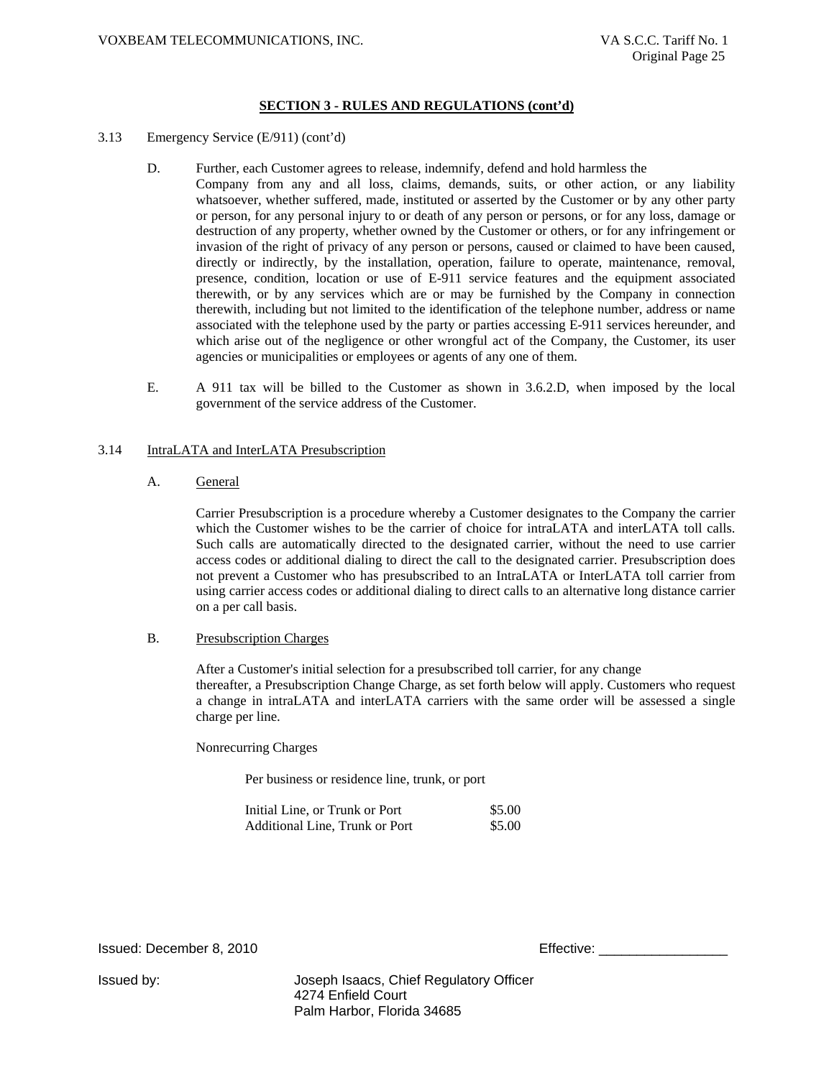- 3.13 Emergency Service (E/911) (cont'd)
	- D. Further, each Customer agrees to release, indemnify, defend and hold harmless the Company from any and all loss, claims, demands, suits, or other action, or any liability whatsoever, whether suffered, made, instituted or asserted by the Customer or by any other party or person, for any personal injury to or death of any person or persons, or for any loss, damage or destruction of any property, whether owned by the Customer or others, or for any infringement or invasion of the right of privacy of any person or persons, caused or claimed to have been caused, directly or indirectly, by the installation, operation, failure to operate, maintenance, removal, presence, condition, location or use of E-911 service features and the equipment associated
		- therewith, or by any services which are or may be furnished by the Company in connection therewith, including but not limited to the identification of the telephone number, address or name associated with the telephone used by the party or parties accessing E-911 services hereunder, and which arise out of the negligence or other wrongful act of the Company, the Customer, its user agencies or municipalities or employees or agents of any one of them.
	- E. A 911 tax will be billed to the Customer as shown in 3.6.2.D, when imposed by the local government of the service address of the Customer.

#### 3.14 IntraLATA and InterLATA Presubscription

A. General

Carrier Presubscription is a procedure whereby a Customer designates to the Company the carrier which the Customer wishes to be the carrier of choice for intraLATA and interLATA toll calls. Such calls are automatically directed to the designated carrier, without the need to use carrier access codes or additional dialing to direct the call to the designated carrier. Presubscription does not prevent a Customer who has presubscribed to an IntraLATA or InterLATA toll carrier from using carrier access codes or additional dialing to direct calls to an alternative long distance carrier on a per call basis.

#### B. Presubscription Charges

After a Customer's initial selection for a presubscribed toll carrier, for any change thereafter, a Presubscription Change Charge, as set forth below will apply. Customers who request a change in intraLATA and interLATA carriers with the same order will be assessed a single charge per line.

Nonrecurring Charges

Per business or residence line, trunk, or port

| Initial Line, or Trunk or Port | \$5.00 |
|--------------------------------|--------|
| Additional Line, Trunk or Port | \$5.00 |

Issued: December 8, 2010 **Effective: Effective:**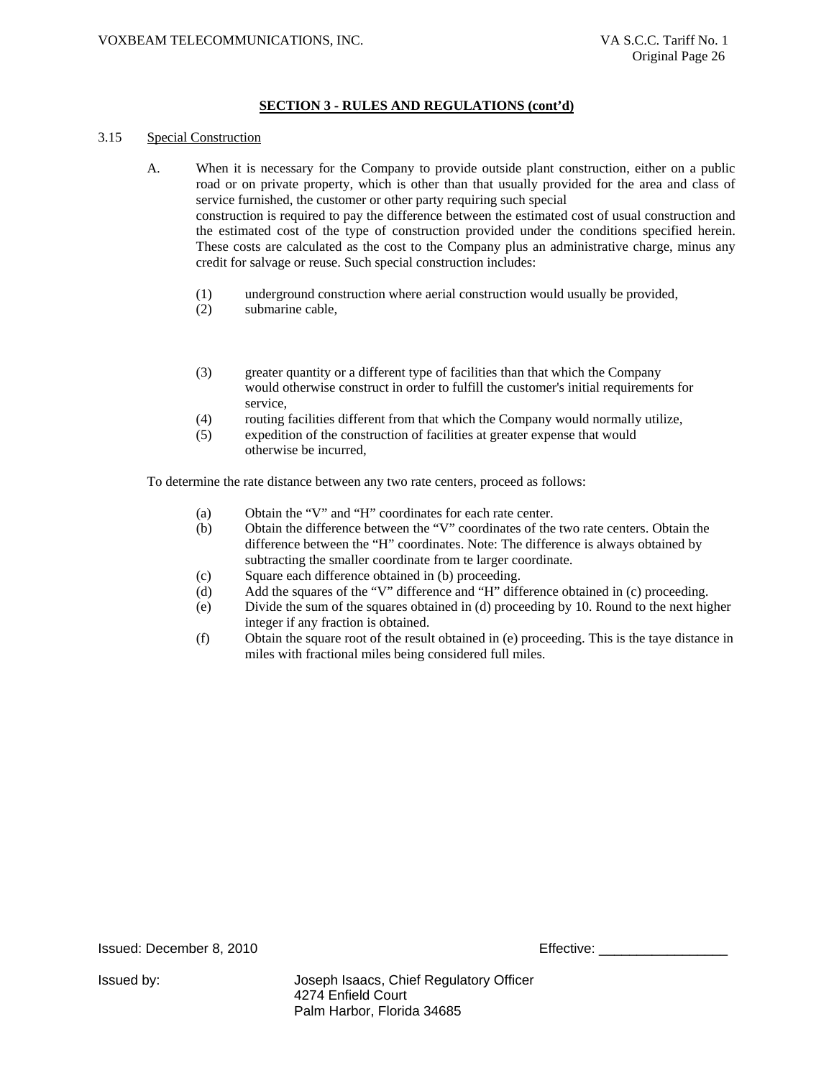#### 3.15 Special Construction

- A. When it is necessary for the Company to provide outside plant construction, either on a public road or on private property, which is other than that usually provided for the area and class of service furnished, the customer or other party requiring such special construction is required to pay the difference between the estimated cost of usual construction and the estimated cost of the type of construction provided under the conditions specified herein. These costs are calculated as the cost to the Company plus an administrative charge, minus any credit for salvage or reuse. Such special construction includes:
	- (1) underground construction where aerial construction would usually be provided,
	- (2) submarine cable,
	- (3) greater quantity or a different type of facilities than that which the Company would otherwise construct in order to fulfill the customer's initial requirements for service,
	- (4) routing facilities different from that which the Company would normally utilize,
	- (5) expedition of the construction of facilities at greater expense that would otherwise be incurred,

To determine the rate distance between any two rate centers, proceed as follows:

- (a) Obtain the "V" and "H" coordinates for each rate center.
- (b) Obtain the difference between the "V" coordinates of the two rate centers. Obtain the difference between the "H" coordinates. Note: The difference is always obtained by subtracting the smaller coordinate from te larger coordinate.
- (c) Square each difference obtained in (b) proceeding.
- (d) Add the squares of the "V" difference and "H" difference obtained in (c) proceeding.
- (e) Divide the sum of the squares obtained in (d) proceeding by 10. Round to the next higher integer if any fraction is obtained.
- (f) Obtain the square root of the result obtained in (e) proceeding. This is the taye distance in miles with fractional miles being considered full miles.

Issued: December 8, 2010 Effective: \_\_\_\_\_\_\_\_\_\_\_\_\_\_\_\_\_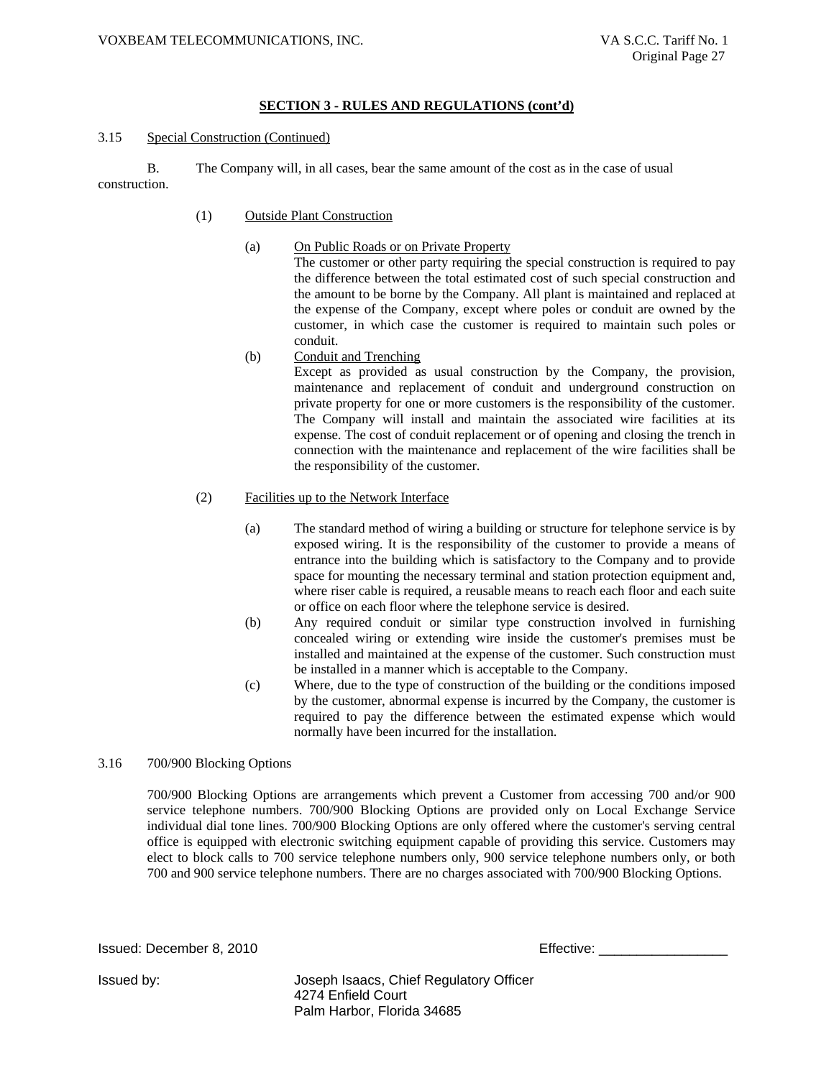#### 3.15 Special Construction (Continued)

B. The Company will, in all cases, bear the same amount of the cost as in the case of usual construction.

- (1) Outside Plant Construction
	- (a) On Public Roads or on Private Property The customer or other party requiring the special construction is required to pay the difference between the total estimated cost of such special construction and the amount to be borne by the Company. All plant is maintained and replaced at the expense of the Company, except where poles or conduit are owned by the customer, in which case the customer is required to maintain such poles or conduit.
	- (b) Conduit and Trenching Except as provided as usual construction by the Company, the provision, maintenance and replacement of conduit and underground construction on private property for one or more customers is the responsibility of the customer. The Company will install and maintain the associated wire facilities at its expense. The cost of conduit replacement or of opening and closing the trench in connection with the maintenance and replacement of the wire facilities shall be the responsibility of the customer.

#### (2) Facilities up to the Network Interface

- (a) The standard method of wiring a building or structure for telephone service is by exposed wiring. It is the responsibility of the customer to provide a means of entrance into the building which is satisfactory to the Company and to provide space for mounting the necessary terminal and station protection equipment and, where riser cable is required, a reusable means to reach each floor and each suite or office on each floor where the telephone service is desired.
- (b) Any required conduit or similar type construction involved in furnishing concealed wiring or extending wire inside the customer's premises must be installed and maintained at the expense of the customer. Such construction must be installed in a manner which is acceptable to the Company.
- (c) Where, due to the type of construction of the building or the conditions imposed by the customer, abnormal expense is incurred by the Company, the customer is required to pay the difference between the estimated expense which would normally have been incurred for the installation.

### 3.16 700/900 Blocking Options

700/900 Blocking Options are arrangements which prevent a Customer from accessing 700 and/or 900 service telephone numbers. 700/900 Blocking Options are provided only on Local Exchange Service individual dial tone lines. 700/900 Blocking Options are only offered where the customer's serving central office is equipped with electronic switching equipment capable of providing this service. Customers may elect to block calls to 700 service telephone numbers only, 900 service telephone numbers only, or both 700 and 900 service telephone numbers. There are no charges associated with 700/900 Blocking Options.

Issued: December 8, 2010

| Effective: |  |
|------------|--|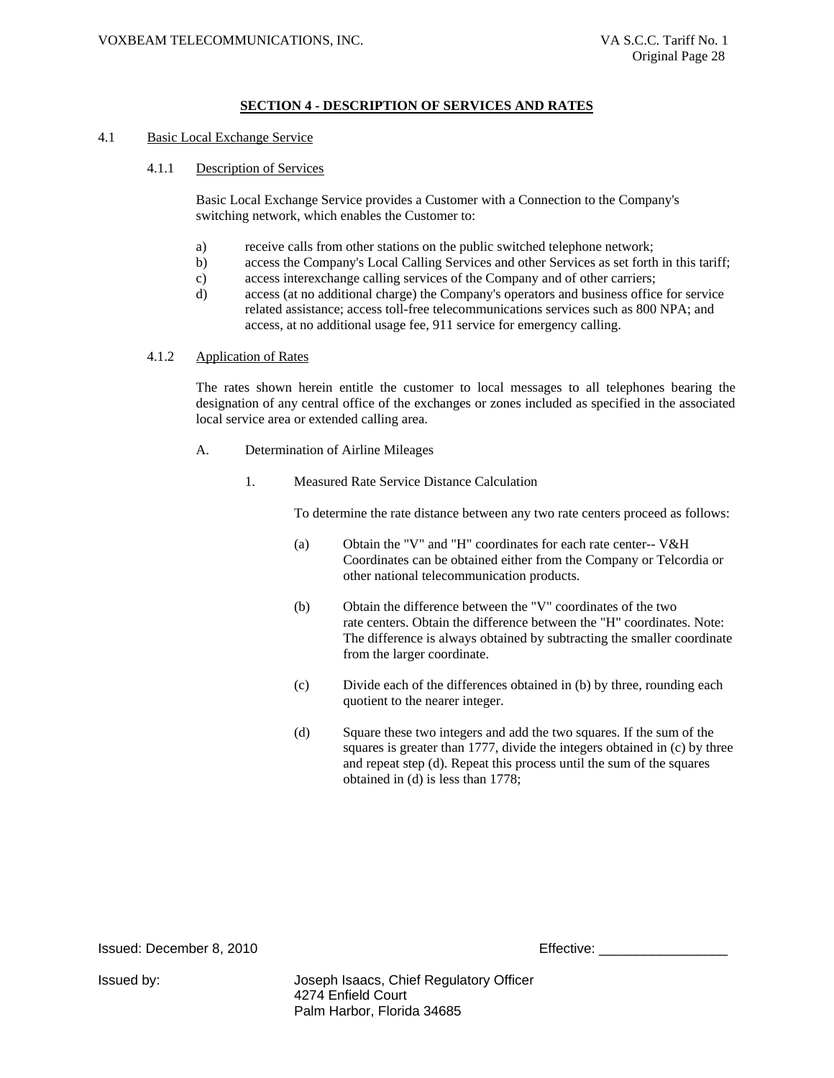#### 4.1 Basic Local Exchange Service

4.1.1 Description of Services

Basic Local Exchange Service provides a Customer with a Connection to the Company's switching network, which enables the Customer to:

- a) receive calls from other stations on the public switched telephone network;
- b) access the Company's Local Calling Services and other Services as set forth in this tariff;
- c) access interexchange calling services of the Company and of other carriers;
- d) access (at no additional charge) the Company's operators and business office for service related assistance; access toll-free telecommunications services such as 800 NPA; and access, at no additional usage fee, 911 service for emergency calling.

#### 4.1.2 Application of Rates

The rates shown herein entitle the customer to local messages to all telephones bearing the designation of any central office of the exchanges or zones included as specified in the associated local service area or extended calling area.

- A. Determination of Airline Mileages
	- 1. Measured Rate Service Distance Calculation

To determine the rate distance between any two rate centers proceed as follows:

- (a) Obtain the "V" and "H" coordinates for each rate center-- V&H Coordinates can be obtained either from the Company or Telcordia or other national telecommunication products.
- (b) Obtain the difference between the "V" coordinates of the two rate centers. Obtain the difference between the "H" coordinates. Note: The difference is always obtained by subtracting the smaller coordinate from the larger coordinate.
- (c) Divide each of the differences obtained in (b) by three, rounding each quotient to the nearer integer.
- (d) Square these two integers and add the two squares. If the sum of the squares is greater than 1777, divide the integers obtained in (c) by three and repeat step (d). Repeat this process until the sum of the squares obtained in (d) is less than 1778;

**Issued: December 8, 2010 Effective: Effective: Effective: Effective: Effective: Effective: Effective: Effective: Effective: Effective: Effective: Effective: Effective: Effective: Effective:**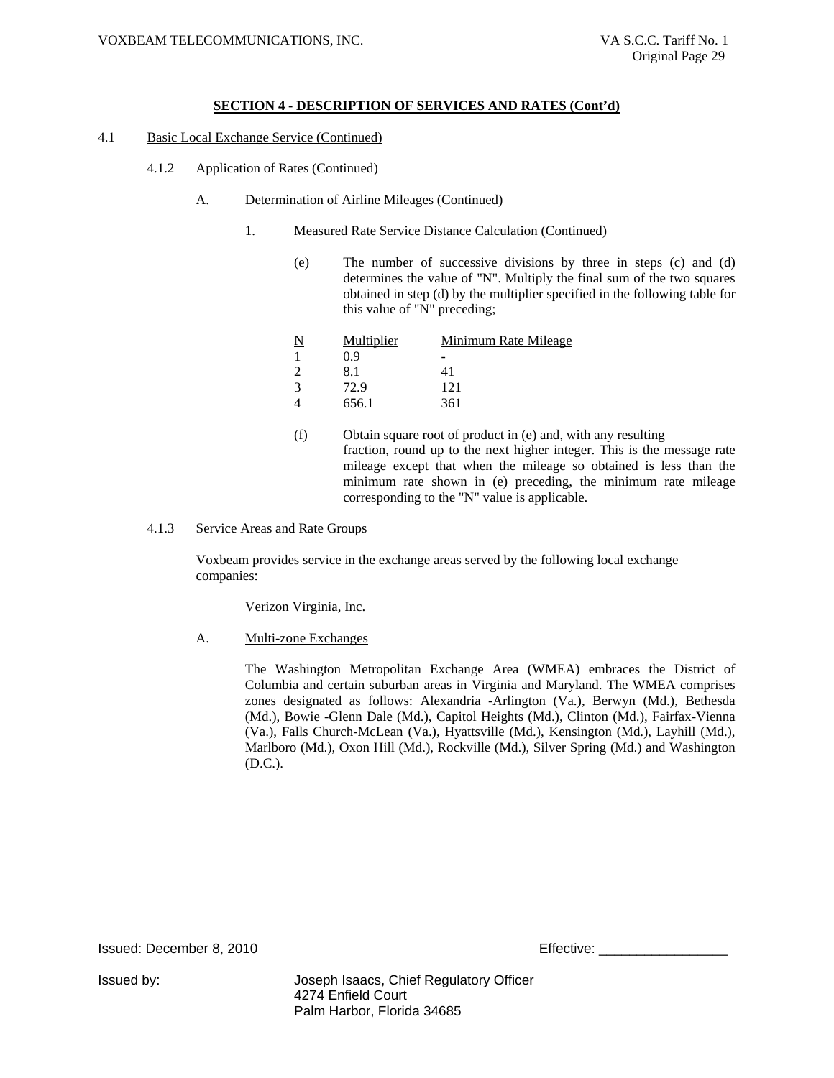- 4.1 Basic Local Exchange Service (Continued)
	- 4.1.2 Application of Rates (Continued)
		- A. Determination of Airline Mileages (Continued)
			- 1. Measured Rate Service Distance Calculation (Continued)
				- (e) The number of successive divisions by three in steps (c) and (d) determines the value of "N". Multiply the final sum of the two squares obtained in step (d) by the multiplier specified in the following table for this value of "N" preceding;

| <u>N</u> | Multiplier | Minimum Rate Mileage |
|----------|------------|----------------------|
|          | 0.9        |                      |
|          | 8.1        | 41                   |
| 3        | 72.9       | 121                  |
|          | 656.1      | 361                  |
|          |            |                      |

(f) Obtain square root of product in (e) and, with any resulting fraction, round up to the next higher integer. This is the message rate mileage except that when the mileage so obtained is less than the minimum rate shown in (e) preceding, the minimum rate mileage corresponding to the "N" value is applicable.

#### 4.1.3 Service Areas and Rate Groups

Voxbeam provides service in the exchange areas served by the following local exchange companies:

Verizon Virginia, Inc.

A. Multi-zone Exchanges

The Washington Metropolitan Exchange Area (WMEA) embraces the District of Columbia and certain suburban areas in Virginia and Maryland. The WMEA comprises zones designated as follows: Alexandria -Arlington (Va.), Berwyn (Md.), Bethesda (Md.), Bowie -Glenn Dale (Md.), Capitol Heights (Md.), Clinton (Md.), Fairfax-Vienna (Va.), Falls Church-McLean (Va.), Hyattsville (Md.), Kensington (Md.), Layhill (Md.), Marlboro (Md.), Oxon Hill (Md.), Rockville (Md.), Silver Spring (Md.) and Washington (D.C.).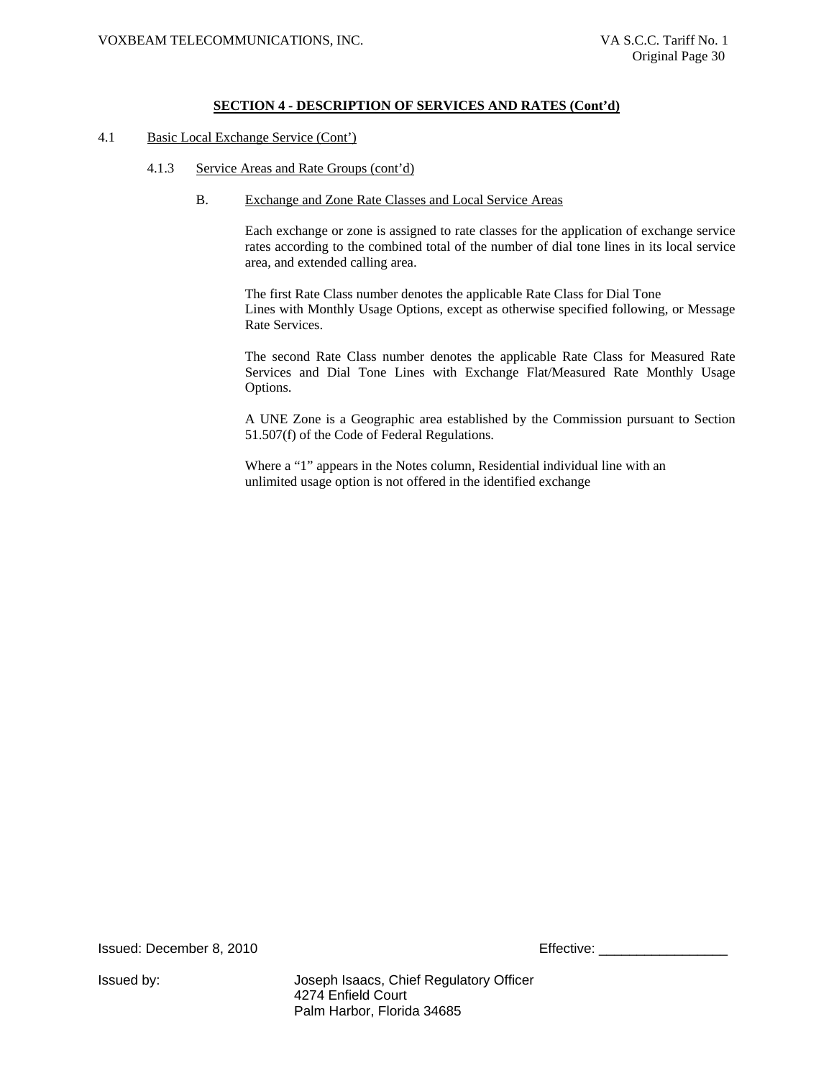#### 4.1 Basic Local Exchange Service (Cont')

- 4.1.3 Service Areas and Rate Groups (cont'd)
	- B. Exchange and Zone Rate Classes and Local Service Areas

Each exchange or zone is assigned to rate classes for the application of exchange service rates according to the combined total of the number of dial tone lines in its local service area, and extended calling area.

The first Rate Class number denotes the applicable Rate Class for Dial Tone Lines with Monthly Usage Options, except as otherwise specified following, or Message Rate Services.

The second Rate Class number denotes the applicable Rate Class for Measured Rate Services and Dial Tone Lines with Exchange Flat/Measured Rate Monthly Usage Options.

A UNE Zone is a Geographic area established by the Commission pursuant to Section 51.507(f) of the Code of Federal Regulations.

Where a "1" appears in the Notes column, Residential individual line with an unlimited usage option is not offered in the identified exchange

Issued: December 8, 2010 **Effective: Effective: Effective:** 2010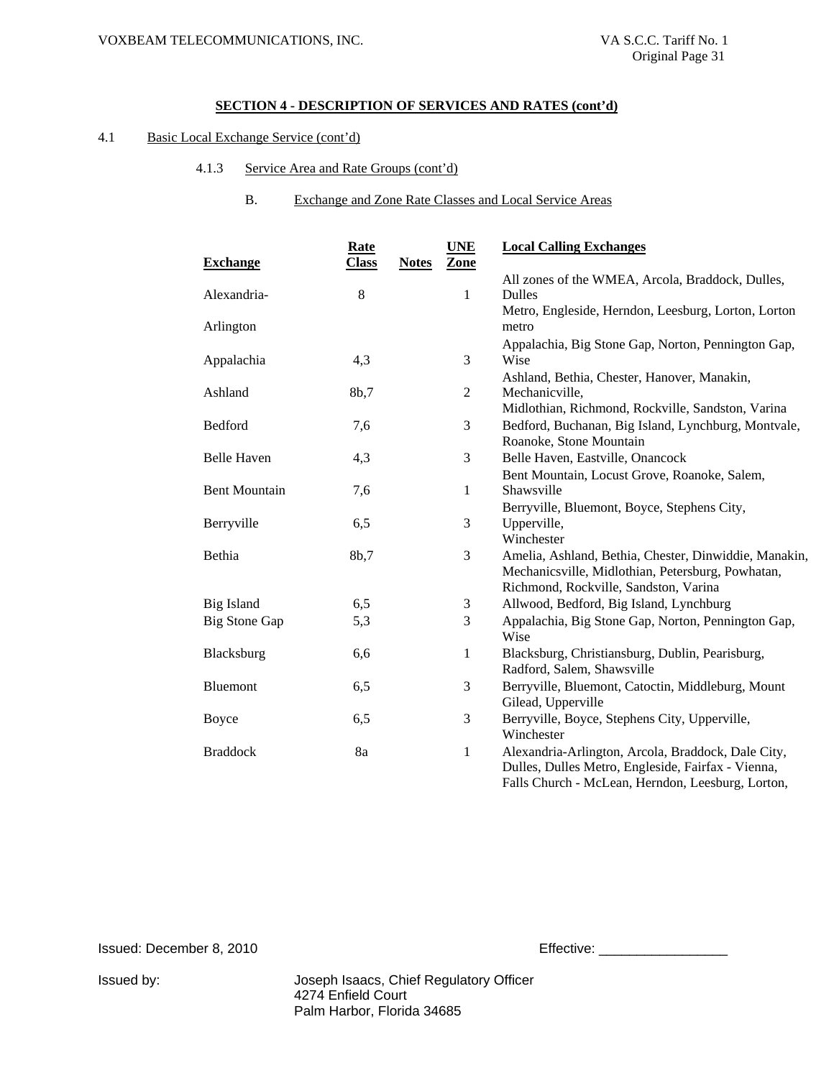# 4.1 Basic Local Exchange Service (cont'd)

- 4.1.3 Service Area and Rate Groups (cont'd)
	- B. Exchange and Zone Rate Classes and Local Service Areas

| <b>Exchange</b>      | <b>Rate</b><br><b>Class</b> | <b>UNE</b><br><b>Notes</b><br><b>Zone</b> | <b>Local Calling Exchanges</b>                        |
|----------------------|-----------------------------|-------------------------------------------|-------------------------------------------------------|
|                      |                             |                                           | All zones of the WMEA, Arcola, Braddock, Dulles,      |
| Alexandria-          | 8                           | $\mathbf{1}$                              | Dulles                                                |
|                      |                             |                                           | Metro, Engleside, Herndon, Leesburg, Lorton, Lorton   |
| Arlington            |                             |                                           | metro                                                 |
|                      |                             |                                           | Appalachia, Big Stone Gap, Norton, Pennington Gap,    |
| Appalachia           | 4,3                         | 3                                         | Wise                                                  |
|                      |                             |                                           | Ashland, Bethia, Chester, Hanover, Manakin,           |
| Ashland              | 8b,7                        | $\overline{2}$                            | Mechanicville,                                        |
|                      |                             |                                           | Midlothian, Richmond, Rockville, Sandston, Varina     |
| Bedford              | 7,6                         | 3                                         | Bedford, Buchanan, Big Island, Lynchburg, Montvale,   |
|                      |                             |                                           | Roanoke, Stone Mountain                               |
| <b>Belle Haven</b>   | 4,3                         | $\mathfrak{Z}$                            | Belle Haven, Eastville, Onancock                      |
|                      |                             |                                           | Bent Mountain, Locust Grove, Roanoke, Salem,          |
| <b>Bent Mountain</b> | 7,6                         | 1                                         | Shawsville                                            |
|                      |                             |                                           | Berryville, Bluemont, Boyce, Stephens City,           |
| Berryville           | 6,5                         | 3                                         | Upperville,                                           |
|                      |                             |                                           | Winchester                                            |
| Bethia               | 8b,7                        | 3                                         | Amelia, Ashland, Bethia, Chester, Dinwiddie, Manakin, |
|                      |                             |                                           | Mechanicsville, Midlothian, Petersburg, Powhatan,     |
|                      |                             |                                           | Richmond, Rockville, Sandston, Varina                 |
| Big Island           | 6,5                         | $\mathfrak{Z}$                            | Allwood, Bedford, Big Island, Lynchburg               |
| <b>Big Stone Gap</b> | 5,3                         | $\mathfrak{Z}$                            | Appalachia, Big Stone Gap, Norton, Pennington Gap,    |
|                      |                             |                                           | Wise                                                  |
| Blacksburg           | 6,6                         | 1                                         | Blacksburg, Christiansburg, Dublin, Pearisburg,       |
|                      |                             |                                           | Radford, Salem, Shawsville                            |
| Bluemont             | 6,5                         | 3                                         | Berryville, Bluemont, Catoctin, Middleburg, Mount     |
|                      |                             |                                           | Gilead, Upperville                                    |
| Boyce                | 6,5                         | 3                                         | Berryville, Boyce, Stephens City, Upperville,         |
|                      |                             |                                           | Winchester                                            |
| <b>Braddock</b>      | 8a                          | $\mathbf{1}$                              | Alexandria-Arlington, Arcola, Braddock, Dale City,    |
|                      |                             |                                           | Dulles, Dulles Metro, Engleside, Fairfax - Vienna,    |
|                      |                             |                                           | Falls Church - McLean, Herndon, Leesburg, Lorton,     |

Issued: December 8, 2010 **Effective:** Effective: 2000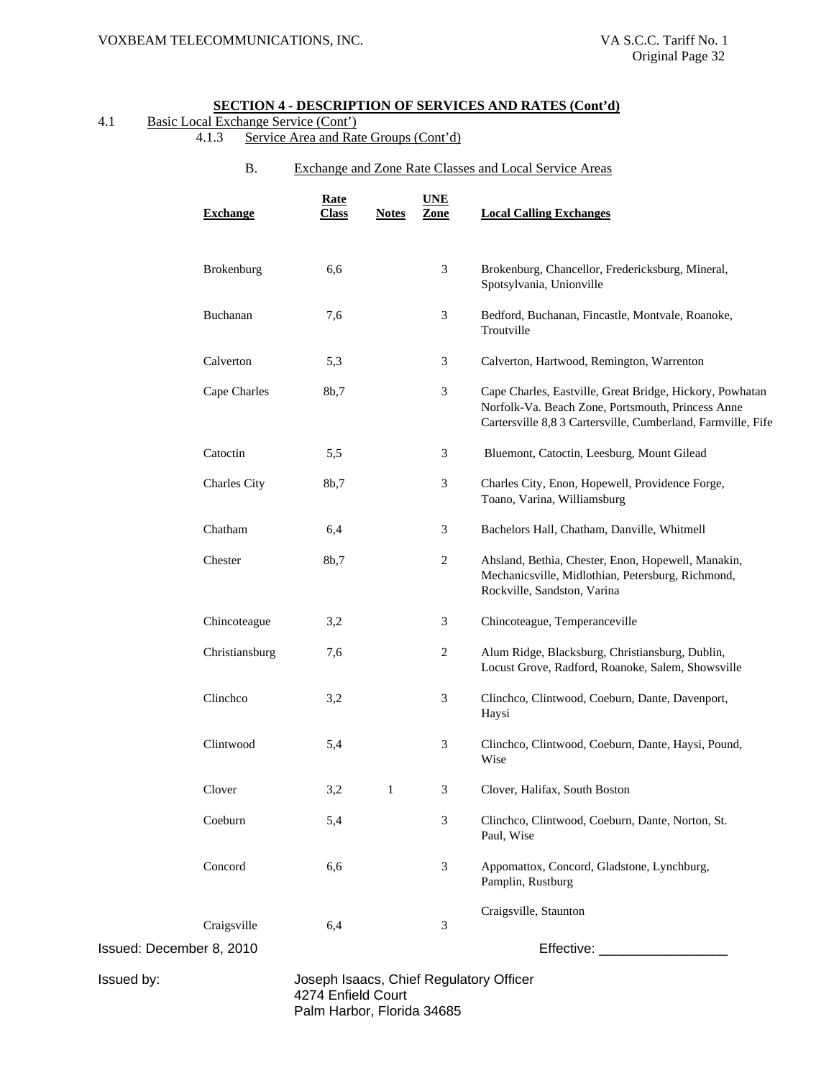# 4.1 Basic Local Exchange Service (Cont')

- 4.1.3 Service Area and Rate Groups (Cont'd)
	- B. Exchange and Zone Rate Classes and Local Service Areas

|                          | <b>Exchange</b>     | <u>Rate</u><br><b>Class</b>                      | <b>Notes</b> | <b>UNE</b><br>Zone | <b>Local Calling Exchanges</b>                                                                                                                                                |
|--------------------------|---------------------|--------------------------------------------------|--------------|--------------------|-------------------------------------------------------------------------------------------------------------------------------------------------------------------------------|
|                          | Brokenburg          | 6,6                                              |              | 3                  | Brokenburg, Chancellor, Fredericksburg, Mineral,<br>Spotsylvania, Unionville                                                                                                  |
|                          | Buchanan            | 7,6                                              |              | 3                  | Bedford, Buchanan, Fincastle, Montvale, Roanoke,<br>Troutville                                                                                                                |
|                          | Calverton           | 5,3                                              |              | $\mathfrak{Z}$     | Calverton, Hartwood, Remington, Warrenton                                                                                                                                     |
|                          | Cape Charles        | 8b,7                                             |              | $\mathfrak{Z}$     | Cape Charles, Eastville, Great Bridge, Hickory, Powhatan<br>Norfolk-Va. Beach Zone, Portsmouth, Princess Anne<br>Cartersville 8,8 3 Cartersville, Cumberland, Farmville, Fife |
|                          | Catoctin            | 5,5                                              |              | 3                  | Bluemont, Catoctin, Leesburg, Mount Gilead                                                                                                                                    |
|                          | <b>Charles City</b> | 8b,7                                             |              | $\mathfrak{Z}$     | Charles City, Enon, Hopewell, Providence Forge,<br>Toano, Varina, Williamsburg                                                                                                |
|                          | Chatham             | 6,4                                              |              | 3                  | Bachelors Hall, Chatham, Danville, Whitmell                                                                                                                                   |
|                          | Chester             | 8b,7                                             |              | 2                  | Ahsland, Bethia, Chester, Enon, Hopewell, Manakin,<br>Mechanicsville, Midlothian, Petersburg, Richmond,<br>Rockville, Sandston, Varina                                        |
|                          | Chincoteague        | 3,2                                              |              | 3                  | Chincoteague, Temperanceville                                                                                                                                                 |
|                          | Christiansburg      | 7,6                                              |              | $\overline{2}$     | Alum Ridge, Blacksburg, Christiansburg, Dublin,<br>Locust Grove, Radford, Roanoke, Salem, Showsville                                                                          |
|                          | Clinchco            | 3,2                                              |              | 3                  | Clinchco, Clintwood, Coeburn, Dante, Davenport,<br>Haysi                                                                                                                      |
|                          | Clintwood           | 5,4                                              |              | 3                  | Clinchco, Clintwood, Coeburn, Dante, Haysi, Pound,<br>Wise                                                                                                                    |
|                          | Clover              | 3,2                                              | 1            | 3                  | Clover, Halifax, South Boston                                                                                                                                                 |
|                          | Coeburn             | 5,4                                              |              | 3                  | Clinchco, Clintwood, Coeburn, Dante, Norton, St.<br>Paul, Wise                                                                                                                |
|                          | Concord             | 6,6                                              |              | 3                  | Appomattox, Concord, Gladstone, Lynchburg,<br>Pamplin, Rustburg                                                                                                               |
|                          | Craigsville         | 6,4                                              |              | 3                  | Craigsville, Staunton                                                                                                                                                         |
| Issued: December 8, 2010 |                     |                                                  |              |                    | Effective: ____________________                                                                                                                                               |
| Issued by:               |                     | 4274 Enfield Court<br>Palm Harbor, Florida 34685 |              |                    | Joseph Isaacs, Chief Regulatory Officer                                                                                                                                       |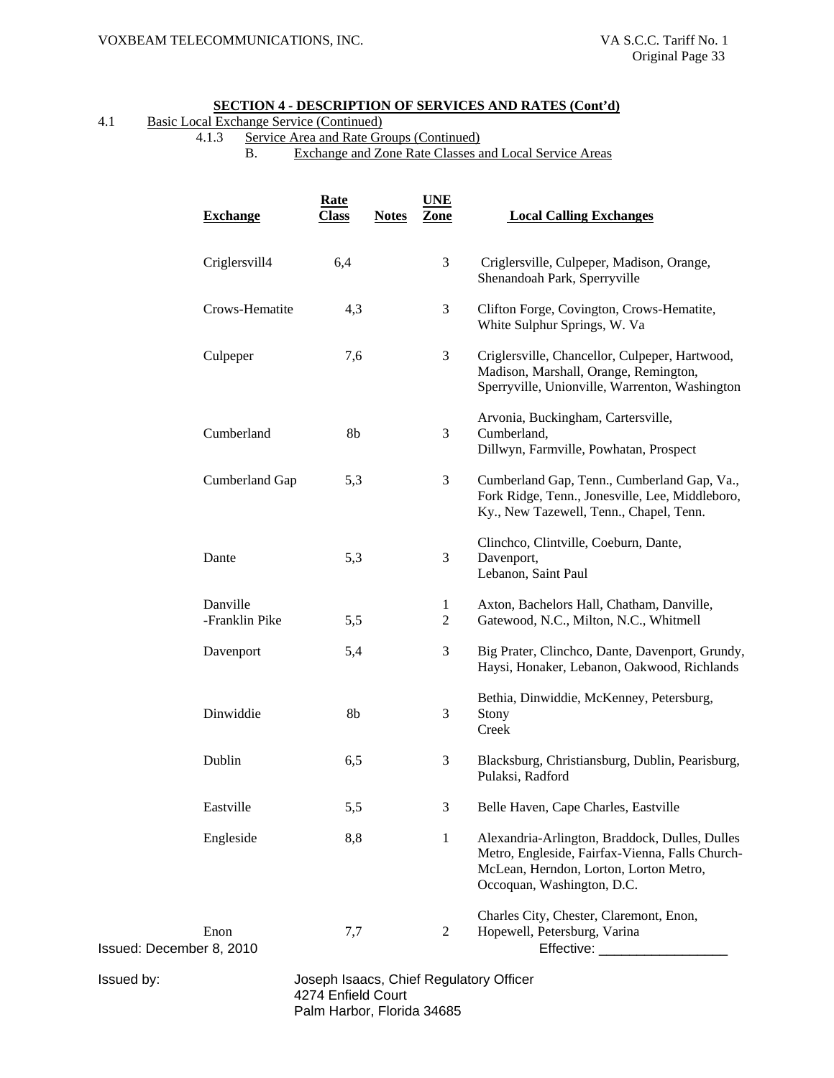| 4.1 |  | Basic Local Exchange Service (Continued) |
|-----|--|------------------------------------------|
|     |  |                                          |

4.1.3 Service Area and Rate Groups (Continued)

B. Exchange and Zone Rate Classes and Local Service Areas

|                          | <b>Exchange</b>            | <b>Rate</b><br><b>Class</b> | <b>Notes</b> | <b>UNE</b><br>Zone           | <b>Local Calling Exchanges</b>                                                                                                                                            |
|--------------------------|----------------------------|-----------------------------|--------------|------------------------------|---------------------------------------------------------------------------------------------------------------------------------------------------------------------------|
|                          | Criglersvill4              | 6,4                         |              | 3                            | Criglersville, Culpeper, Madison, Orange,<br>Shenandoah Park, Sperryville                                                                                                 |
|                          | Crows-Hematite             | 4,3                         |              | 3                            | Clifton Forge, Covington, Crows-Hematite,<br>White Sulphur Springs, W. Va                                                                                                 |
|                          | Culpeper                   | 7,6                         |              | 3                            | Criglersville, Chancellor, Culpeper, Hartwood,<br>Madison, Marshall, Orange, Remington,<br>Sperryville, Unionville, Warrenton, Washington                                 |
|                          | Cumberland                 | 8 <sub>b</sub>              |              | 3                            | Arvonia, Buckingham, Cartersville,<br>Cumberland,<br>Dillwyn, Farmville, Powhatan, Prospect                                                                               |
|                          | Cumberland Gap             | 5,3                         |              | 3                            | Cumberland Gap, Tenn., Cumberland Gap, Va.,<br>Fork Ridge, Tenn., Jonesville, Lee, Middleboro,<br>Ky., New Tazewell, Tenn., Chapel, Tenn.                                 |
|                          | Dante                      | 5,3                         |              | 3                            | Clinchco, Clintville, Coeburn, Dante,<br>Davenport,<br>Lebanon, Saint Paul                                                                                                |
|                          | Danville<br>-Franklin Pike | 5,5                         |              | $\mathbf{1}$<br>$\mathbf{2}$ | Axton, Bachelors Hall, Chatham, Danville,<br>Gatewood, N.C., Milton, N.C., Whitmell                                                                                       |
|                          | Davenport                  | 5,4                         |              | 3                            | Big Prater, Clinchco, Dante, Davenport, Grundy,<br>Haysi, Honaker, Lebanon, Oakwood, Richlands                                                                            |
|                          | Dinwiddie                  | 8b                          |              | 3                            | Bethia, Dinwiddie, McKenney, Petersburg,<br>Stony<br>Creek                                                                                                                |
|                          | Dublin                     | 6,5                         |              | 3                            | Blacksburg, Christiansburg, Dublin, Pearisburg,<br>Pulaksi, Radford                                                                                                       |
|                          | Eastville                  | 5,5                         |              | 3                            | Belle Haven, Cape Charles, Eastville                                                                                                                                      |
|                          | Engleside                  | 8,8                         |              | $\mathbf{1}$                 | Alexandria-Arlington, Braddock, Dulles, Dulles<br>Metro, Engleside, Fairfax-Vienna, Falls Church-<br>McLean, Herndon, Lorton, Lorton Metro,<br>Occoquan, Washington, D.C. |
| Issued: December 8, 2010 | Enon                       | 7,7                         |              | 2                            | Charles City, Chester, Claremont, Enon,<br>Hopewell, Petersburg, Varina<br>Effective: ______________                                                                      |
| Issued by:               |                            |                             |              |                              | Joseph Isaacs, Chief Regulatory Officer                                                                                                                                   |

 4274 Enfield Court Palm Harbor, Florida 34685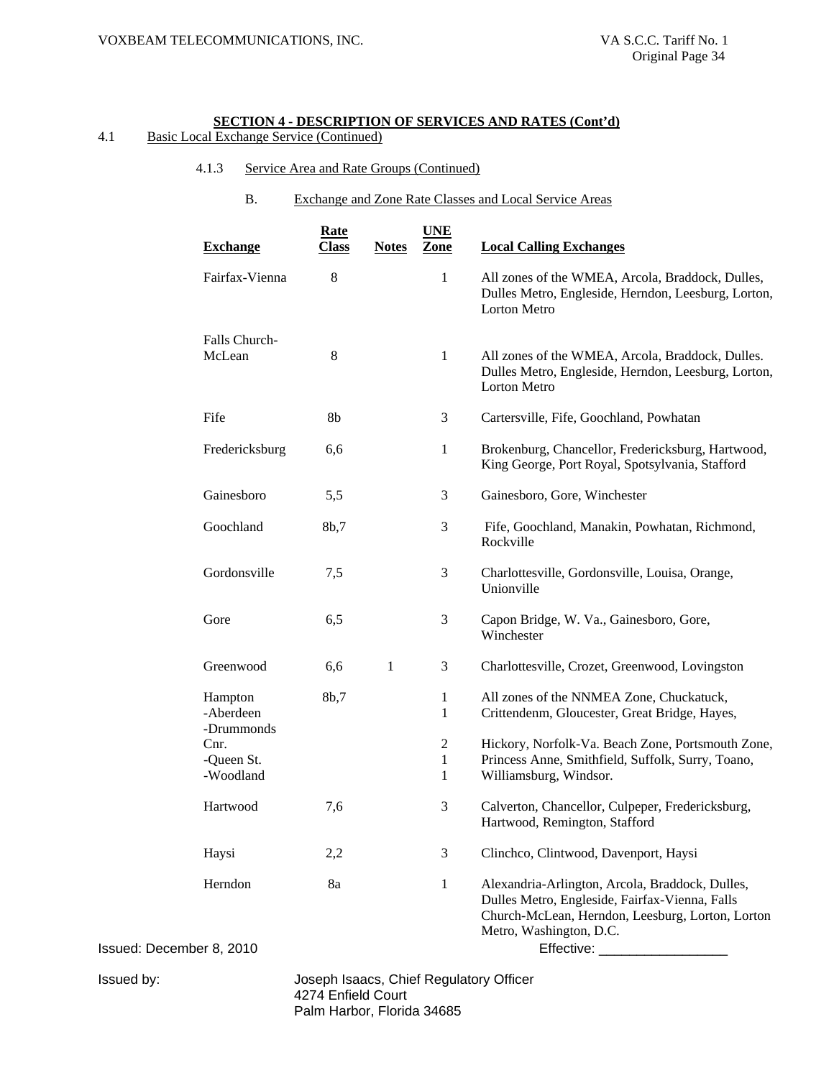# 4.1 Basic Local Exchange Service (Continued)

- 4.1.3 Service Area and Rate Groups (Continued)
	- B. Exchange and Zone Rate Classes and Local Service Areas

| <b>Exchange</b>                    | <b>Rate</b><br><u>Class</u> | <b>Notes</b> | <b>UNE</b><br>Zone       | <b>Local Calling Exchanges</b>                                                                                                                                                                 |
|------------------------------------|-----------------------------|--------------|--------------------------|------------------------------------------------------------------------------------------------------------------------------------------------------------------------------------------------|
| Fairfax-Vienna                     | 8                           |              | 1                        | All zones of the WMEA, Arcola, Braddock, Dulles,<br>Dulles Metro, Engleside, Herndon, Leesburg, Lorton,<br><b>Lorton Metro</b>                                                                 |
| Falls Church-<br>McLean            | 8                           |              | $\mathbf{1}$             | All zones of the WMEA, Arcola, Braddock, Dulles.<br>Dulles Metro, Engleside, Herndon, Leesburg, Lorton,<br>Lorton Metro                                                                        |
| Fife                               | 8b                          |              | 3                        | Cartersville, Fife, Goochland, Powhatan                                                                                                                                                        |
| Fredericksburg                     | 6,6                         |              | $\mathbf{1}$             | Brokenburg, Chancellor, Fredericksburg, Hartwood,<br>King George, Port Royal, Spotsylvania, Stafford                                                                                           |
| Gainesboro                         | 5,5                         |              | 3                        | Gainesboro, Gore, Winchester                                                                                                                                                                   |
| Goochland                          | 8b,7                        |              | 3                        | Fife, Goochland, Manakin, Powhatan, Richmond,<br>Rockville                                                                                                                                     |
| Gordonsville                       | 7,5                         |              | 3                        | Charlottesville, Gordonsville, Louisa, Orange,<br>Unionville                                                                                                                                   |
| Gore                               | 6,5                         |              | 3                        | Capon Bridge, W. Va., Gainesboro, Gore,<br>Winchester                                                                                                                                          |
| Greenwood                          | 6,6                         | 1            | 3                        | Charlottesville, Crozet, Greenwood, Lovingston                                                                                                                                                 |
| Hampton<br>-Aberdeen<br>-Drummonds | 8b,7                        |              | 1<br>$\mathbf{1}$        | All zones of the NNMEA Zone, Chuckatuck,<br>Crittendenm, Gloucester, Great Bridge, Hayes,                                                                                                      |
| Cnr.<br>-Queen St.<br>-Woodland    |                             |              | $\overline{c}$<br>1<br>1 | Hickory, Norfolk-Va. Beach Zone, Portsmouth Zone,<br>Princess Anne, Smithfield, Suffolk, Surry, Toano,<br>Williamsburg, Windsor.                                                               |
| Hartwood                           | 7,6                         |              | 3                        | Calverton, Chancellor, Culpeper, Fredericksburg,<br>Hartwood, Remington, Stafford                                                                                                              |
| Haysi                              | 2,2                         |              | 3                        | Clinchco, Clintwood, Davenport, Haysi                                                                                                                                                          |
| Herndon<br>er 8, 2010              | 8a                          |              | $\mathbf{1}$             | Alexandria-Arlington, Arcola, Braddock, Dulles,<br>Dulles Metro, Engleside, Fairfax-Vienna, Falls<br>Church-McLean, Herndon, Leesburg, Lorton, Lorton<br>Metro, Washington, D.C.<br>Effective: |

Issued: Decembe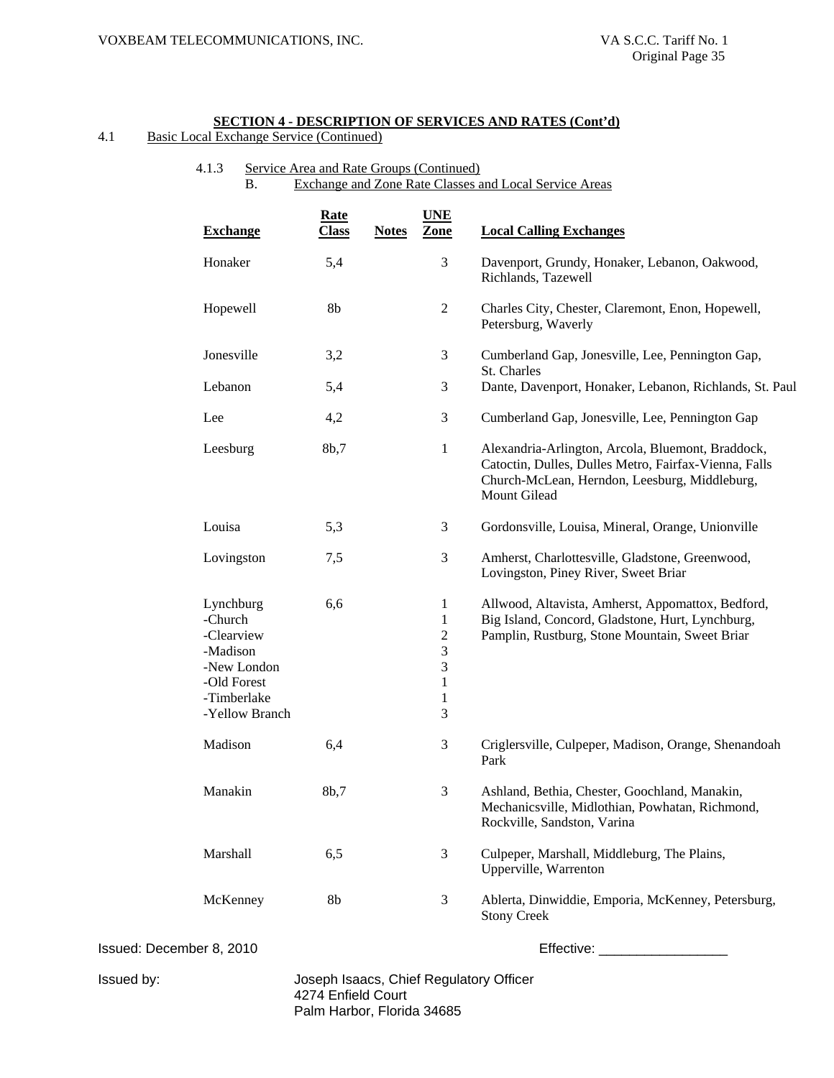# 4.1 Basic Local Exchange Service (Continued)

# 4.1.3 Service Area and Rate Groups (Continued) B. Exchange and Zone Rate Classes and Local Service Areas

| <b>Exchange</b>                                                              |                               | <b>Rate</b><br><b>Class</b>             | <b>Notes</b> | <b>UNE</b><br>Zone                                                                 | <b>Local Calling Exchanges</b>                                                                                                                                              |
|------------------------------------------------------------------------------|-------------------------------|-----------------------------------------|--------------|------------------------------------------------------------------------------------|-----------------------------------------------------------------------------------------------------------------------------------------------------------------------------|
| Honaker                                                                      |                               | 5,4                                     |              | 3                                                                                  | Davenport, Grundy, Honaker, Lebanon, Oakwood,<br>Richlands, Tazewell                                                                                                        |
| Hopewell                                                                     |                               | 8b                                      |              | $\overline{2}$                                                                     | Charles City, Chester, Claremont, Enon, Hopewell,<br>Petersburg, Waverly                                                                                                    |
| Jonesville                                                                   |                               | 3,2                                     |              | 3                                                                                  | Cumberland Gap, Jonesville, Lee, Pennington Gap,<br>St. Charles                                                                                                             |
| Lebanon                                                                      |                               | 5,4                                     |              | 3                                                                                  | Dante, Davenport, Honaker, Lebanon, Richlands, St. Paul                                                                                                                     |
| Lee                                                                          |                               | 4,2                                     |              | 3                                                                                  | Cumberland Gap, Jonesville, Lee, Pennington Gap                                                                                                                             |
| Leesburg                                                                     |                               | 8b,7                                    |              | $\mathbf{1}$                                                                       | Alexandria-Arlington, Arcola, Bluemont, Braddock,<br>Catoctin, Dulles, Dulles Metro, Fairfax-Vienna, Falls<br>Church-McLean, Herndon, Leesburg, Middleburg,<br>Mount Gilead |
| Louisa                                                                       |                               | 5,3                                     |              | 3                                                                                  | Gordonsville, Louisa, Mineral, Orange, Unionville                                                                                                                           |
| Lovingston                                                                   |                               | 7,5                                     |              | 3                                                                                  | Amherst, Charlottesville, Gladstone, Greenwood,<br>Lovingston, Piney River, Sweet Briar                                                                                     |
| Lynchburg<br>-Church<br>-Clearview<br>-Madison<br>-Old Forest<br>-Timberlake | -New London<br>-Yellow Branch | 6,6                                     |              | 1<br>$\mathbf{1}$<br>$\mathfrak{2}$<br>3<br>3<br>$\mathbf{1}$<br>$\mathbf{1}$<br>3 | Allwood, Altavista, Amherst, Appomattox, Bedford,<br>Big Island, Concord, Gladstone, Hurt, Lynchburg,<br>Pamplin, Rustburg, Stone Mountain, Sweet Briar                     |
| Madison                                                                      |                               | 6,4                                     |              | 3                                                                                  | Criglersville, Culpeper, Madison, Orange, Shenandoah<br>Park                                                                                                                |
| Manakin                                                                      |                               | 8b,7                                    |              | 3                                                                                  | Ashland, Bethia, Chester, Goochland, Manakin,<br>Mechanicsville, Midlothian, Powhatan, Richmond,<br>Rockville, Sandston, Varina                                             |
| Marshall                                                                     |                               | 6,5                                     |              | 3                                                                                  | Culpeper, Marshall, Middleburg, The Plains,<br>Upperville, Warrenton                                                                                                        |
| McKenney                                                                     |                               | 8b                                      |              | 3                                                                                  | Ablerta, Dinwiddie, Emporia, McKenney, Petersburg,<br><b>Stony Creek</b>                                                                                                    |
| Issued: December 8, 2010                                                     |                               |                                         |              |                                                                                    | Effective: _____________________                                                                                                                                            |
| Issued by:                                                                   |                               | Joseph Isaacs, Chief Regulatory Officer |              |                                                                                    |                                                                                                                                                                             |

 4274 Enfield Court Palm Harbor, Florida 34685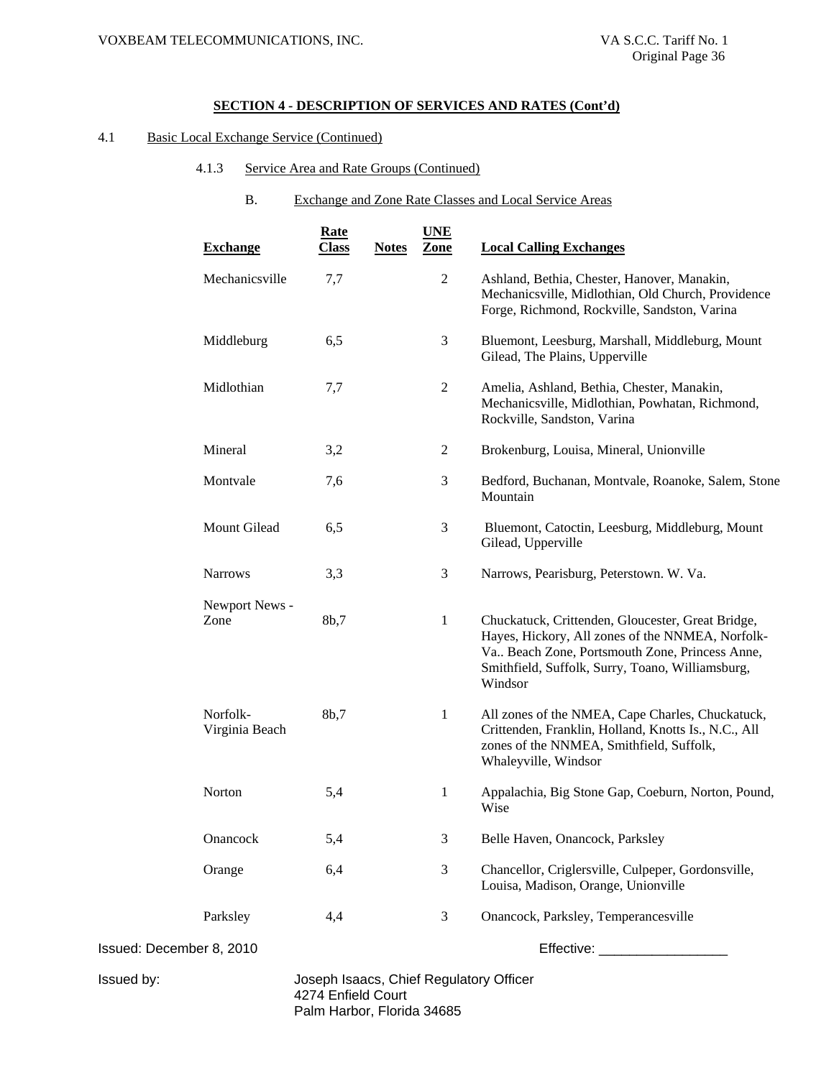# 4.1 Basic Local Exchange Service (Continued)

- 4.1.3 Service Area and Rate Groups (Continued)
	- B. Exchange and Zone Rate Classes and Local Service Areas

|                          | <b>Exchange</b>            | <b>Rate</b><br><b>Class</b>                                   | <b>Notes</b> | <b>UNE</b><br>Zone | <b>Local Calling Exchanges</b>                                                                                                                                                                                         |
|--------------------------|----------------------------|---------------------------------------------------------------|--------------|--------------------|------------------------------------------------------------------------------------------------------------------------------------------------------------------------------------------------------------------------|
|                          | Mechanicsville             | 7,7                                                           |              | $\overline{2}$     | Ashland, Bethia, Chester, Hanover, Manakin,<br>Mechanicsville, Midlothian, Old Church, Providence<br>Forge, Richmond, Rockville, Sandston, Varina                                                                      |
|                          | Middleburg                 | 6,5                                                           |              | 3                  | Bluemont, Leesburg, Marshall, Middleburg, Mount<br>Gilead, The Plains, Upperville                                                                                                                                      |
|                          | Midlothian                 | 7,7                                                           |              | $\overline{2}$     | Amelia, Ashland, Bethia, Chester, Manakin,<br>Mechanicsville, Midlothian, Powhatan, Richmond,<br>Rockville, Sandston, Varina                                                                                           |
|                          | Mineral                    | 3,2                                                           |              | $\overline{2}$     | Brokenburg, Louisa, Mineral, Unionville                                                                                                                                                                                |
|                          | Montvale                   | 7,6                                                           |              | 3                  | Bedford, Buchanan, Montvale, Roanoke, Salem, Stone<br>Mountain                                                                                                                                                         |
|                          | Mount Gilead               | 6,5                                                           |              | $\mathfrak{Z}$     | Bluemont, Catoctin, Leesburg, Middleburg, Mount<br>Gilead, Upperville                                                                                                                                                  |
|                          | <b>Narrows</b>             | 3,3                                                           |              | 3                  | Narrows, Pearisburg, Peterstown. W. Va.                                                                                                                                                                                |
|                          | Newport News -             |                                                               |              |                    |                                                                                                                                                                                                                        |
|                          | Zone                       | 8b,7                                                          |              | 1                  | Chuckatuck, Crittenden, Gloucester, Great Bridge,<br>Hayes, Hickory, All zones of the NNMEA, Norfolk-<br>Va Beach Zone, Portsmouth Zone, Princess Anne,<br>Smithfield, Suffolk, Surry, Toano, Williamsburg,<br>Windsor |
|                          | Norfolk-<br>Virginia Beach | 8b,7                                                          |              | $\mathbf{1}$       | All zones of the NMEA, Cape Charles, Chuckatuck,<br>Crittenden, Franklin, Holland, Knotts Is., N.C., All<br>zones of the NNMEA, Smithfield, Suffolk,<br>Whaleyville, Windsor                                           |
|                          | Norton                     | 5,4                                                           |              | $\mathbf{1}$       | Appalachia, Big Stone Gap, Coeburn, Norton, Pound,<br>Wise                                                                                                                                                             |
|                          | Onancock                   | 5,4                                                           |              | 3                  | Belle Haven, Onancock, Parksley                                                                                                                                                                                        |
|                          | Orange                     | 6,4                                                           |              | 3                  | Chancellor, Criglersville, Culpeper, Gordonsville,<br>Louisa, Madison, Orange, Unionville                                                                                                                              |
|                          | Parksley                   | 4,4                                                           |              | 3                  | Onancock, Parksley, Temperancesville                                                                                                                                                                                   |
| Issued: December 8, 2010 |                            |                                                               |              |                    | Effective: ______________________                                                                                                                                                                                      |
| Issued by:               |                            | Joseph Isaacs, Chief Regulatory Officer<br>4274 Enfield Court |              |                    |                                                                                                                                                                                                                        |

Palm Harbor, Florida 34685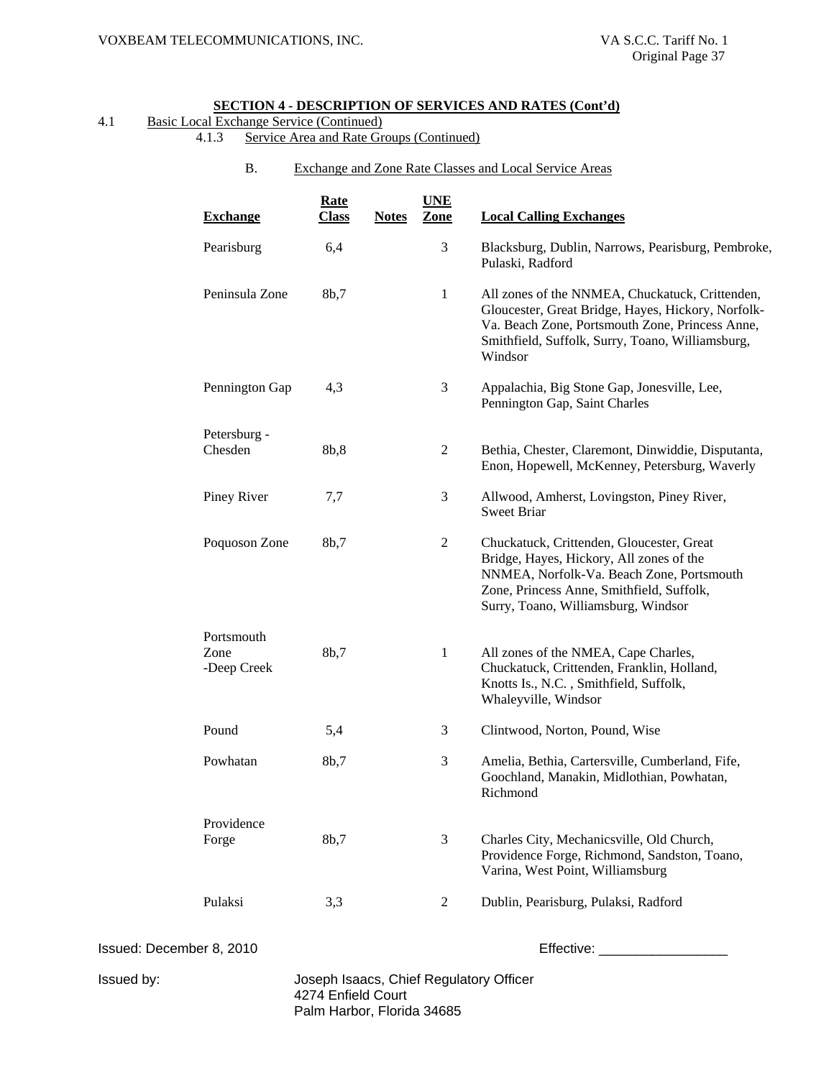# 4.1 Basic Local Exchange Service (Continued)

- 4.1.3 Service Area and Rate Groups (Continued)
	- B. Exchange and Zone Rate Classes and Local Service Areas

|                          | <b>Exchange</b>                   | <b>Rate</b><br><b>Class</b>                                   | <b>Notes</b> | <b>UNE</b><br>Zone | <b>Local Calling Exchanges</b>                                                                                                                                                                                          |
|--------------------------|-----------------------------------|---------------------------------------------------------------|--------------|--------------------|-------------------------------------------------------------------------------------------------------------------------------------------------------------------------------------------------------------------------|
|                          | Pearisburg                        | 6,4                                                           |              | $\mathfrak{Z}$     | Blacksburg, Dublin, Narrows, Pearisburg, Pembroke,<br>Pulaski, Radford                                                                                                                                                  |
|                          | Peninsula Zone                    | 8b,7                                                          |              | $\mathbf{1}$       | All zones of the NNMEA, Chuckatuck, Crittenden,<br>Gloucester, Great Bridge, Hayes, Hickory, Norfolk-<br>Va. Beach Zone, Portsmouth Zone, Princess Anne,<br>Smithfield, Suffolk, Surry, Toano, Williamsburg,<br>Windsor |
|                          | Pennington Gap                    | 4,3                                                           |              | $\mathfrak{Z}$     | Appalachia, Big Stone Gap, Jonesville, Lee,<br>Pennington Gap, Saint Charles                                                                                                                                            |
|                          | Petersburg -<br>Chesden           | 8b,8                                                          |              | $\mathfrak{2}$     | Bethia, Chester, Claremont, Dinwiddie, Disputanta,<br>Enon, Hopewell, McKenney, Petersburg, Waverly                                                                                                                     |
|                          | Piney River                       | 7,7                                                           |              | 3                  | Allwood, Amherst, Lovingston, Piney River,<br><b>Sweet Briar</b>                                                                                                                                                        |
|                          | Poquoson Zone                     | 8b,7                                                          |              | $\mathbf{2}$       | Chuckatuck, Crittenden, Gloucester, Great<br>Bridge, Hayes, Hickory, All zones of the<br>NNMEA, Norfolk-Va. Beach Zone, Portsmouth<br>Zone, Princess Anne, Smithfield, Suffolk,<br>Surry, Toano, Williamsburg, Windsor  |
|                          | Portsmouth<br>Zone<br>-Deep Creek | 8b,7                                                          |              | $\mathbf{1}$       | All zones of the NMEA, Cape Charles,<br>Chuckatuck, Crittenden, Franklin, Holland,<br>Knotts Is., N.C., Smithfield, Suffolk,<br>Whaleyville, Windsor                                                                    |
|                          | Pound                             | 5,4                                                           |              | 3                  | Clintwood, Norton, Pound, Wise                                                                                                                                                                                          |
|                          | Powhatan                          | 8b,7                                                          |              | 3                  | Amelia, Bethia, Cartersville, Cumberland, Fife,<br>Goochland, Manakin, Midlothian, Powhatan,<br>Richmond                                                                                                                |
|                          | Providence<br>Forge               | 8b,7                                                          |              | $\mathfrak{Z}$     | Charles City, Mechanicsville, Old Church,<br>Providence Forge, Richmond, Sandston, Toano,<br>Varina, West Point, Williamsburg                                                                                           |
|                          | Pulaksi                           | 3,3                                                           |              | $\mathbf{2}$       | Dublin, Pearisburg, Pulaksi, Radford                                                                                                                                                                                    |
| Issued: December 8, 2010 |                                   |                                                               |              |                    | Effective: Effective:                                                                                                                                                                                                   |
| Issued by:               |                                   | Joseph Isaacs, Chief Regulatory Officer<br>4274 Enfield Court |              |                    |                                                                                                                                                                                                                         |

Palm Harbor, Florida 34685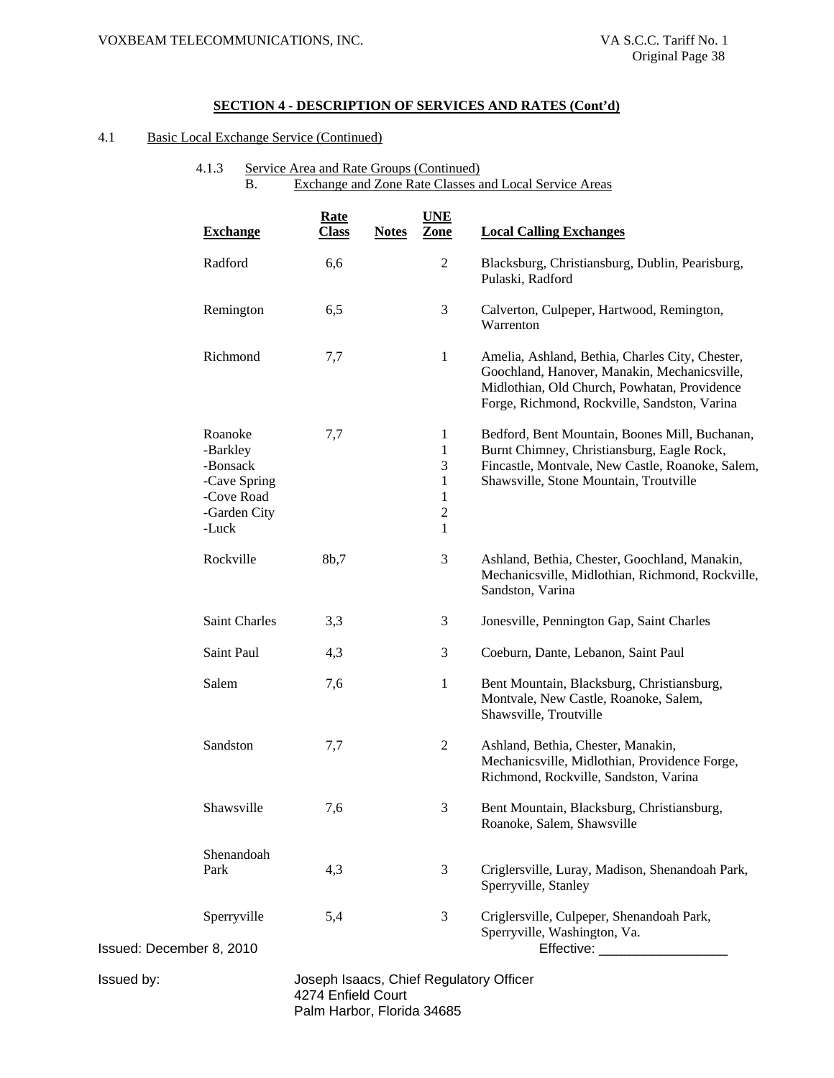# 4.1 Basic Local Exchange Service (Continued)

# 4.1.3 Service Area and Rate Groups (Continued) B. Exchange and Zone Rate Classes and Local Service Areas

|                          | <b>Exchange</b>                                                                        | <b>Rate</b><br><b>Class</b>             | <b>Notes</b> | <b>UNE</b><br>Zone                                                                       | <b>Local Calling Exchanges</b>                                                                                                                                                                  |
|--------------------------|----------------------------------------------------------------------------------------|-----------------------------------------|--------------|------------------------------------------------------------------------------------------|-------------------------------------------------------------------------------------------------------------------------------------------------------------------------------------------------|
|                          | Radford                                                                                | 6,6                                     |              | 2                                                                                        | Blacksburg, Christiansburg, Dublin, Pearisburg,<br>Pulaski, Radford                                                                                                                             |
|                          | Remington                                                                              | 6,5                                     |              | 3                                                                                        | Calverton, Culpeper, Hartwood, Remington,<br>Warrenton                                                                                                                                          |
|                          | Richmond                                                                               | 7,7                                     |              | 1                                                                                        | Amelia, Ashland, Bethia, Charles City, Chester,<br>Goochland, Hanover, Manakin, Mechanicsville,<br>Midlothian, Old Church, Powhatan, Providence<br>Forge, Richmond, Rockville, Sandston, Varina |
|                          | Roanoke<br>-Barkley<br>-Bonsack<br>-Cave Spring<br>-Cove Road<br>-Garden City<br>-Luck | 7,7                                     |              | 1<br>$\mathbf{1}$<br>3<br>$\mathbf{1}$<br>$\mathbf{1}$<br>$\overline{2}$<br>$\mathbf{1}$ | Bedford, Bent Mountain, Boones Mill, Buchanan,<br>Burnt Chimney, Christiansburg, Eagle Rock,<br>Fincastle, Montvale, New Castle, Roanoke, Salem,<br>Shawsville, Stone Mountain, Troutville      |
|                          | Rockville                                                                              | 8b,7                                    |              | $\mathfrak{Z}$                                                                           | Ashland, Bethia, Chester, Goochland, Manakin,<br>Mechanicsville, Midlothian, Richmond, Rockville,<br>Sandston, Varina                                                                           |
|                          | Saint Charles                                                                          | 3,3                                     |              | 3                                                                                        | Jonesville, Pennington Gap, Saint Charles                                                                                                                                                       |
|                          | Saint Paul                                                                             | 4,3                                     |              | 3                                                                                        | Coeburn, Dante, Lebanon, Saint Paul                                                                                                                                                             |
|                          | Salem                                                                                  | 7,6                                     |              | 1                                                                                        | Bent Mountain, Blacksburg, Christiansburg,<br>Montvale, New Castle, Roanoke, Salem,<br>Shawsville, Troutville                                                                                   |
|                          | Sandston                                                                               | 7,7                                     |              | $\overline{2}$                                                                           | Ashland, Bethia, Chester, Manakin,<br>Mechanicsville, Midlothian, Providence Forge,<br>Richmond, Rockville, Sandston, Varina                                                                    |
|                          | Shawsville                                                                             | 7,6                                     |              | 3                                                                                        | Bent Mountain, Blacksburg, Christiansburg,<br>Roanoke, Salem, Shawsville                                                                                                                        |
|                          | Shenandoah                                                                             |                                         |              |                                                                                          |                                                                                                                                                                                                 |
|                          | Park                                                                                   | 4,3                                     |              | 3                                                                                        | Criglersville, Luray, Madison, Shenandoah Park,<br>Sperryville, Stanley                                                                                                                         |
|                          | Sperryville                                                                            | 5,4                                     |              | 3                                                                                        | Criglersville, Culpeper, Shenandoah Park,<br>Sperryville, Washington, Va.                                                                                                                       |
| Issued: December 8, 2010 |                                                                                        |                                         |              |                                                                                          | Effective: ______________________                                                                                                                                                               |
| Issued by:               |                                                                                        | Joseph Isaacs, Chief Regulatory Officer |              |                                                                                          |                                                                                                                                                                                                 |

 4274 Enfield Court Palm Harbor, Florida 34685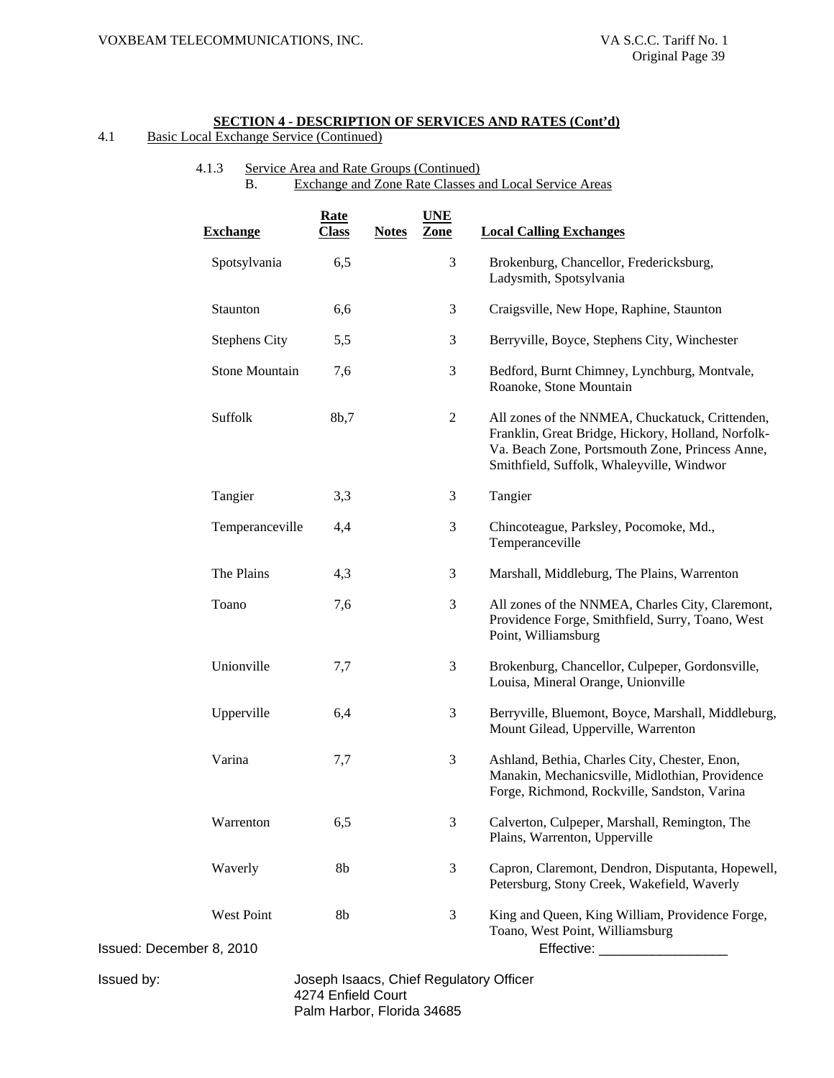4.1 Basic Local Exchange Service (Continued)

# 4.1.3 Service Area and Rate Groups (Continued) B. Exchange and Zone Rate Classes and Local Service Areas

|                          | <b>Exchange</b>       | <b>Rate</b><br><b>Class</b> | <b>Notes</b> | <b>UNE</b><br>Zone | <b>Local Calling Exchanges</b>                                                                                                                                                                        |
|--------------------------|-----------------------|-----------------------------|--------------|--------------------|-------------------------------------------------------------------------------------------------------------------------------------------------------------------------------------------------------|
|                          | Spotsylvania          | 6,5                         |              | 3                  | Brokenburg, Chancellor, Fredericksburg,<br>Ladysmith, Spotsylvania                                                                                                                                    |
|                          | Staunton              | 6,6                         |              | 3                  | Craigsville, New Hope, Raphine, Staunton                                                                                                                                                              |
|                          | <b>Stephens City</b>  | 5,5                         |              | 3                  | Berryville, Boyce, Stephens City, Winchester                                                                                                                                                          |
|                          | <b>Stone Mountain</b> | 7,6                         |              | 3                  | Bedford, Burnt Chimney, Lynchburg, Montvale,<br>Roanoke, Stone Mountain                                                                                                                               |
|                          | Suffolk               | 8b,7                        |              | 2                  | All zones of the NNMEA, Chuckatuck, Crittenden,<br>Franklin, Great Bridge, Hickory, Holland, Norfolk-<br>Va. Beach Zone, Portsmouth Zone, Princess Anne,<br>Smithfield, Suffolk, Whaleyville, Windwor |
|                          | Tangier               | 3,3                         |              | 3                  | Tangier                                                                                                                                                                                               |
|                          | Temperanceville       | 4,4                         |              | 3                  | Chincoteague, Parksley, Pocomoke, Md.,<br>Temperanceville                                                                                                                                             |
|                          | The Plains            | 4,3                         |              | 3                  | Marshall, Middleburg, The Plains, Warrenton                                                                                                                                                           |
|                          | Toano                 | 7,6                         |              | 3                  | All zones of the NNMEA, Charles City, Claremont,<br>Providence Forge, Smithfield, Surry, Toano, West<br>Point, Williamsburg                                                                           |
|                          | Unionville            | 7,7                         |              | 3                  | Brokenburg, Chancellor, Culpeper, Gordonsville,<br>Louisa, Mineral Orange, Unionville                                                                                                                 |
|                          | Upperville            | 6,4                         |              | 3                  | Berryville, Bluemont, Boyce, Marshall, Middleburg,<br>Mount Gilead, Upperville, Warrenton                                                                                                             |
|                          | Varina                | 7,7                         |              | 3                  | Ashland, Bethia, Charles City, Chester, Enon,<br>Manakin, Mechanicsville, Midlothian, Providence<br>Forge, Richmond, Rockville, Sandston, Varina                                                      |
|                          | Warrenton             | 6,5                         |              | 3                  | Calverton, Culpeper, Marshall, Remington, The<br>Plains, Warrenton, Upperville                                                                                                                        |
|                          | Waverly               | 8b                          |              | 3                  | Capron, Claremont, Dendron, Disputanta, Hopewell,<br>Petersburg, Stony Creek, Wakefield, Waverly                                                                                                      |
| Issued: December 8, 2010 | West Point            | 8b                          |              | 3                  | King and Queen, King William, Providence Forge,<br>Toano, West Point, Williamsburg<br>Effective: ________________________                                                                             |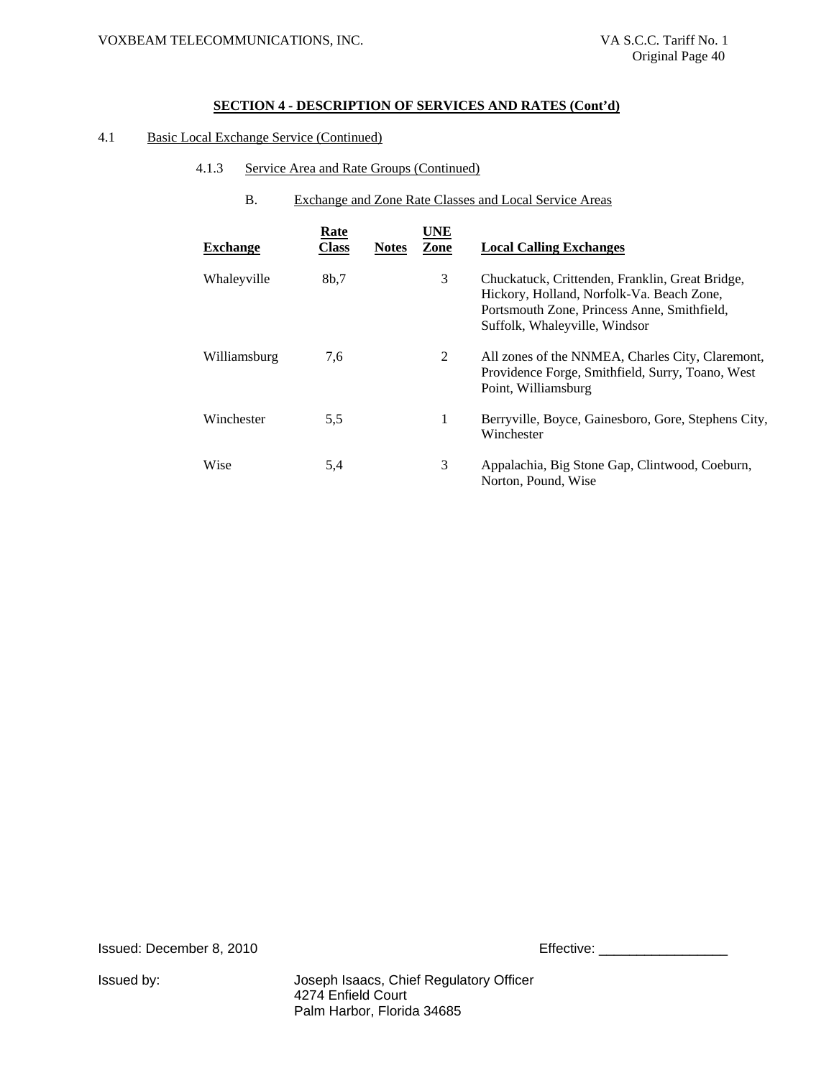# 4.1 Basic Local Exchange Service (Continued)

- 4.1.3 Service Area and Rate Groups (Continued)
	- B. Exchange and Zone Rate Classes and Local Service Areas

| <b>Exchange</b> | <b>Rate</b><br>Class | <b>Notes</b> | UNE<br>Zone | <b>Local Calling Exchanges</b>                                                                                                                                               |
|-----------------|----------------------|--------------|-------------|------------------------------------------------------------------------------------------------------------------------------------------------------------------------------|
| Whaleyville     | 8b.7                 |              | 3           | Chuckatuck, Crittenden, Franklin, Great Bridge,<br>Hickory, Holland, Norfolk-Va. Beach Zone,<br>Portsmouth Zone, Princess Anne, Smithfield,<br>Suffolk, Whaleyville, Windsor |
| Williamsburg    | 7,6                  |              | 2           | All zones of the NNMEA, Charles City, Claremont,<br>Providence Forge, Smithfield, Surry, Toano, West<br>Point, Williamsburg                                                  |
| Winchester      | 5,5                  |              | 1           | Berryville, Boyce, Gainesboro, Gore, Stephens City,<br>Winchester                                                                                                            |
| Wise            | 5,4                  |              | 3           | Appalachia, Big Stone Gap, Clintwood, Coeburn,<br>Norton, Pound, Wise                                                                                                        |

Issued: December 8, 2010 **Effective: Effective:** 2010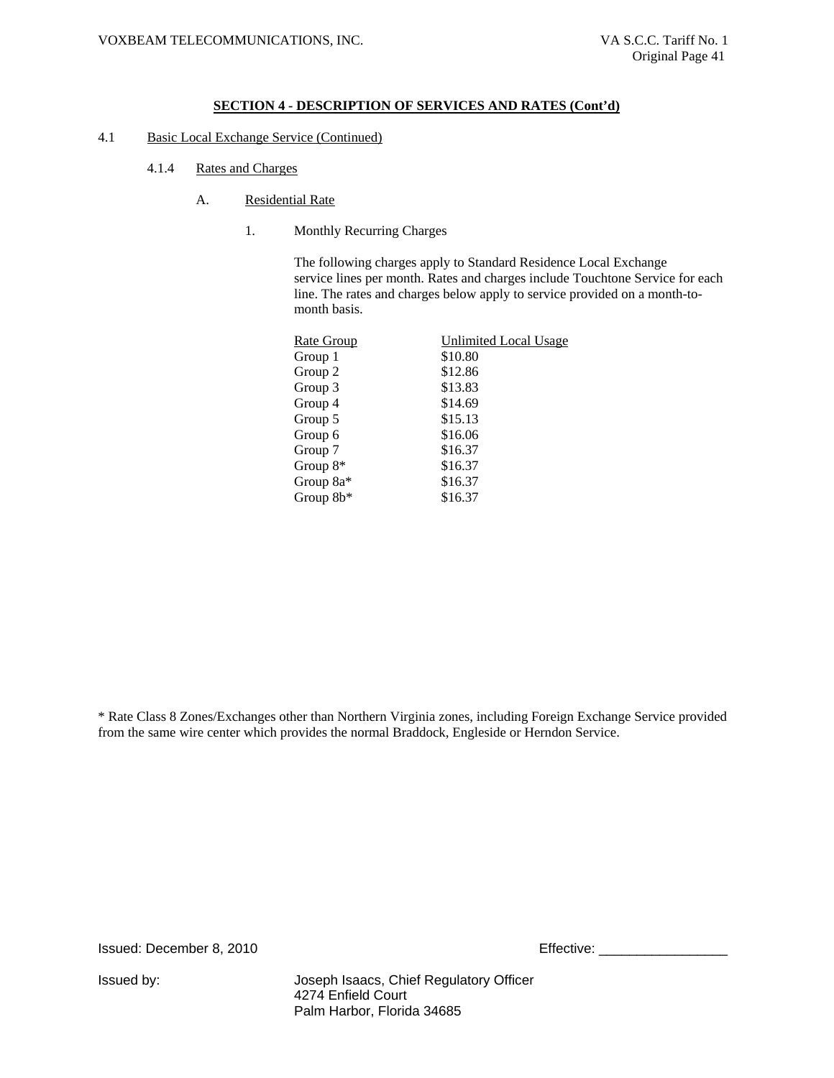- 4.1 Basic Local Exchange Service (Continued)
	- 4.1.4 Rates and Charges
		- A. Residential Rate
			- 1. Monthly Recurring Charges

The following charges apply to Standard Residence Local Exchange service lines per month. Rates and charges include Touchtone Service for each line. The rates and charges below apply to service provided on a month-tomonth basis.

| Rate Group | Unlimited Local Usage |
|------------|-----------------------|
| Group 1    | \$10.80               |
| Group 2    | \$12.86               |
| Group 3    | \$13.83               |
| Group 4    | \$14.69               |
| Group 5    | \$15.13               |
| Group 6    | \$16.06               |
| Group 7    | \$16.37               |
| Group $8*$ | \$16.37               |
| Group 8a*  | \$16.37               |
| Group 8b*  | \$16.37               |
|            |                       |

\* Rate Class 8 Zones/Exchanges other than Northern Virginia zones, including Foreign Exchange Service provided from the same wire center which provides the normal Braddock, Engleside or Herndon Service.

Issued: December 8, 2010 **Effective: Effective:** \_\_\_\_\_\_\_\_\_\_\_\_\_\_\_\_\_\_\_\_\_\_\_\_\_\_\_\_\_\_\_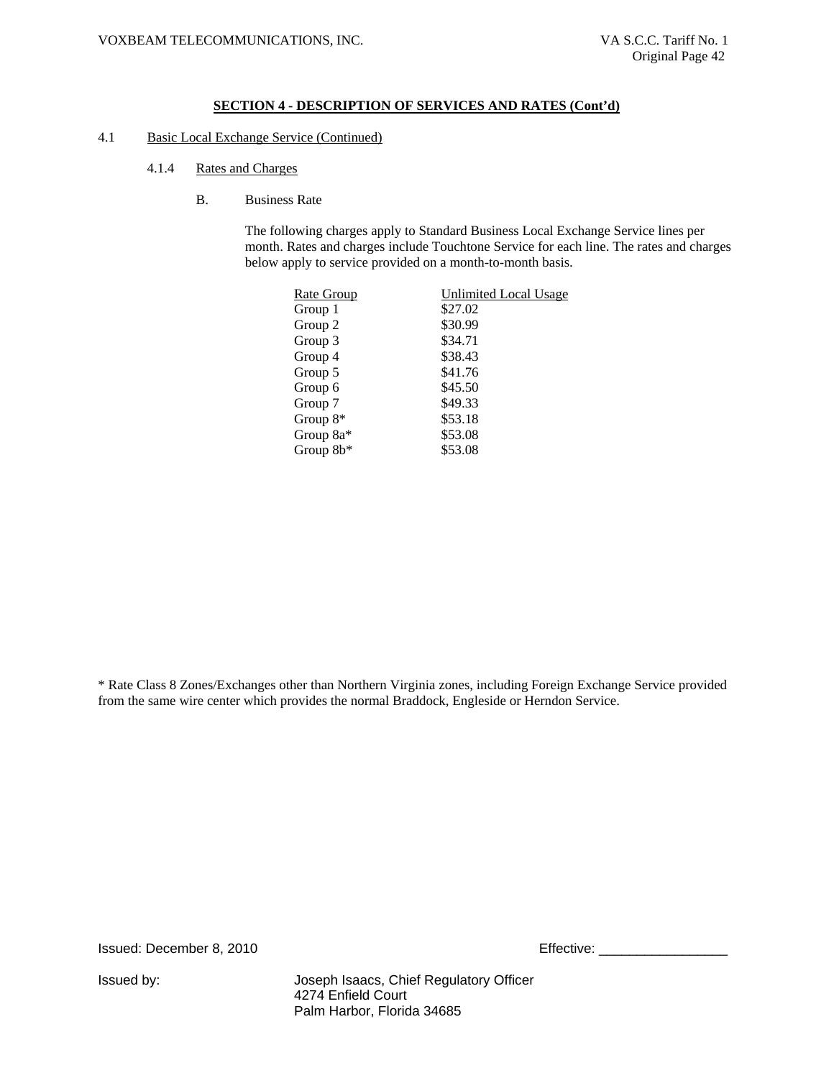#### 4.1 Basic Local Exchange Service (Continued)

- 4.1.4 Rates and Charges
	- B. Business Rate

The following charges apply to Standard Business Local Exchange Service lines per month. Rates and charges include Touchtone Service for each line. The rates and charges below apply to service provided on a month-to-month basis.

| Rate Group | Unlimited Local Usage |
|------------|-----------------------|
| Group 1    | \$27.02               |
| Group 2    | \$30.99               |
| Group 3    | \$34.71               |
| Group 4    | \$38.43               |
| Group 5    | \$41.76               |
| Group 6    | \$45.50               |
| Group 7    | \$49.33               |
| Group $8*$ | \$53.18               |
| Group 8a*  | \$53.08               |
| Group 8b*  | \$53.08               |
|            |                       |

\* Rate Class 8 Zones/Exchanges other than Northern Virginia zones, including Foreign Exchange Service provided from the same wire center which provides the normal Braddock, Engleside or Herndon Service.

Issued: December 8, 2010 Effective: \_\_\_\_\_\_\_\_\_\_\_\_\_\_\_\_\_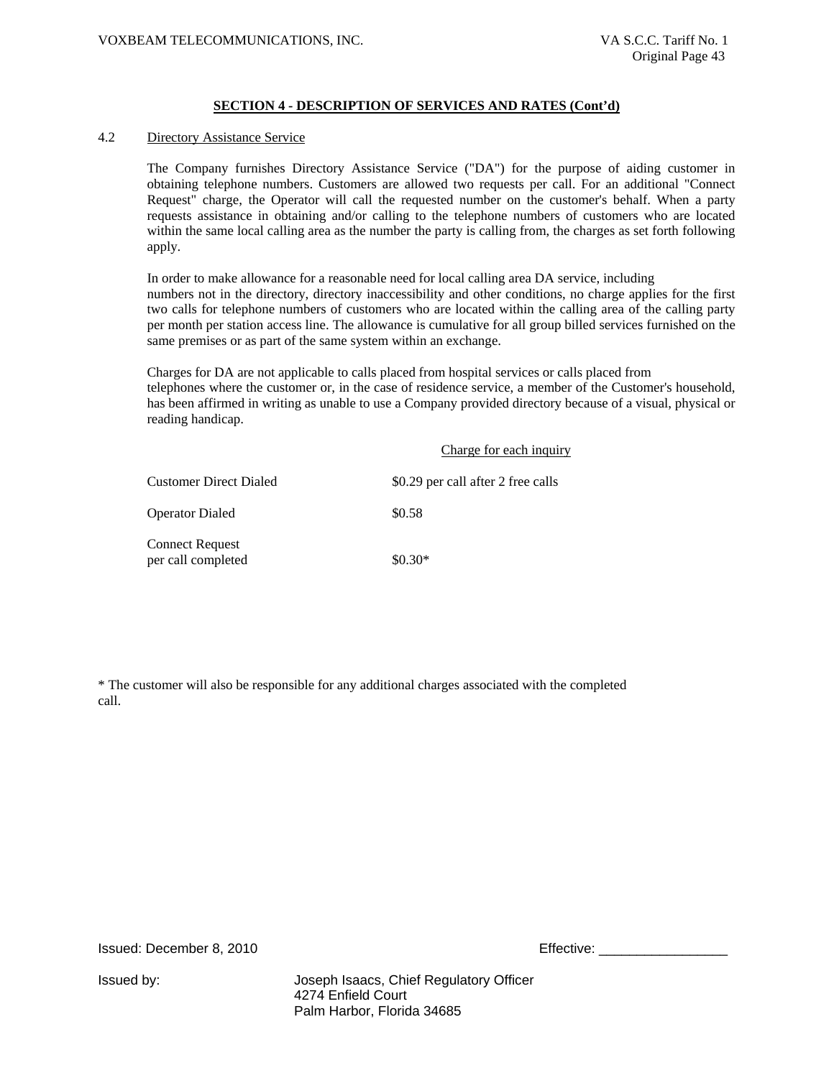### 4.2 Directory Assistance Service

The Company furnishes Directory Assistance Service ("DA") for the purpose of aiding customer in obtaining telephone numbers. Customers are allowed two requests per call. For an additional "Connect Request" charge, the Operator will call the requested number on the customer's behalf. When a party requests assistance in obtaining and/or calling to the telephone numbers of customers who are located within the same local calling area as the number the party is calling from, the charges as set forth following apply.

In order to make allowance for a reasonable need for local calling area DA service, including numbers not in the directory, directory inaccessibility and other conditions, no charge applies for the first two calls for telephone numbers of customers who are located within the calling area of the calling party per month per station access line. The allowance is cumulative for all group billed services furnished on the same premises or as part of the same system within an exchange.

Charges for DA are not applicable to calls placed from hospital services or calls placed from telephones where the customer or, in the case of residence service, a member of the Customer's household, has been affirmed in writing as unable to use a Company provided directory because of a visual, physical or reading handicap.

|                                              | Charge for each inquiry            |
|----------------------------------------------|------------------------------------|
| <b>Customer Direct Dialed</b>                | \$0.29 per call after 2 free calls |
| <b>Operator Dialed</b>                       | \$0.58                             |
| <b>Connect Request</b><br>per call completed | $$0.30*$                           |

\* The customer will also be responsible for any additional charges associated with the completed call.

Issued: December 8, 2010 Effective: \_\_\_\_\_\_\_\_\_\_\_\_\_\_\_\_\_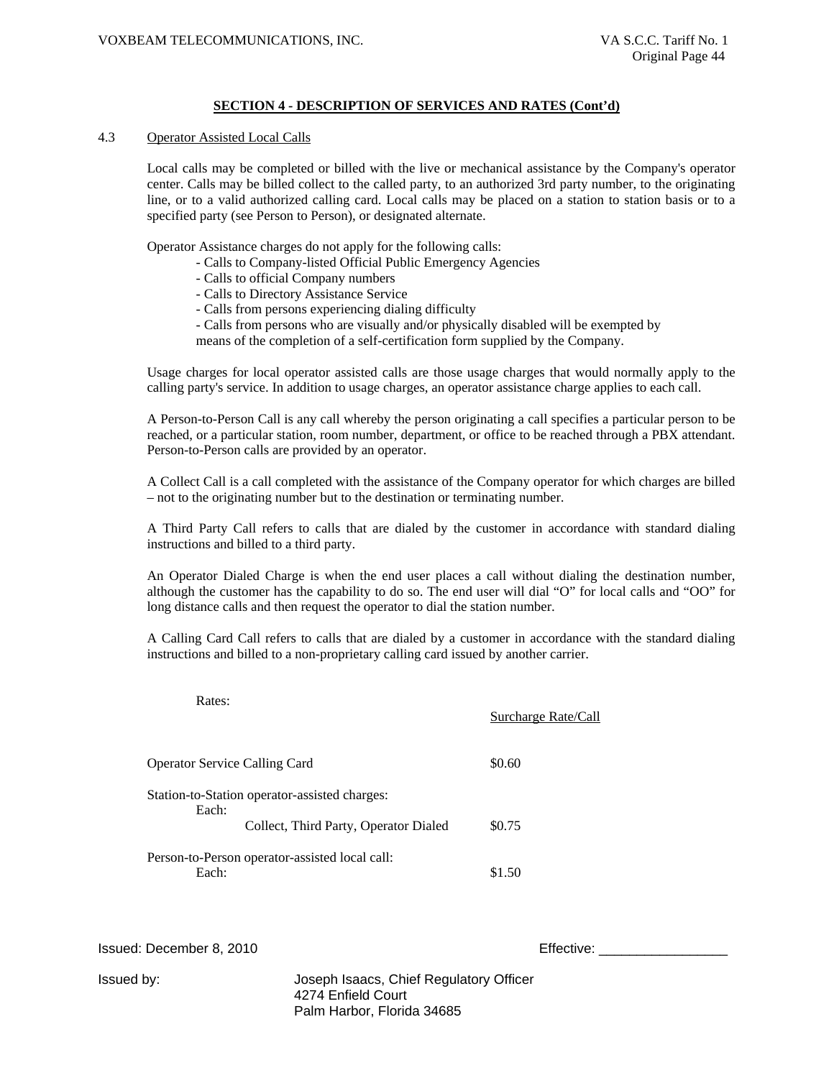#### 4.3 Operator Assisted Local Calls

Local calls may be completed or billed with the live or mechanical assistance by the Company's operator center. Calls may be billed collect to the called party, to an authorized 3rd party number, to the originating line, or to a valid authorized calling card. Local calls may be placed on a station to station basis or to a specified party (see Person to Person), or designated alternate.

Operator Assistance charges do not apply for the following calls:

- Calls to Company-listed Official Public Emergency Agencies
	- Calls to official Company numbers
	- Calls to Directory Assistance Service
	- Calls from persons experiencing dialing difficulty
	- Calls from persons who are visually and/or physically disabled will be exempted by means of the completion of a self-certification form supplied by the Company.

Usage charges for local operator assisted calls are those usage charges that would normally apply to the calling party's service. In addition to usage charges, an operator assistance charge applies to each call.

A Person-to-Person Call is any call whereby the person originating a call specifies a particular person to be reached, or a particular station, room number, department, or office to be reached through a PBX attendant. Person-to-Person calls are provided by an operator.

A Collect Call is a call completed with the assistance of the Company operator for which charges are billed – not to the originating number but to the destination or terminating number.

A Third Party Call refers to calls that are dialed by the customer in accordance with standard dialing instructions and billed to a third party.

An Operator Dialed Charge is when the end user places a call without dialing the destination number, although the customer has the capability to do so. The end user will dial "O" for local calls and "OO" for long distance calls and then request the operator to dial the station number.

A Calling Card Call refers to calls that are dialed by a customer in accordance with the standard dialing instructions and billed to a non-proprietary calling card issued by another carrier.

| Rates:                                                  | <b>Surcharge Rate/Call</b> |
|---------------------------------------------------------|----------------------------|
| <b>Operator Service Calling Card</b>                    | \$0.60                     |
| Station-to-Station operator-assisted charges:<br>Each:  |                            |
| Collect, Third Party, Operator Dialed                   | \$0.75                     |
| Person-to-Person operator-assisted local call:<br>Each: | \$1.50                     |

Issued: December 8, 2010 **Effective: Effective:**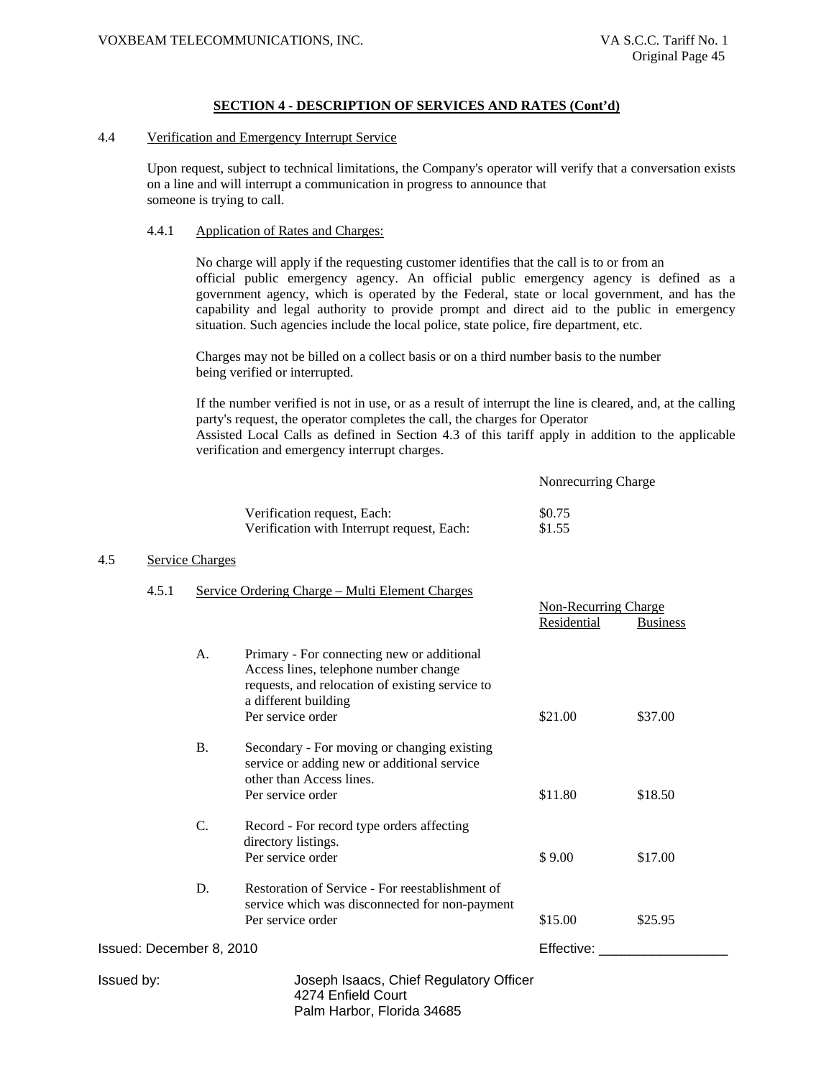#### 4.4 Verification and Emergency Interrupt Service

Upon request, subject to technical limitations, the Company's operator will verify that a conversation exists on a line and will interrupt a communication in progress to announce that someone is trying to call.

#### 4.4.1 Application of Rates and Charges:

No charge will apply if the requesting customer identifies that the call is to or from an official public emergency agency. An official public emergency agency is defined as a government agency, which is operated by the Federal, state or local government, and has the capability and legal authority to provide prompt and direct aid to the public in emergency situation. Such agencies include the local police, state police, fire department, etc.

Charges may not be billed on a collect basis or on a third number basis to the number being verified or interrupted.

If the number verified is not in use, or as a result of interrupt the line is cleared, and, at the calling party's request, the operator completes the call, the charges for Operator Assisted Local Calls as defined in Section 4.3 of this tariff apply in addition to the applicable

verification and emergency interrupt charges.

Nonrecurring Charge

Non-Recurring Charge

| Verification request, Each:                | \$0.75 |
|--------------------------------------------|--------|
| Verification with Interrupt request, Each: | \$1.55 |

#### 4.5 Service Charges

#### 4.5.1 Service Ordering Charge – Multi Element Charges

|                          |           |                                                                                                                                                                                     | Residential | <b>Business</b> |
|--------------------------|-----------|-------------------------------------------------------------------------------------------------------------------------------------------------------------------------------------|-------------|-----------------|
|                          | A.        | Primary - For connecting new or additional<br>Access lines, telephone number change<br>requests, and relocation of existing service to<br>a different building<br>Per service order | \$21.00     | \$37.00         |
|                          | <b>B.</b> | Secondary - For moving or changing existing<br>service or adding new or additional service<br>other than Access lines.                                                              |             |                 |
|                          |           | Per service order                                                                                                                                                                   | \$11.80     | \$18.50         |
|                          | C.        | Record - For record type orders affecting<br>directory listings.<br>Per service order                                                                                               | \$9.00      | \$17.00         |
|                          | D.        | Restoration of Service - For reestablishment of<br>service which was disconnected for non-payment<br>Per service order                                                              | \$15.00     | \$25.95         |
| Issued: December 8, 2010 |           | Effective:                                                                                                                                                                          |             |                 |
| Issued by:               |           | Joseph Isaacs, Chief Regulatory Officer<br>4274 Enfield Court                                                                                                                       |             |                 |

Palm Harbor, Florida 34685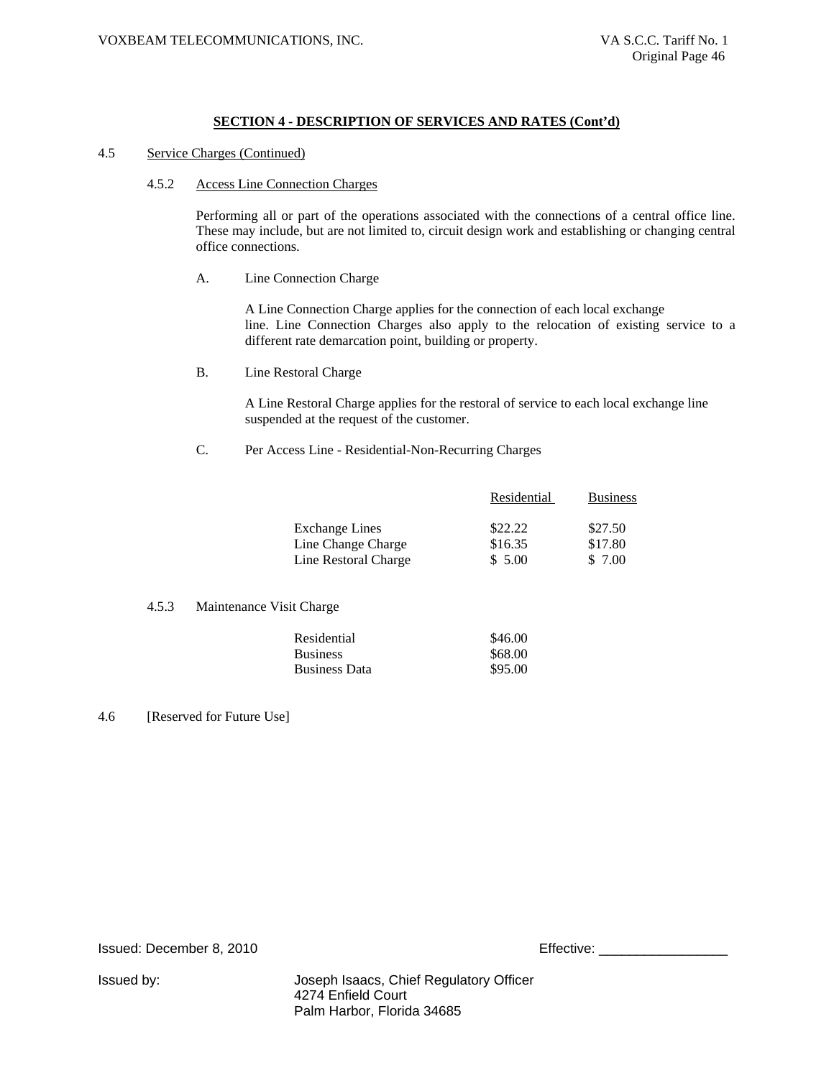### 4.5 Service Charges (Continued)

#### 4.5.2 Access Line Connection Charges

Performing all or part of the operations associated with the connections of a central office line. These may include, but are not limited to, circuit design work and establishing or changing central office connections.

A. Line Connection Charge

A Line Connection Charge applies for the connection of each local exchange line. Line Connection Charges also apply to the relocation of existing service to a different rate demarcation point, building or property.

B. Line Restoral Charge

A Line Restoral Charge applies for the restoral of service to each local exchange line suspended at the request of the customer.

C. Per Access Line - Residential-Non-Recurring Charges

|                       | Residential | <b>Business</b> |
|-----------------------|-------------|-----------------|
| <b>Exchange Lines</b> | \$22.22     | \$27.50         |
| Line Change Charge    | \$16.35     | \$17.80         |
| Line Restoral Charge  | \$5.00      | \$ 7.00         |

#### 4.5.3 Maintenance Visit Charge

| Residential     | \$46.00 |
|-----------------|---------|
| <b>Business</b> | \$68.00 |
| Business Data   | \$95.00 |

#### 4.6 [Reserved for Future Use]

Issued: December 8, 2010

| Effective: |
|------------|
|------------|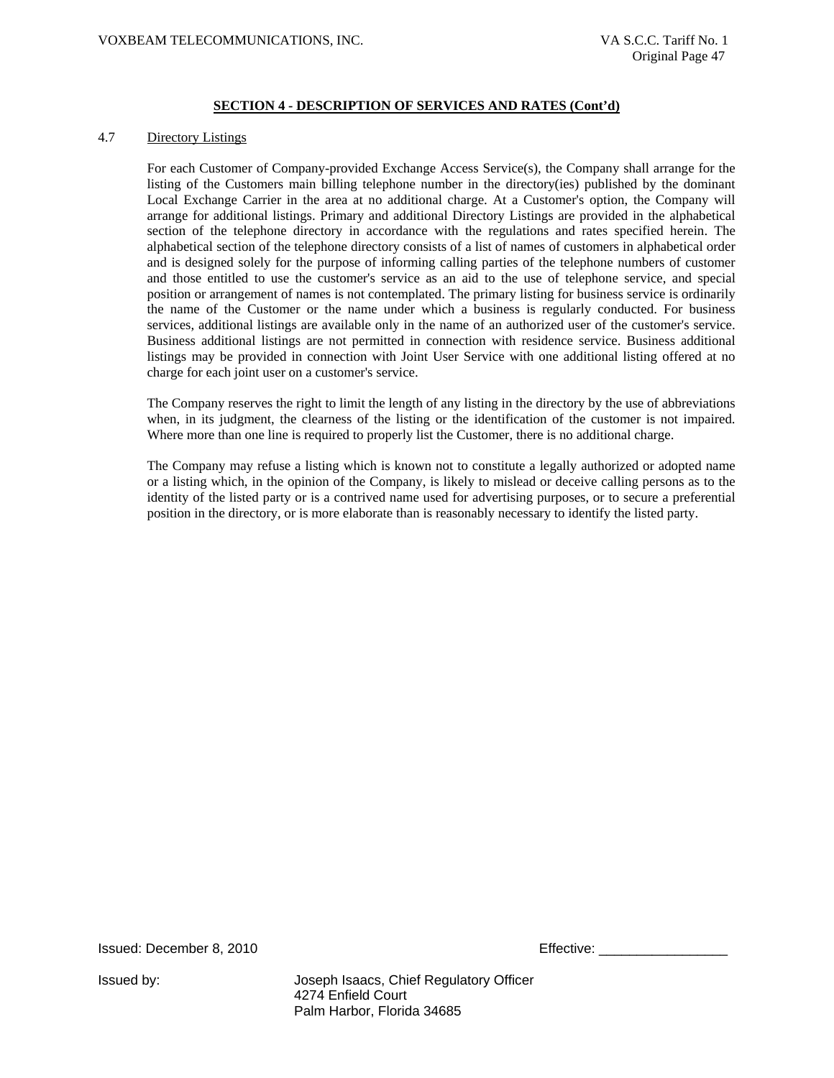#### 4.7 Directory Listings

For each Customer of Company-provided Exchange Access Service(s), the Company shall arrange for the listing of the Customers main billing telephone number in the directory(ies) published by the dominant Local Exchange Carrier in the area at no additional charge. At a Customer's option, the Company will arrange for additional listings. Primary and additional Directory Listings are provided in the alphabetical section of the telephone directory in accordance with the regulations and rates specified herein. The alphabetical section of the telephone directory consists of a list of names of customers in alphabetical order and is designed solely for the purpose of informing calling parties of the telephone numbers of customer and those entitled to use the customer's service as an aid to the use of telephone service, and special position or arrangement of names is not contemplated. The primary listing for business service is ordinarily the name of the Customer or the name under which a business is regularly conducted. For business services, additional listings are available only in the name of an authorized user of the customer's service. Business additional listings are not permitted in connection with residence service. Business additional listings may be provided in connection with Joint User Service with one additional listing offered at no charge for each joint user on a customer's service.

The Company reserves the right to limit the length of any listing in the directory by the use of abbreviations when, in its judgment, the clearness of the listing or the identification of the customer is not impaired. Where more than one line is required to properly list the Customer, there is no additional charge.

The Company may refuse a listing which is known not to constitute a legally authorized or adopted name or a listing which, in the opinion of the Company, is likely to mislead or deceive calling persons as to the identity of the listed party or is a contrived name used for advertising purposes, or to secure a preferential position in the directory, or is more elaborate than is reasonably necessary to identify the listed party.

Issued: December 8, 2010 **Effective:**  $\blacksquare$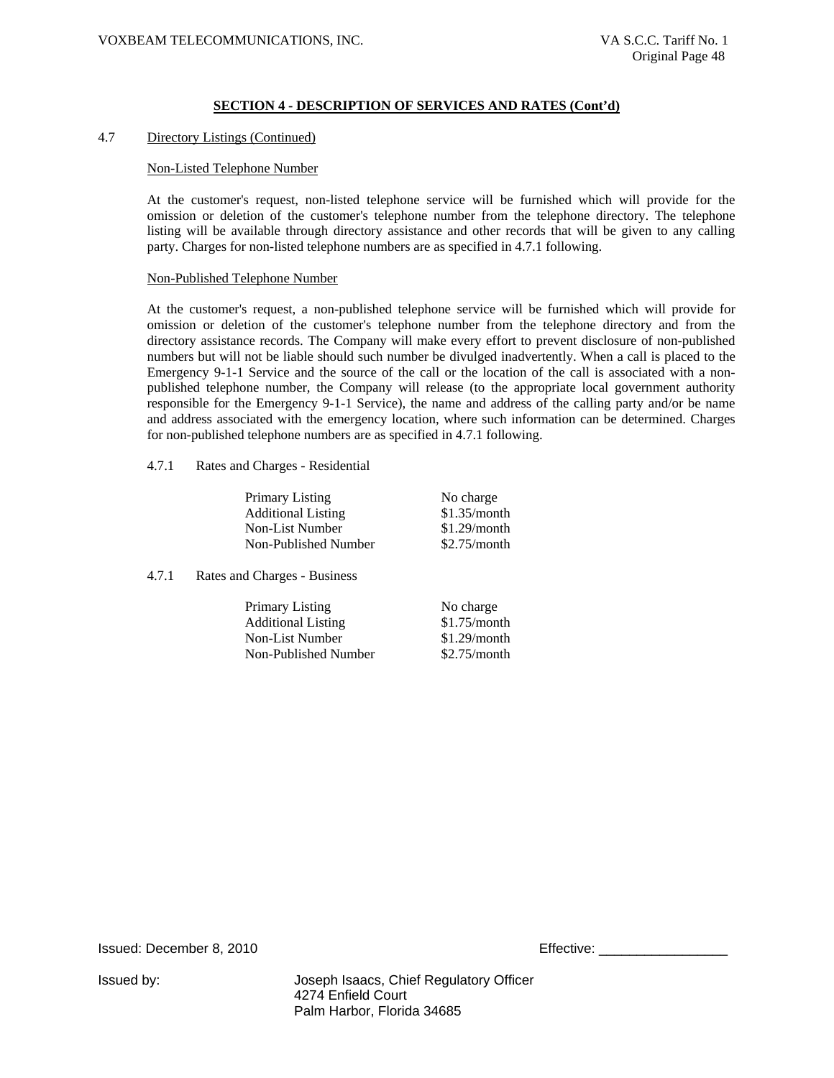#### 4.7 Directory Listings (Continued)

#### Non-Listed Telephone Number

At the customer's request, non-listed telephone service will be furnished which will provide for the omission or deletion of the customer's telephone number from the telephone directory. The telephone listing will be available through directory assistance and other records that will be given to any calling party. Charges for non-listed telephone numbers are as specified in 4.7.1 following.

#### Non-Published Telephone Number

At the customer's request, a non-published telephone service will be furnished which will provide for omission or deletion of the customer's telephone number from the telephone directory and from the directory assistance records. The Company will make every effort to prevent disclosure of non-published numbers but will not be liable should such number be divulged inadvertently. When a call is placed to the Emergency 9-1-1 Service and the source of the call or the location of the call is associated with a nonpublished telephone number, the Company will release (to the appropriate local government authority responsible for the Emergency 9-1-1 Service), the name and address of the calling party and/or be name and address associated with the emergency location, where such information can be determined. Charges for non-published telephone numbers are as specified in 4.7.1 following.

4.7.1 Rates and Charges - Residential

| Primary Listing           | No charge    |
|---------------------------|--------------|
| <b>Additional Listing</b> | \$1.35/month |
| Non-List Number           | \$1.29/month |
| Non-Published Number      | \$2.75/month |
|                           |              |

4.7.1 Rates and Charges - Business

Primary Listing No charge Additional Listing \$1.75/month Non-List Number \$1.29/month Non-Published Number \$2.75/month

Issued: December 8, 2010 Effective: \_\_\_\_\_\_\_\_\_\_\_\_\_\_\_\_\_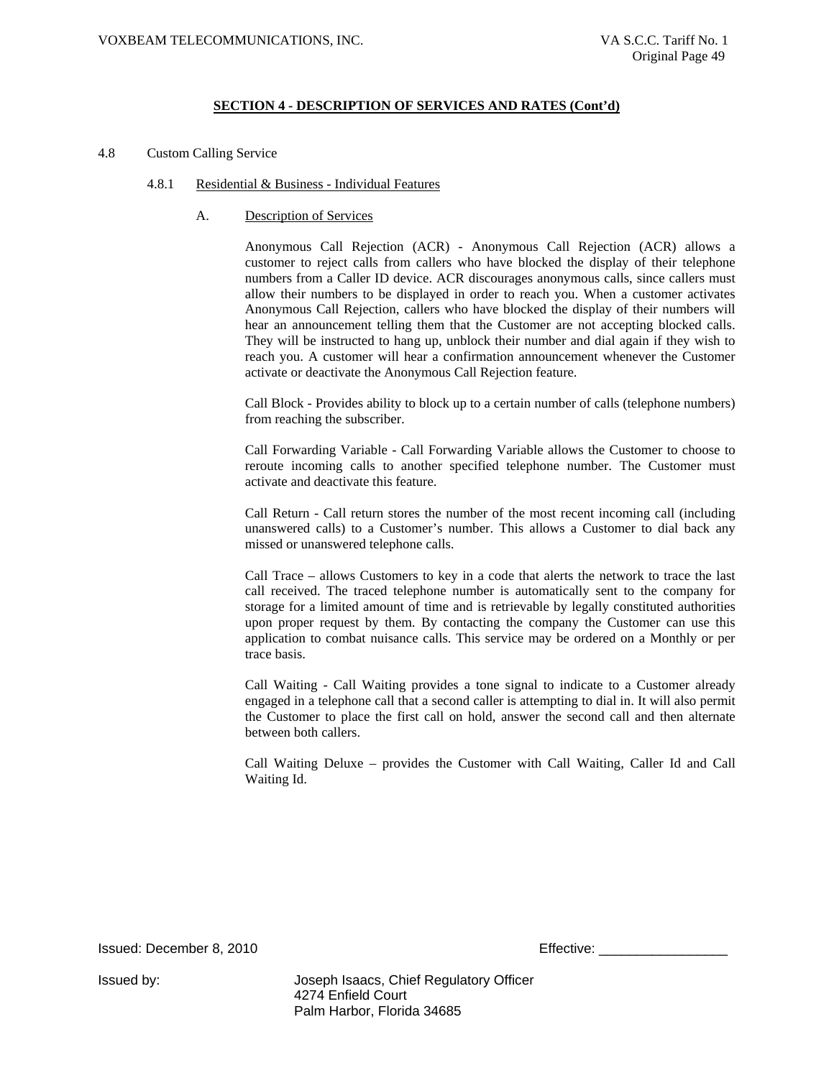4.8 Custom Calling Service

#### 4.8.1 Residential & Business - Individual Features

#### A. Description of Services

Anonymous Call Rejection (ACR) - Anonymous Call Rejection (ACR) allows a customer to reject calls from callers who have blocked the display of their telephone numbers from a Caller ID device. ACR discourages anonymous calls, since callers must allow their numbers to be displayed in order to reach you. When a customer activates Anonymous Call Rejection, callers who have blocked the display of their numbers will hear an announcement telling them that the Customer are not accepting blocked calls. They will be instructed to hang up, unblock their number and dial again if they wish to reach you. A customer will hear a confirmation announcement whenever the Customer activate or deactivate the Anonymous Call Rejection feature.

Call Block - Provides ability to block up to a certain number of calls (telephone numbers) from reaching the subscriber.

Call Forwarding Variable - Call Forwarding Variable allows the Customer to choose to reroute incoming calls to another specified telephone number. The Customer must activate and deactivate this feature.

Call Return - Call return stores the number of the most recent incoming call (including unanswered calls) to a Customer's number. This allows a Customer to dial back any missed or unanswered telephone calls.

Call Trace – allows Customers to key in a code that alerts the network to trace the last call received. The traced telephone number is automatically sent to the company for storage for a limited amount of time and is retrievable by legally constituted authorities upon proper request by them. By contacting the company the Customer can use this application to combat nuisance calls. This service may be ordered on a Monthly or per trace basis.

Call Waiting - Call Waiting provides a tone signal to indicate to a Customer already engaged in a telephone call that a second caller is attempting to dial in. It will also permit the Customer to place the first call on hold, answer the second call and then alternate between both callers.

Call Waiting Deluxe – provides the Customer with Call Waiting, Caller Id and Call Waiting Id.

Issued: December 8, 2010 Effective: \_\_\_\_\_\_\_\_\_\_\_\_\_\_\_\_\_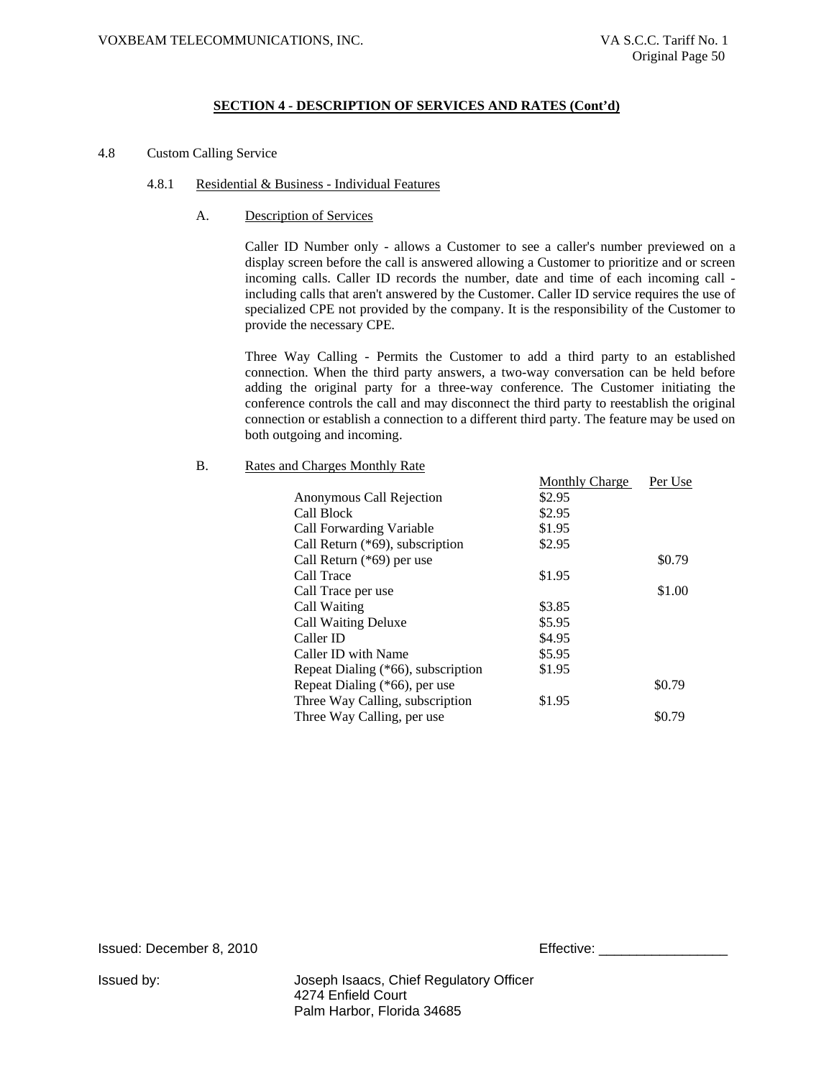4.8 Custom Calling Service

#### 4.8.1 Residential & Business - Individual Features

#### A. Description of Services

Caller ID Number only - allows a Customer to see a caller's number previewed on a display screen before the call is answered allowing a Customer to prioritize and or screen incoming calls. Caller ID records the number, date and time of each incoming call including calls that aren't answered by the Customer. Caller ID service requires the use of specialized CPE not provided by the company. It is the responsibility of the Customer to provide the necessary CPE.

Three Way Calling - Permits the Customer to add a third party to an established connection. When the third party answers, a two-way conversation can be held before adding the original party for a three-way conference. The Customer initiating the conference controls the call and may disconnect the third party to reestablish the original connection or establish a connection to a different third party. The feature may be used on both outgoing and incoming.

#### B. Rates and Charges Monthly Rate

|                                    | <b>Monthly Charge</b> | Per Use |
|------------------------------------|-----------------------|---------|
| Anonymous Call Rejection           | \$2.95                |         |
| Call Block                         | \$2.95                |         |
| Call Forwarding Variable           | \$1.95                |         |
| Call Return (*69), subscription    | \$2.95                |         |
| Call Return (*69) per use          |                       | \$0.79  |
| Call Trace                         | \$1.95                |         |
| Call Trace per use                 |                       | \$1.00  |
| Call Waiting                       | \$3.85                |         |
| <b>Call Waiting Deluxe</b>         | \$5.95                |         |
| Caller ID                          | \$4.95                |         |
| Caller ID with Name                | \$5.95                |         |
| Repeat Dialing (*66), subscription | \$1.95                |         |
| Repeat Dialing (*66), per use      |                       | \$0.79  |
| Three Way Calling, subscription    | \$1.95                |         |
| Three Way Calling, per use         |                       | \$0.79  |
|                                    |                       |         |

Issued: December 8, 2010 **Effective:** Effective: \_\_\_\_\_\_\_\_\_\_\_\_\_\_\_\_\_\_\_\_\_\_\_\_\_\_\_\_\_\_\_\_\_